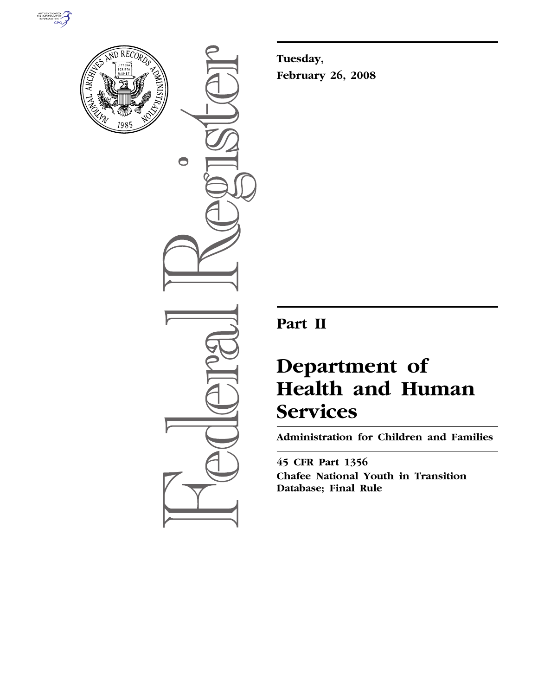



 $\bigcirc$ 

**Tuesday, February 26, 2008** 

# **Part II**

# **Department of Health and Human Services**

**Administration for Children and Families** 

**45 CFR Part 1356 Chafee National Youth in Transition Database; Final Rule**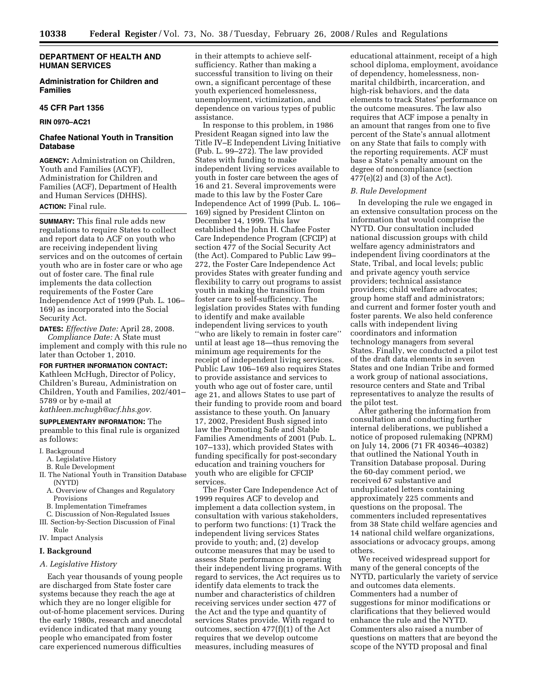#### **DEPARTMENT OF HEALTH AND HUMAN SERVICES**

#### **Administration for Children and Families**

#### **45 CFR Part 1356**

## **RIN 0970–AC21**

## **Chafee National Youth in Transition Database**

**AGENCY:** Administration on Children, Youth and Families (ACYF), Administration for Children and Families (ACF), Department of Health and Human Services (DHHS). **ACTION:** Final rule.

**SUMMARY:** This final rule adds new regulations to require States to collect and report data to ACF on youth who are receiving independent living services and on the outcomes of certain youth who are in foster care or who age out of foster care. The final rule implements the data collection requirements of the Foster Care Independence Act of 1999 (Pub. L. 106– 169) as incorporated into the Social Security Act.

**DATES:** *Effective Date:* April 28, 2008.

*Compliance Date:* A State must implement and comply with this rule no later than October 1, 2010.

#### **FOR FURTHER INFORMATION CONTACT:**

Kathleen McHugh, Director of Policy, Children's Bureau, Administration on Children, Youth and Families, 202/401– 5789 or by e-mail at *kathleen.mchugh@acf.hhs.gov.* 

**SUPPLEMENTARY INFORMATION:** The preamble to this final rule is organized as follows:

#### I. Background

- A. Legislative History
- B. Rule Development
- II. The National Youth in Transition Database (NYTD)
	- A. Overview of Changes and Regulatory
	- Provisions B. Implementation Timeframes
	- C. Discussion of Non-Regulated Issues
- III. Section-by-Section Discussion of Final Rule
- IV. Impact Analysis

#### **I. Background**

#### *A. Legislative History*

Each year thousands of young people are discharged from State foster care systems because they reach the age at which they are no longer eligible for out-of-home placement services. During the early 1980s, research and anecdotal evidence indicated that many young people who emancipated from foster care experienced numerous difficulties

in their attempts to achieve selfsufficiency. Rather than making a successful transition to living on their own, a significant percentage of these youth experienced homelessness, unemployment, victimization, and dependence on various types of public assistance.

In response to this problem, in 1986 President Reagan signed into law the Title IV–E Independent Living Initiative (Pub. L. 99–272). The law provided States with funding to make independent living services available to youth in foster care between the ages of 16 and 21. Several improvements were made to this law by the Foster Care Independence Act of 1999 (Pub. L. 106– 169) signed by President Clinton on December 14, 1999. This law established the John H. Chafee Foster Care Independence Program (CFCIP) at section 477 of the Social Security Act (the Act). Compared to Public Law 99– 272, the Foster Care Independence Act provides States with greater funding and flexibility to carry out programs to assist youth in making the transition from foster care to self-sufficiency. The legislation provides States with funding to identify and make available independent living services to youth ''who are likely to remain in foster care'' until at least age 18—thus removing the minimum age requirements for the receipt of independent living services. Public Law 106–169 also requires States to provide assistance and services to youth who age out of foster care, until age 21, and allows States to use part of their funding to provide room and board assistance to these youth. On January 17, 2002, President Bush signed into law the Promoting Safe and Stable Families Amendments of 2001 (Pub. L. 107–133), which provided States with funding specifically for post-secondary education and training vouchers for youth who are eligible for CFCIP services.

The Foster Care Independence Act of 1999 requires ACF to develop and implement a data collection system, in consultation with various stakeholders, to perform two functions: (1) Track the independent living services States provide to youth; and, (2) develop outcome measures that may be used to assess State performance in operating their independent living programs. With regard to services, the Act requires us to identify data elements to track the number and characteristics of children receiving services under section 477 of the Act and the type and quantity of services States provide. With regard to outcomes, section 477(f)(1) of the Act requires that we develop outcome measures, including measures of

educational attainment, receipt of a high school diploma, employment, avoidance of dependency, homelessness, nonmarital childbirth, incarceration, and high-risk behaviors, and the data elements to track States' performance on the outcome measures. The law also requires that ACF impose a penalty in an amount that ranges from one to five percent of the State's annual allotment on any State that fails to comply with the reporting requirements. ACF must base a State's penalty amount on the degree of noncompliance (section  $477(e)(2)$  and  $(3)$  of the Act).

#### *B. Rule Development*

In developing the rule we engaged in an extensive consultation process on the information that would comprise the NYTD. Our consultation included national discussion groups with child welfare agency administrators and independent living coordinators at the State, Tribal, and local levels; public and private agency youth service providers; technical assistance providers; child welfare advocates; group home staff and administrators; and current and former foster youth and foster parents. We also held conference calls with independent living coordinators and information technology managers from several States. Finally, we conducted a pilot test of the draft data elements in seven States and one Indian Tribe and formed a work group of national associations, resource centers and State and Tribal representatives to analyze the results of the pilot test.

After gathering the information from consultation and conducting further internal deliberations, we published a notice of proposed rulemaking (NPRM) on July 14, 2006 (71 FR 40346–40382) that outlined the National Youth in Transition Database proposal. During the 60-day comment period, we received 67 substantive and unduplicated letters containing approximately 225 comments and questions on the proposal. The commenters included representatives from 38 State child welfare agencies and 14 national child welfare organizations, associations or advocacy groups, among others.

We received widespread support for many of the general concepts of the NYTD, particularly the variety of service and outcomes data elements. Commenters had a number of suggestions for minor modifications or clarifications that they believed would enhance the rule and the NYTD. Commenters also raised a number of questions on matters that are beyond the scope of the NYTD proposal and final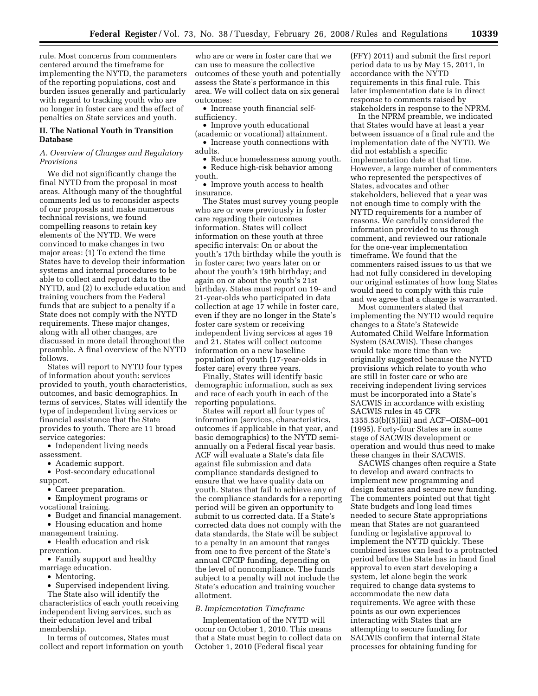rule. Most concerns from commenters centered around the timeframe for implementing the NYTD, the parameters of the reporting populations, cost and burden issues generally and particularly with regard to tracking youth who are no longer in foster care and the effect of penalties on State services and youth.

### **II. The National Youth in Transition Database**

#### *A. Overview of Changes and Regulatory Provisions*

We did not significantly change the final NYTD from the proposal in most areas. Although many of the thoughtful comments led us to reconsider aspects of our proposals and make numerous technical revisions, we found compelling reasons to retain key elements of the NYTD. We were convinced to make changes in two major areas: (1) To extend the time States have to develop their information systems and internal procedures to be able to collect and report data to the NYTD, and (2) to exclude education and training vouchers from the Federal funds that are subject to a penalty if a State does not comply with the NYTD requirements. These major changes, along with all other changes, are discussed in more detail throughout the preamble. A final overview of the NYTD follows.

States will report to NYTD four types of information about youth: services provided to youth, youth characteristics, outcomes, and basic demographics. In terms of services, States will identify the type of independent living services or financial assistance that the State provides to youth. There are 11 broad service categories:

• Independent living needs assessment.

• Academic support.

• Post-secondary educational support.

• Career preparation.

• Employment programs or

vocational training.

• Budget and financial management. • Housing education and home

management training.

• Health education and risk

prevention.

• Family support and healthy marriage education.

• Mentoring.

• Supervised independent living. The State also will identify the characteristics of each youth receiving independent living services, such as their education level and tribal

membership.

In terms of outcomes, States must collect and report information on youth

who are or were in foster care that we can use to measure the collective outcomes of these youth and potentially assess the State's performance in this area. We will collect data on six general outcomes:

• Increase youth financial selfsufficiency.

• Improve youth educational

(academic or vocational) attainment. • Increase youth connections with adults.

• Reduce homelessness among youth.

- Reduce high-risk behavior among
- youth.

• Improve youth access to health insurance.

The States must survey young people who are or were previously in foster care regarding their outcomes information. States will collect information on these youth at three specific intervals: On or about the youth's 17th birthday while the youth is in foster care; two years later on or about the youth's 19th birthday; and again on or about the youth's 21st birthday. States must report on 19- and 21-year-olds who participated in data collection at age 17 while in foster care, even if they are no longer in the State's foster care system or receiving independent living services at ages 19 and 21. States will collect outcome information on a new baseline population of youth (17-year-olds in foster care) every three years.

Finally, States will identify basic demographic information, such as sex and race of each youth in each of the reporting populations.

States will report all four types of information (services, characteristics, outcomes if applicable in that year, and basic demographics) to the NYTD semiannually on a Federal fiscal year basis. ACF will evaluate a State's data file against file submission and data compliance standards designed to ensure that we have quality data on youth. States that fail to achieve any of the compliance standards for a reporting period will be given an opportunity to submit to us corrected data. If a State's corrected data does not comply with the data standards, the State will be subject to a penalty in an amount that ranges from one to five percent of the State's annual CFCIP funding, depending on the level of noncompliance. The funds subject to a penalty will not include the State's education and training voucher allotment.

#### *B. Implementation Timeframe*

Implementation of the NYTD will occur on October 1, 2010. This means that a State must begin to collect data on October 1, 2010 (Federal fiscal year

(FFY) 2011) and submit the first report period data to us by May 15, 2011, in accordance with the NYTD requirements in this final rule. This later implementation date is in direct response to comments raised by stakeholders in response to the NPRM.

In the NPRM preamble, we indicated that States would have at least a year between issuance of a final rule and the implementation date of the NYTD. We did not establish a specific implementation date at that time. However, a large number of commenters who represented the perspectives of States, advocates and other stakeholders, believed that a year was not enough time to comply with the NYTD requirements for a number of reasons. We carefully considered the information provided to us through comment, and reviewed our rationale for the one-year implementation timeframe. We found that the commenters raised issues to us that we had not fully considered in developing our original estimates of how long States would need to comply with this rule and we agree that a change is warranted.

Most commenters stated that implementing the NYTD would require changes to a State's Statewide Automated Child Welfare Information System (SACWIS). These changes would take more time than we originally suggested because the NYTD provisions which relate to youth who are still in foster care or who are receiving independent living services must be incorporated into a State's SACWIS in accordance with existing SACWIS rules in 45 CFR 1355.53(b)(5)(iii) and ACF–OISM–001 (1995). Forty-four States are in some stage of SACWIS development or operation and would thus need to make these changes in their SACWIS.

SACWIS changes often require a State to develop and award contracts to implement new programming and design features and secure new funding. The commenters pointed out that tight State budgets and long lead times needed to secure State appropriations mean that States are not guaranteed funding or legislative approval to implement the NYTD quickly. These combined issues can lead to a protracted period before the State has in hand final approval to even start developing a system, let alone begin the work required to change data systems to accommodate the new data requirements. We agree with these points as our own experiences interacting with States that are attempting to secure funding for SACWIS confirm that internal State processes for obtaining funding for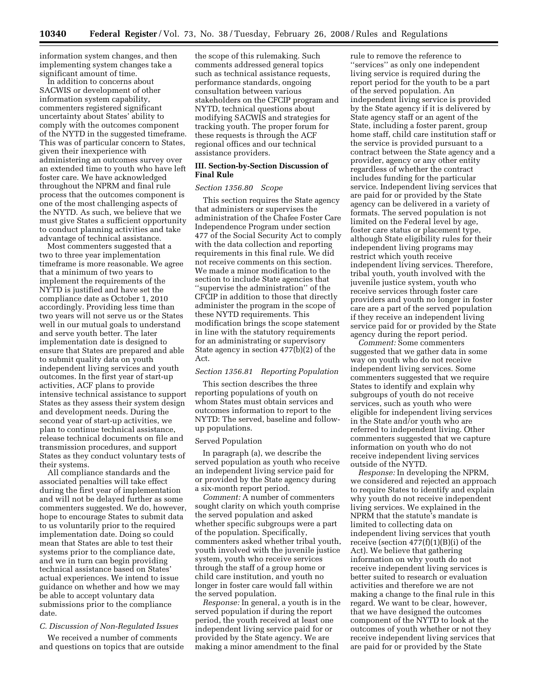information system changes, and then implementing system changes take a significant amount of time.

In addition to concerns about SACWIS or development of other information system capability, commenters registered significant uncertainty about States' ability to comply with the outcomes component of the NYTD in the suggested timeframe. This was of particular concern to States, given their inexperience with administering an outcomes survey over an extended time to youth who have left foster care. We have acknowledged throughout the NPRM and final rule process that the outcomes component is one of the most challenging aspects of the NYTD. As such, we believe that we must give States a sufficient opportunity to conduct planning activities and take advantage of technical assistance.

Most commenters suggested that a two to three year implementation timeframe is more reasonable. We agree that a minimum of two years to implement the requirements of the NYTD is justified and have set the compliance date as October 1, 2010 accordingly. Providing less time than two years will not serve us or the States well in our mutual goals to understand and serve youth better. The later implementation date is designed to ensure that States are prepared and able to submit quality data on youth independent living services and youth outcomes. In the first year of start-up activities, ACF plans to provide intensive technical assistance to support States as they assess their system design and development needs. During the second year of start-up activities, we plan to continue technical assistance, release technical documents on file and transmission procedures, and support States as they conduct voluntary tests of their systems.

All compliance standards and the associated penalties will take effect during the first year of implementation and will not be delayed further as some commenters suggested. We do, however, hope to encourage States to submit data to us voluntarily prior to the required implementation date. Doing so could mean that States are able to test their systems prior to the compliance date, and we in turn can begin providing technical assistance based on States' actual experiences. We intend to issue guidance on whether and how we may be able to accept voluntary data submissions prior to the compliance date.

#### *C. Discussion of Non-Regulated Issues*

We received a number of comments and questions on topics that are outside

the scope of this rulemaking. Such comments addressed general topics such as technical assistance requests, performance standards, ongoing consultation between various stakeholders on the CFCIP program and NYTD, technical questions about modifying SACWIS and strategies for tracking youth. The proper forum for these requests is through the ACF regional offices and our technical assistance providers.

#### **III. Section-by-Section Discussion of Final Rule**

#### *Section 1356.80 Scope*

This section requires the State agency that administers or supervises the administration of the Chafee Foster Care Independence Program under section 477 of the Social Security Act to comply with the data collection and reporting requirements in this final rule. We did not receive comments on this section. We made a minor modification to the section to include State agencies that ''supervise the administration'' of the CFCIP in addition to those that directly administer the program in the scope of these NYTD requirements. This modification brings the scope statement in line with the statutory requirements for an administrating or supervisory State agency in section 477(b)(2) of the Act.

#### *Section 1356.81 Reporting Population*

This section describes the three reporting populations of youth on whom States must obtain services and outcomes information to report to the NYTD: The served, baseline and followup populations.

#### Served Population

In paragraph (a), we describe the served population as youth who receive an independent living service paid for or provided by the State agency during a six-month report period.

*Comment:* A number of commenters sought clarity on which youth comprise the served population and asked whether specific subgroups were a part of the population. Specifically, commenters asked whether tribal youth, youth involved with the juvenile justice system, youth who receive services through the staff of a group home or child care institution, and youth no longer in foster care would fall within the served population.

*Response:* In general, a youth is in the served population if during the report period, the youth received at least one independent living service paid for or provided by the State agency. We are making a minor amendment to the final

rule to remove the reference to ''services'' as only one independent living service is required during the report period for the youth to be a part of the served population. An independent living service is provided by the State agency if it is delivered by State agency staff or an agent of the State, including a foster parent, group home staff, child care institution staff or the service is provided pursuant to a contract between the State agency and a provider, agency or any other entity regardless of whether the contract includes funding for the particular service. Independent living services that are paid for or provided by the State agency can be delivered in a variety of formats. The served population is not limited on the Federal level by age, foster care status or placement type, although State eligibility rules for their independent living programs may restrict which youth receive independent living services. Therefore, tribal youth, youth involved with the juvenile justice system, youth who receive services through foster care providers and youth no longer in foster care are a part of the served population if they receive an independent living service paid for or provided by the State agency during the report period.

*Comment:* Some commenters suggested that we gather data in some way on youth who do not receive independent living services. Some commenters suggested that we require States to identify and explain why subgroups of youth do not receive services, such as youth who were eligible for independent living services in the State and/or youth who are referred to independent living. Other commenters suggested that we capture information on youth who do not receive independent living services outside of the NYTD.

*Response:* In developing the NPRM, we considered and rejected an approach to require States to identify and explain why youth do not receive independent living services. We explained in the NPRM that the statute's mandate is limited to collecting data on independent living services that youth receive (section  $477(f)(1)(B)(i)$  of the Act). We believe that gathering information on why youth do not receive independent living services is better suited to research or evaluation activities and therefore we are not making a change to the final rule in this regard. We want to be clear, however, that we have designed the outcomes component of the NYTD to look at the outcomes of youth whether or not they receive independent living services that are paid for or provided by the State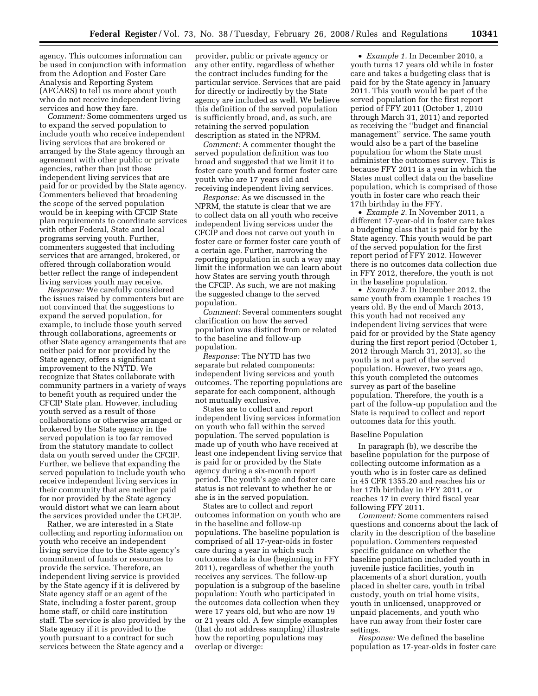agency. This outcomes information can be used in conjunction with information from the Adoption and Foster Care Analysis and Reporting System (AFCARS) to tell us more about youth who do not receive independent living services and how they fare.

*Comment:* Some commenters urged us to expand the served population to include youth who receive independent living services that are brokered or arranged by the State agency through an agreement with other public or private agencies, rather than just those independent living services that are paid for or provided by the State agency. Commenters believed that broadening the scope of the served population would be in keeping with CFCIP State plan requirements to coordinate services with other Federal, State and local programs serving youth. Further, commenters suggested that including services that are arranged, brokered, or offered through collaboration would better reflect the range of independent living services youth may receive.

*Response:* We carefully considered the issues raised by commenters but are not convinced that the suggestions to expand the served population, for example, to include those youth served through collaborations, agreements or other State agency arrangements that are neither paid for nor provided by the State agency, offers a significant improvement to the NYTD. We recognize that States collaborate with community partners in a variety of ways to benefit youth as required under the CFCIP State plan. However, including youth served as a result of those collaborations or otherwise arranged or brokered by the State agency in the served population is too far removed from the statutory mandate to collect data on youth served under the CFCIP. Further, we believe that expanding the served population to include youth who receive independent living services in their community that are neither paid for nor provided by the State agency would distort what we can learn about the services provided under the CFCIP.

Rather, we are interested in a State collecting and reporting information on youth who receive an independent living service due to the State agency's commitment of funds or resources to provide the service. Therefore, an independent living service is provided by the State agency if it is delivered by State agency staff or an agent of the State, including a foster parent, group home staff, or child care institution staff. The service is also provided by the State agency if it is provided to the youth pursuant to a contract for such services between the State agency and a

provider, public or private agency or any other entity, regardless of whether the contract includes funding for the particular service. Services that are paid for directly or indirectly by the State agency are included as well. We believe this definition of the served population is sufficiently broad, and, as such, are retaining the served population description as stated in the NPRM.

*Comment:* A commenter thought the served population definition was too broad and suggested that we limit it to foster care youth and former foster care youth who are 17 years old and receiving independent living services.

*Response:* As we discussed in the NPRM, the statute is clear that we are to collect data on all youth who receive independent living services under the CFCIP and does not carve out youth in foster care or former foster care youth of a certain age. Further, narrowing the reporting population in such a way may limit the information we can learn about how States are serving youth through the CFCIP. As such, we are not making the suggested change to the served population.

*Comment:* Several commenters sought clarification on how the served population was distinct from or related to the baseline and follow-up population.

*Response:* The NYTD has two separate but related components: independent living services and youth outcomes. The reporting populations are separate for each component, although not mutually exclusive.

States are to collect and report independent living services information on youth who fall within the served population. The served population is made up of youth who have received at least one independent living service that is paid for or provided by the State agency during a six-month report period. The youth's age and foster care status is not relevant to whether he or she is in the served population.

States are to collect and report outcomes information on youth who are in the baseline and follow-up populations. The baseline population is comprised of all 17-year-olds in foster care during a year in which such outcomes data is due (beginning in FFY 2011), regardless of whether the youth receives any services. The follow-up population is a subgroup of the baseline population: Youth who participated in the outcomes data collection when they were 17 years old, but who are now 19 or 21 years old. A few simple examples (that do not address sampling) illustrate how the reporting populations may overlap or diverge:

• *Example 1.* In December 2010, a youth turns 17 years old while in foster care and takes a budgeting class that is paid for by the State agency in January 2011. This youth would be part of the served population for the first report period of FFY 2011 (October 1, 2010 through March 31, 2011) and reported as receiving the ''budget and financial management'' service. The same youth would also be a part of the baseline population for whom the State must administer the outcomes survey. This is because FFY 2011 is a year in which the States must collect data on the baseline population, which is comprised of those youth in foster care who reach their 17th birthday in the FFY.

• *Example 2.* In November 2011, a different 17-year-old in foster care takes a budgeting class that is paid for by the State agency. This youth would be part of the served population for the first report period of FFY 2012. However there is no outcomes data collection due in FFY 2012, therefore, the youth is not in the baseline population.

• *Example 3.* In December 2012, the same youth from example 1 reaches 19 years old. By the end of March 2013, this youth had not received any independent living services that were paid for or provided by the State agency during the first report period (October 1, 2012 through March 31, 2013), so the youth is not a part of the served population. However, two years ago, this youth completed the outcomes survey as part of the baseline population. Therefore, the youth is a part of the follow-up population and the State is required to collect and report outcomes data for this youth.

#### Baseline Population

In paragraph (b), we describe the baseline population for the purpose of collecting outcome information as a youth who is in foster care as defined in 45 CFR 1355.20 and reaches his or her 17th birthday in FFY 2011, or reaches 17 in every third fiscal year following FFY 2011.

*Comment:* Some commenters raised questions and concerns about the lack of clarity in the description of the baseline population. Commenters requested specific guidance on whether the baseline population included youth in juvenile justice facilities, youth in placements of a short duration, youth placed in shelter care, youth in tribal custody, youth on trial home visits, youth in unlicensed, unapproved or unpaid placements, and youth who have run away from their foster care settings.

*Response:* We defined the baseline population as 17-year-olds in foster care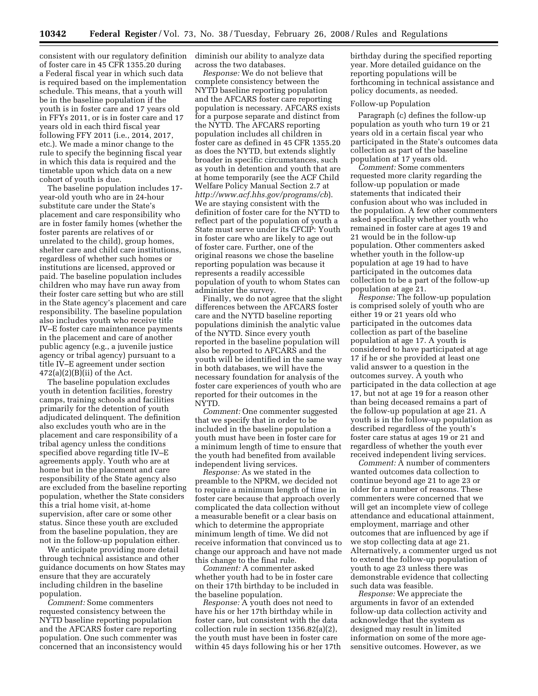consistent with our regulatory definition diminish our ability to analyze data of foster care in 45 CFR 1355.20 during a Federal fiscal year in which such data is required based on the implementation schedule. This means, that a youth will be in the baseline population if the youth is in foster care and 17 years old in FFYs 2011, or is in foster care and 17 years old in each third fiscal year following FFY 2011 (i.e., 2014, 2017, etc.). We made a minor change to the rule to specify the beginning fiscal year in which this data is required and the timetable upon which data on a new cohort of youth is due.

The baseline population includes 17 year-old youth who are in 24-hour substitute care under the State's placement and care responsibility who are in foster family homes (whether the foster parents are relatives of or unrelated to the child), group homes, shelter care and child care institutions, regardless of whether such homes or institutions are licensed, approved or paid. The baseline population includes children who may have run away from their foster care setting but who are still in the State agency's placement and care responsibility. The baseline population also includes youth who receive title IV–E foster care maintenance payments in the placement and care of another public agency (e.g., a juvenile justice agency or tribal agency) pursuant to a title IV–E agreement under section  $472(a)(2)(B)(ii)$  of the Act.

The baseline population excludes youth in detention facilities, forestry camps, training schools and facilities primarily for the detention of youth adjudicated delinquent. The definition also excludes youth who are in the placement and care responsibility of a tribal agency unless the conditions specified above regarding title IV–E agreements apply. Youth who are at home but in the placement and care responsibility of the State agency also are excluded from the baseline reporting population, whether the State considers this a trial home visit, at-home supervision, after care or some other status. Since these youth are excluded from the baseline population, they are not in the follow-up population either.

We anticipate providing more detail through technical assistance and other guidance documents on how States may ensure that they are accurately including children in the baseline population.

*Comment:* Some commenters requested consistency between the NYTD baseline reporting population and the AFCARS foster care reporting population. One such commenter was concerned that an inconsistency would across the two databases.

*Response:* We do not believe that complete consistency between the NYTD baseline reporting population and the AFCARS foster care reporting population is necessary. AFCARS exists for a purpose separate and distinct from the NYTD. The AFCARS reporting population includes all children in foster care as defined in 45 CFR 1355.20 as does the NYTD, but extends slightly broader in specific circumstances, such as youth in detention and youth that are at home temporarily (see the ACF Child Welfare Policy Manual Section 2.7 at *http://www.acf.hhs.gov/programs/cb*). We are staying consistent with the definition of foster care for the NYTD to reflect part of the population of youth a State must serve under its CFCIP: Youth in foster care who are likely to age out of foster care. Further, one of the original reasons we chose the baseline reporting population was because it represents a readily accessible population of youth to whom States can administer the survey.

Finally, we do not agree that the slight differences between the AFCARS foster care and the NYTD baseline reporting populations diminish the analytic value of the NYTD. Since every youth reported in the baseline population will also be reported to AFCARS and the youth will be identified in the same way in both databases, we will have the necessary foundation for analysis of the foster care experiences of youth who are reported for their outcomes in the NYTD.

*Comment:* One commenter suggested that we specify that in order to be included in the baseline population a youth must have been in foster care for a minimum length of time to ensure that the youth had benefited from available independent living services.

*Response:* As we stated in the preamble to the NPRM, we decided not to require a minimum length of time in foster care because that approach overly complicated the data collection without a measurable benefit or a clear basis on which to determine the appropriate minimum length of time. We did not receive information that convinced us to change our approach and have not made this change to the final rule.

*Comment:* A commenter asked whether youth had to be in foster care on their 17th birthday to be included in the baseline population.

*Response:* A youth does not need to have his or her 17th birthday while in foster care, but consistent with the data collection rule in section 1356.82(a)(2), the youth must have been in foster care within 45 days following his or her 17th birthday during the specified reporting year. More detailed guidance on the reporting populations will be forthcoming in technical assistance and policy documents, as needed.

#### Follow-up Population

Paragraph (c) defines the follow-up population as youth who turn 19 or 21 years old in a certain fiscal year who participated in the State's outcomes data collection as part of the baseline population at 17 years old.

*Comment:* Some commenters requested more clarity regarding the follow-up population or made statements that indicated their confusion about who was included in the population. A few other commenters asked specifically whether youth who remained in foster care at ages 19 and 21 would be in the follow-up population. Other commenters asked whether youth in the follow-up population at age 19 had to have participated in the outcomes data collection to be a part of the follow-up population at age 21.

*Response:* The follow-up population is comprised solely of youth who are either 19 or 21 years old who participated in the outcomes data collection as part of the baseline population at age 17. A youth is considered to have participated at age 17 if he or she provided at least one valid answer to a question in the outcomes survey. A youth who participated in the data collection at age 17, but not at age 19 for a reason other than being deceased remains a part of the follow-up population at age 21. A youth is in the follow-up population as described regardless of the youth's foster care status at ages 19 or 21 and regardless of whether the youth ever received independent living services.

*Comment:* A number of commenters wanted outcomes data collection to continue beyond age 21 to age 23 or older for a number of reasons. These commenters were concerned that we will get an incomplete view of college attendance and educational attainment, employment, marriage and other outcomes that are influenced by age if we stop collecting data at age 21. Alternatively, a commenter urged us not to extend the follow-up population of youth to age 23 unless there was demonstrable evidence that collecting such data was feasible.

*Response:* We appreciate the arguments in favor of an extended follow-up data collection activity and acknowledge that the system as designed may result in limited information on some of the more agesensitive outcomes. However, as we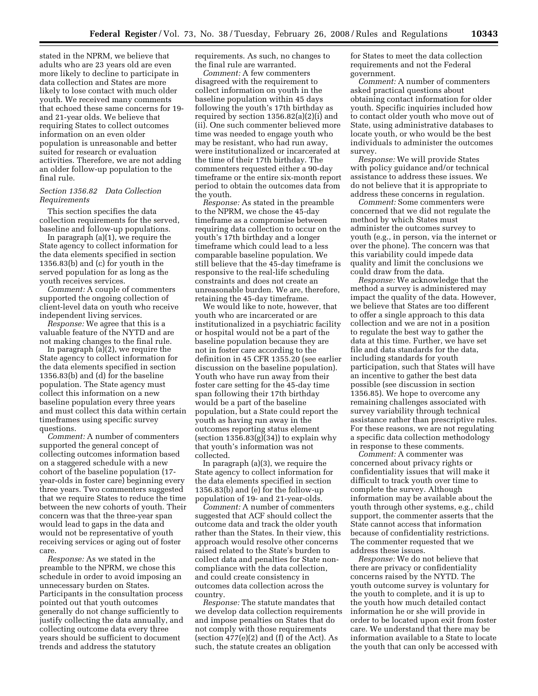stated in the NPRM, we believe that adults who are 23 years old are even more likely to decline to participate in data collection and States are more likely to lose contact with much older youth. We received many comments that echoed these same concerns for 19 and 21-year olds. We believe that requiring States to collect outcomes information on an even older population is unreasonable and better suited for research or evaluation activities. Therefore, we are not adding an older follow-up population to the final rule.

#### *Section 1356.82 Data Collection Requirements*

This section specifies the data collection requirements for the served, baseline and follow-up populations.

In paragraph (a)(1), we require the State agency to collect information for the data elements specified in section 1356.83(b) and (c) for youth in the served population for as long as the youth receives services.

*Comment:* A couple of commenters supported the ongoing collection of client-level data on youth who receive independent living services.

*Response:* We agree that this is a valuable feature of the NYTD and are not making changes to the final rule.

In paragraph (a)(2), we require the State agency to collect information for the data elements specified in section 1356.83(b) and (d) for the baseline population. The State agency must collect this information on a new baseline population every three years and must collect this data within certain timeframes using specific survey questions.

*Comment:* A number of commenters supported the general concept of collecting outcomes information based on a staggered schedule with a new cohort of the baseline population (17 year-olds in foster care) beginning every three years. Two commenters suggested that we require States to reduce the time between the new cohorts of youth. Their concern was that the three-year span would lead to gaps in the data and would not be representative of youth receiving services or aging out of foster care.

*Response:* As we stated in the preamble to the NPRM, we chose this schedule in order to avoid imposing an unnecessary burden on States. Participants in the consultation process pointed out that youth outcomes generally do not change sufficiently to justify collecting the data annually, and collecting outcome data every three years should be sufficient to document trends and address the statutory

requirements. As such, no changes to the final rule are warranted.

*Comment:* A few commenters disagreed with the requirement to collect information on youth in the baseline population within 45 days following the youth's 17th birthday as required by section 1356.82(a)(2)(i) and (ii). One such commenter believed more time was needed to engage youth who may be resistant, who had run away, were institutionalized or incarcerated at the time of their 17th birthday. The commenters requested either a 90-day timeframe or the entire six-month report period to obtain the outcomes data from the youth.

*Response:* As stated in the preamble to the NPRM, we chose the 45-day timeframe as a compromise between requiring data collection to occur on the youth's 17th birthday and a longer timeframe which could lead to a less comparable baseline population. We still believe that the 45-day timeframe is responsive to the real-life scheduling constraints and does not create an unreasonable burden. We are, therefore, retaining the 45-day timeframe.

We would like to note, however, that youth who are incarcerated or are institutionalized in a psychiatric facility or hospital would not be a part of the baseline population because they are not in foster care according to the definition in 45 CFR 1355.20 (see earlier discussion on the baseline population). Youth who have run away from their foster care setting for the 45-day time span following their 17th birthday would be a part of the baseline population, but a State could report the youth as having run away in the outcomes reporting status element (section  $1356.83(g)(34)$ ) to explain why that youth's information was not collected.

In paragraph (a)(3), we require the State agency to collect information for the data elements specified in section 1356.83(b) and (e) for the follow-up population of 19- and 21-year-olds.

*Comment:* A number of commenters suggested that ACF should collect the outcome data and track the older youth rather than the States. In their view, this approach would resolve other concerns raised related to the State's burden to collect data and penalties for State noncompliance with the data collection, and could create consistency in outcomes data collection across the country.

*Response:* The statute mandates that we develop data collection requirements and impose penalties on States that do not comply with those requirements (section  $477(e)(2)$  and (f) of the Act). As such, the statute creates an obligation

for States to meet the data collection requirements and not the Federal government.

*Comment:* A number of commenters asked practical questions about obtaining contact information for older youth. Specific inquiries included how to contact older youth who move out of State, using administrative databases to locate youth, or who would be the best individuals to administer the outcomes survey.

*Response:* We will provide States with policy guidance and/or technical assistance to address these issues. We do not believe that it is appropriate to address these concerns in regulation.

*Comment:* Some commenters were concerned that we did not regulate the method by which States must administer the outcomes survey to youth (e.g., in person, via the internet or over the phone). The concern was that this variability could impede data quality and limit the conclusions we could draw from the data.

*Response:* We acknowledge that the method a survey is administered may impact the quality of the data. However, we believe that States are too different to offer a single approach to this data collection and we are not in a position to regulate the best way to gather the data at this time. Further, we have set file and data standards for the data, including standards for youth participation, such that States will have an incentive to gather the best data possible (see discussion in section 1356.85). We hope to overcome any remaining challenges associated with survey variability through technical assistance rather than prescriptive rules. For these reasons, we are not regulating a specific data collection methodology in response to these comments.

*Comment:* A commenter was concerned about privacy rights or confidentiality issues that will make it difficult to track youth over time to complete the survey. Although information may be available about the youth through other systems, e.g., child support, the commenter asserts that the State cannot access that information because of confidentiality restrictions. The commenter requested that we address these issues.

*Response:* We do not believe that there are privacy or confidentiality concerns raised by the NYTD. The youth outcome survey is voluntary for the youth to complete, and it is up to the youth how much detailed contact information he or she will provide in order to be located upon exit from foster care. We understand that there may be information available to a State to locate the youth that can only be accessed with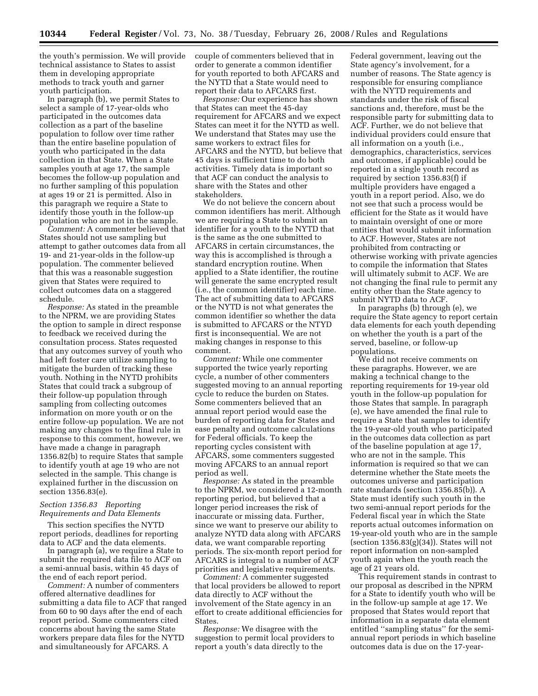the youth's permission. We will provide technical assistance to States to assist them in developing appropriate methods to track youth and garner youth participation.

In paragraph (b), we permit States to select a sample of 17-year-olds who participated in the outcomes data collection as a part of the baseline population to follow over time rather than the entire baseline population of youth who participated in the data collection in that State. When a State samples youth at age 17, the sample becomes the follow-up population and no further sampling of this population at ages 19 or 21 is permitted. Also in this paragraph we require a State to identify those youth in the follow-up population who are not in the sample.

*Comment:* A commenter believed that States should not use sampling but attempt to gather outcomes data from all 19- and 21-year-olds in the follow-up population. The commenter believed that this was a reasonable suggestion given that States were required to collect outcomes data on a staggered schedule.

*Response:* As stated in the preamble to the NPRM, we are providing States the option to sample in direct response to feedback we received during the consultation process. States requested that any outcomes survey of youth who had left foster care utilize sampling to mitigate the burden of tracking these youth. Nothing in the NYTD prohibits States that could track a subgroup of their follow-up population through sampling from collecting outcomes information on more youth or on the entire follow-up population. We are not making any changes to the final rule in response to this comment, however, we have made a change in paragraph 1356.82(b) to require States that sample to identify youth at age 19 who are not selected in the sample. This change is explained further in the discussion on section 1356.83(e).

#### *Section 1356.83 Reporting Requirements and Data Elements*

This section specifies the NYTD report periods, deadlines for reporting data to ACF and the data elements.

In paragraph (a), we require a State to submit the required data file to ACF on a semi-annual basis, within 45 days of the end of each report period.

*Comment:* A number of commenters offered alternative deadlines for submitting a data file to ACF that ranged from 60 to 90 days after the end of each report period. Some commenters cited concerns about having the same State workers prepare data files for the NYTD and simultaneously for AFCARS. A

couple of commenters believed that in order to generate a common identifier for youth reported to both AFCARS and the NYTD that a State would need to report their data to AFCARS first.

*Response:* Our experience has shown that States can meet the 45-day requirement for AFCARS and we expect States can meet it for the NYTD as well. We understand that States may use the same workers to extract files for AFCARS and the NYTD, but believe that 45 days is sufficient time to do both activities. Timely data is important so that ACF can conduct the analysis to share with the States and other stakeholders.

We do not believe the concern about common identifiers has merit. Although we are requiring a State to submit an identifier for a youth to the NYTD that is the same as the one submitted to AFCARS in certain circumstances, the way this is accomplished is through a standard encryption routine. When applied to a State identifier, the routine will generate the same encrypted result (i.e., the common identifier) each time. The act of submitting data to AFCARS or the NYTD is not what generates the common identifier so whether the data is submitted to AFCARS or the NTYD first is inconsequential. We are not making changes in response to this comment.

*Comment:* While one commenter supported the twice yearly reporting cycle, a number of other commenters suggested moving to an annual reporting cycle to reduce the burden on States. Some commenters believed that an annual report period would ease the burden of reporting data for States and ease penalty and outcome calculations for Federal officials. To keep the reporting cycles consistent with AFCARS, some commenters suggested moving AFCARS to an annual report period as well.

*Response:* As stated in the preamble to the NPRM, we considered a 12-month reporting period, but believed that a longer period increases the risk of inaccurate or missing data. Further, since we want to preserve our ability to analyze NYTD data along with AFCARS data, we want comparable reporting periods. The six-month report period for AFCARS is integral to a number of ACF priorities and legislative requirements.

*Comment:* A commenter suggested that local providers be allowed to report data directly to ACF without the involvement of the State agency in an effort to create additional efficiencies for States.

*Response:* We disagree with the suggestion to permit local providers to report a youth's data directly to the

Federal government, leaving out the State agency's involvement, for a number of reasons. The State agency is responsible for ensuring compliance with the NYTD requirements and standards under the risk of fiscal sanctions and, therefore, must be the responsible party for submitting data to ACF. Further, we do not believe that individual providers could ensure that all information on a youth (i.e., demographics, characteristics, services and outcomes, if applicable) could be reported in a single youth record as required by section 1356.83(f) if multiple providers have engaged a youth in a report period. Also, we do not see that such a process would be efficient for the State as it would have to maintain oversight of one or more entities that would submit information to ACF. However, States are not prohibited from contracting or otherwise working with private agencies to compile the information that States will ultimately submit to ACF. We are not changing the final rule to permit any entity other than the State agency to submit NYTD data to ACF.

In paragraphs (b) through (e), we require the State agency to report certain data elements for each youth depending on whether the youth is a part of the served, baseline, or follow-up populations.

We did not receive comments on these paragraphs. However, we are making a technical change to the reporting requirements for 19-year old youth in the follow-up population for those States that sample. In paragraph (e), we have amended the final rule to require a State that samples to identify the 19-year-old youth who participated in the outcomes data collection as part of the baseline population at age 17, who are not in the sample. This information is required so that we can determine whether the State meets the outcomes universe and participation rate standards (section 1356.85(b)). A State must identify such youth in the two semi-annual report periods for the Federal fiscal year in which the State reports actual outcomes information on 19-year-old youth who are in the sample (section  $1356.83(g)(34)$ ). States will not report information on non-sampled youth again when the youth reach the age of 21 years old.

This requirement stands in contrast to our proposal as described in the NPRM for a State to identify youth who will be in the follow-up sample at age 17. We proposed that States would report that information in a separate data element entitled ''sampling status'' for the semiannual report periods in which baseline outcomes data is due on the 17-year-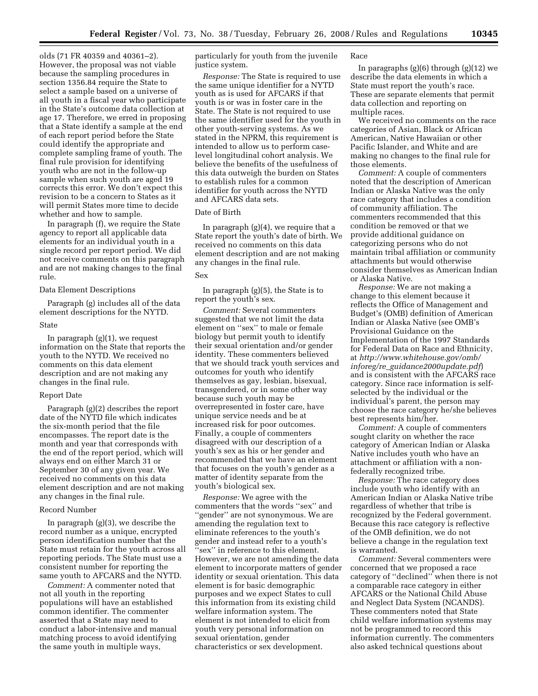olds (71 FR 40359 and 40361–2). However, the proposal was not viable because the sampling procedures in section 1356.84 require the State to select a sample based on a universe of all youth in a fiscal year who participate in the State's outcome data collection at age 17. Therefore, we erred in proposing that a State identify a sample at the end of each report period before the State could identify the appropriate and complete sampling frame of youth. The final rule provision for identifying youth who are not in the follow-up sample when such youth are aged 19 corrects this error. We don't expect this revision to be a concern to States as it will permit States more time to decide whether and how to sample.

In paragraph (f), we require the State agency to report all applicable data elements for an individual youth in a single record per report period. We did not receive comments on this paragraph and are not making changes to the final rule.

#### Data Element Descriptions

Paragraph (g) includes all of the data element descriptions for the NYTD.

#### State

In paragraph  $(g)(1)$ , we request information on the State that reports the youth to the NYTD. We received no comments on this data element description and are not making any changes in the final rule.

#### Report Date

Paragraph (g)(2) describes the report date of the NYTD file which indicates the six-month period that the file encompasses. The report date is the month and year that corresponds with the end of the report period, which will always end on either March 31 or September 30 of any given year. We received no comments on this data element description and are not making any changes in the final rule.

#### Record Number

In paragraph (g)(3), we describe the record number as a unique, encrypted person identification number that the State must retain for the youth across all reporting periods. The State must use a consistent number for reporting the same youth to AFCARS and the NYTD.

*Comment:* A commenter noted that not all youth in the reporting populations will have an established common identifier. The commenter asserted that a State may need to conduct a labor-intensive and manual matching process to avoid identifying the same youth in multiple ways,

particularly for youth from the juvenile justice system.

*Response:* The State is required to use the same unique identifier for a NYTD youth as is used for AFCARS if that youth is or was in foster care in the State. The State is not required to use the same identifier used for the youth in other youth-serving systems. As we stated in the NPRM, this requirement is intended to allow us to perform caselevel longitudinal cohort analysis. We believe the benefits of the usefulness of this data outweigh the burden on States to establish rules for a common identifier for youth across the NYTD and AFCARS data sets.

#### Date of Birth

In paragraph (g)(4), we require that a State report the youth's date of birth. We received no comments on this data element description and are not making any changes in the final rule.

## Sex

In paragraph (g)(5), the State is to report the youth's sex.

*Comment:* Several commenters suggested that we not limit the data element on ''sex'' to male or female biology but permit youth to identify their sexual orientation and/or gender identity. These commenters believed that we should track youth services and outcomes for youth who identify themselves as gay, lesbian, bisexual, transgendered, or in some other way because such youth may be overrepresented in foster care, have unique service needs and be at increased risk for poor outcomes. Finally, a couple of commenters disagreed with our description of a youth's sex as his or her gender and recommended that we have an element that focuses on the youth's gender as a matter of identity separate from the youth's biological sex.

*Response:* We agree with the commenters that the words ''sex'' and ''gender'' are not synonymous. We are amending the regulation text to eliminate references to the youth's gender and instead refer to a youth's ''sex'' in reference to this element. However, we are not amending the data element to incorporate matters of gender identity or sexual orientation. This data element is for basic demographic purposes and we expect States to cull this information from its existing child welfare information system. The element is not intended to elicit from youth very personal information on sexual orientation, gender characteristics or sex development.

#### Race

In paragraphs (g)(6) through (g)(12) we describe the data elements in which a State must report the youth's race. These are separate elements that permit data collection and reporting on multiple races.

We received no comments on the race categories of Asian, Black or African American, Native Hawaiian or other Pacific Islander, and White and are making no changes to the final rule for those elements.

*Comment:* A couple of commenters noted that the description of American Indian or Alaska Native was the only race category that includes a condition of community affiliation. The commenters recommended that this condition be removed or that we provide additional guidance on categorizing persons who do not maintain tribal affiliation or community attachments but would otherwise consider themselves as American Indian or Alaska Native.

*Response:* We are not making a change to this element because it reflects the Office of Management and Budget's (OMB) definition of American Indian or Alaska Native (see OMB's Provisional Guidance on the Implementation of the 1997 Standards for Federal Data on Race and Ethnicity, at *http://www.whitehouse.gov/omb/ inforeg/re*\_*guidance2000update.pdf*) and is consistent with the AFCARS race category. Since race information is selfselected by the individual or the individual's parent, the person may choose the race category he/she believes best represents him/her.

*Comment:* A couple of commenters sought clarity on whether the race category of American Indian or Alaska Native includes youth who have an attachment or affiliation with a nonfederally recognized tribe.

*Response:* The race category does include youth who identify with an American Indian or Alaska Native tribe regardless of whether that tribe is recognized by the Federal government. Because this race category is reflective of the OMB definition, we do not believe a change in the regulation text is warranted.

*Comment:* Several commenters were concerned that we proposed a race category of ''declined'' when there is not a comparable race category in either AFCARS or the National Child Abuse and Neglect Data System (NCANDS). These commenters noted that State child welfare information systems may not be programmed to record this information currently. The commenters also asked technical questions about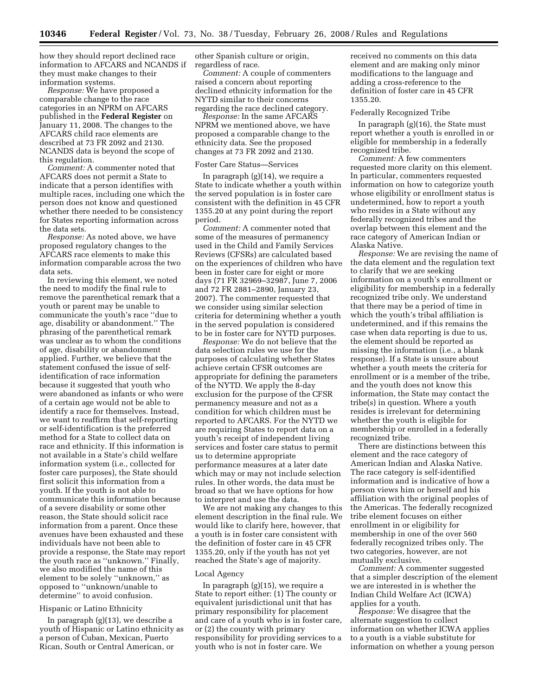how they should report declined race information to AFCARS and NCANDS if they must make changes to their information systems.

*Response:* We have proposed a comparable change to the race categories in an NPRM on AFCARS published in the **Federal Register** on January 11, 2008. The changes to the AFCARS child race elements are described at 73 FR 2092 and 2130. NCANDS data is beyond the scope of this regulation.

*Comment:* A commenter noted that AFCARS does not permit a State to indicate that a person identifies with multiple races, including one which the person does not know and questioned whether there needed to be consistency for States reporting information across the data sets.

*Response:* As noted above, we have proposed regulatory changes to the AFCARS race elements to make this information comparable across the two data sets.

In reviewing this element, we noted the need to modify the final rule to remove the parenthetical remark that a youth or parent may be unable to communicate the youth's race ''due to age, disability or abandonment.'' The phrasing of the parenthetical remark was unclear as to whom the conditions of age, disability or abandonment applied. Further, we believe that the statement confused the issue of selfidentification of race information because it suggested that youth who were abandoned as infants or who were of a certain age would not be able to identify a race for themselves. Instead, we want to reaffirm that self-reporting or self-identification is the preferred method for a State to collect data on race and ethnicity. If this information is not available in a State's child welfare information system (i.e., collected for foster care purposes), the State should first solicit this information from a youth. If the youth is not able to communicate this information because of a severe disability or some other reason, the State should solicit race information from a parent. Once these avenues have been exhausted and these individuals have not been able to provide a response, the State may report the youth race as ''unknown.'' Finally, we also modified the name of this element to be solely ''unknown,'' as opposed to ''unknown/unable to determine'' to avoid confusion.

#### Hispanic or Latino Ethnicity

In paragraph (g)(13), we describe a youth of Hispanic or Latino ethnicity as a person of Cuban, Mexican, Puerto Rican, South or Central American, or

other Spanish culture or origin, regardless of race.

*Comment:* A couple of commenters raised a concern about reporting declined ethnicity information for the NYTD similar to their concerns regarding the race declined category.

*Response:* In the same AFCARS NPRM we mentioned above, we have proposed a comparable change to the ethnicity data. See the proposed changes at 73 FR 2092 and 2130.

#### Foster Care Status—Services

In paragraph (g)(14), we require a State to indicate whether a youth within the served population is in foster care consistent with the definition in 45 CFR 1355.20 at any point during the report period.

*Comment:* A commenter noted that some of the measures of permanency used in the Child and Family Services Reviews (CFSRs) are calculated based on the experiences of children who have been in foster care for eight or more days (71 FR 32969–32987, June 7, 2006 and 72 FR 2881–2890, January 23, 2007). The commenter requested that we consider using similar selection criteria for determining whether a youth in the served population is considered to be in foster care for NYTD purposes.

*Response:* We do not believe that the data selection rules we use for the purposes of calculating whether States achieve certain CFSR outcomes are appropriate for defining the parameters of the NYTD. We apply the 8-day exclusion for the purpose of the CFSR permanency measure and not as a condition for which children must be reported to AFCARS. For the NYTD we are requiring States to report data on a youth's receipt of independent living services and foster care status to permit us to determine appropriate performance measures at a later date which may or may not include selection rules. In other words, the data must be broad so that we have options for how to interpret and use the data.

We are not making any changes to this element description in the final rule. We would like to clarify here, however, that a youth is in foster care consistent with the definition of foster care in 45 CFR 1355.20, only if the youth has not yet reached the State's age of majority.

### Local Agency

In paragraph (g)(15), we require a State to report either: (1) The county or equivalent jurisdictional unit that has primary responsibility for placement and care of a youth who is in foster care, or (2) the county with primary responsibility for providing services to a youth who is not in foster care. We

received no comments on this data element and are making only minor modifications to the language and adding a cross-reference to the definition of foster care in 45 CFR 1355.20.

#### Federally Recognized Tribe

In paragraph (g)(16), the State must report whether a youth is enrolled in or eligible for membership in a federally recognized tribe.

*Comment:* A few commenters requested more clarity on this element. In particular, commenters requested information on how to categorize youth whose eligibility or enrollment status is undetermined, how to report a youth who resides in a State without any federally recognized tribes and the overlap between this element and the race category of American Indian or Alaska Native.

*Response:* We are revising the name of the data element and the regulation text to clarify that we are seeking information on a youth's enrollment or eligibility for membership in a federally recognized tribe only. We understand that there may be a period of time in which the youth's tribal affiliation is undetermined, and if this remains the case when data reporting is due to us, the element should be reported as missing the information (i.e., a blank response). If a State is unsure about whether a youth meets the criteria for enrollment or is a member of the tribe, and the youth does not know this information, the State may contact the tribe(s) in question. Where a youth resides is irrelevant for determining whether the youth is eligible for membership or enrolled in a federally recognized tribe.

There are distinctions between this element and the race category of American Indian and Alaska Native. The race category is self-identified information and is indicative of how a person views him or herself and his affiliation with the original peoples of the Americas. The federally recognized tribe element focuses on either enrollment in or eligibility for membership in one of the over 560 federally recognized tribes only. The two categories, however, are not mutually exclusive.

*Comment:* A commenter suggested that a simpler description of the element we are interested in is whether the Indian Child Welfare Act (ICWA) applies for a youth.

*Response:* We disagree that the alternate suggestion to collect information on whether ICWA applies to a youth is a viable substitute for information on whether a young person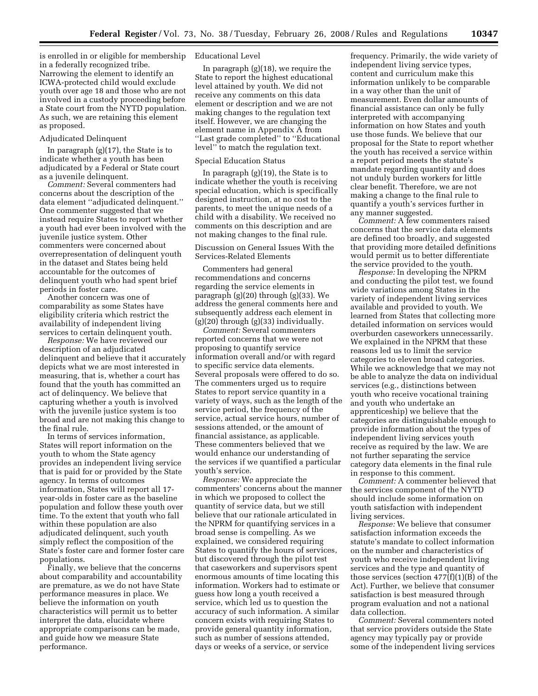is enrolled in or eligible for membership in a federally recognized tribe. Narrowing the element to identify an ICWA-protected child would exclude youth over age 18 and those who are not involved in a custody proceeding before a State court from the NYTD population. As such, we are retaining this element as proposed.

#### Adjudicated Delinquent

In paragraph (g)(17), the State is to indicate whether a youth has been adjudicated by a Federal or State court as a juvenile delinquent.

*Comment:* Several commenters had concerns about the description of the data element ''adjudicated delinquent.'' One commenter suggested that we instead require States to report whether a youth had ever been involved with the juvenile justice system. Other commenters were concerned about overrepresentation of delinquent youth in the dataset and States being held accountable for the outcomes of delinquent youth who had spent brief periods in foster care.

Another concern was one of comparability as some States have eligibility criteria which restrict the availability of independent living services to certain delinquent youth.

*Response:* We have reviewed our description of an adjudicated delinquent and believe that it accurately depicts what we are most interested in measuring, that is, whether a court has found that the youth has committed an act of delinquency. We believe that capturing whether a youth is involved with the juvenile justice system is too broad and are not making this change to the final rule.

In terms of services information, States will report information on the youth to whom the State agency provides an independent living service that is paid for or provided by the State agency. In terms of outcomes information, States will report all 17 year-olds in foster care as the baseline population and follow these youth over time. To the extent that youth who fall within these population are also adjudicated delinquent, such youth simply reflect the composition of the State's foster care and former foster care populations.

Finally, we believe that the concerns about comparability and accountability are premature, as we do not have State performance measures in place. We believe the information on youth characteristics will permit us to better interpret the data, elucidate where appropriate comparisons can be made, and guide how we measure State performance.

#### Educational Level

In paragraph (g)(18), we require the State to report the highest educational level attained by youth. We did not receive any comments on this data element or description and we are not making changes to the regulation text itself. However, we are changing the element name in Appendix A from ''Last grade completed'' to ''Educational level'' to match the regulation text.

#### Special Education Status

In paragraph (g)(19), the State is to indicate whether the youth is receiving special education, which is specifically designed instruction, at no cost to the parents, to meet the unique needs of a child with a disability. We received no comments on this description and are not making changes to the final rule.

#### Discussion on General Issues With the Services-Related Elements

Commenters had general recommendations and concerns regarding the service elements in paragraph (g)(20) through (g)(33). We address the general comments here and subsequently address each element in  $(g)(20)$  through  $(g)(33)$  individually.

*Comment:* Several commenters reported concerns that we were not proposing to quantify service information overall and/or with regard to specific service data elements. Several proposals were offered to do so. The commenters urged us to require States to report service quantity in a variety of ways, such as the length of the service period, the frequency of the service, actual service hours, number of sessions attended, or the amount of financial assistance, as applicable. These commenters believed that we would enhance our understanding of the services if we quantified a particular youth's service.

*Response:* We appreciate the commenters' concerns about the manner in which we proposed to collect the quantity of service data, but we still believe that our rationale articulated in the NPRM for quantifying services in a broad sense is compelling. As we explained, we considered requiring States to quantify the hours of services, but discovered through the pilot test that caseworkers and supervisors spent enormous amounts of time locating this information. Workers had to estimate or guess how long a youth received a service, which led us to question the accuracy of such information. A similar concern exists with requiring States to provide general quantity information, such as number of sessions attended, days or weeks of a service, or service

frequency. Primarily, the wide variety of independent living service types, content and curriculum make this information unlikely to be comparable in a way other than the unit of measurement. Even dollar amounts of financial assistance can only be fully interpreted with accompanying information on how States and youth use those funds. We believe that our proposal for the State to report whether the youth has received a service within a report period meets the statute's mandate regarding quantity and does not unduly burden workers for little clear benefit. Therefore, we are not making a change to the final rule to quantify a youth's services further in any manner suggested.

*Comment:* A few commenters raised concerns that the service data elements are defined too broadly, and suggested that providing more detailed definitions would permit us to better differentiate the service provided to the youth.

*Response:* In developing the NPRM and conducting the pilot test, we found wide variations among States in the variety of independent living services available and provided to youth. We learned from States that collecting more detailed information on services would overburden caseworkers unnecessarily. We explained in the NPRM that these reasons led us to limit the service categories to eleven broad categories. While we acknowledge that we may not be able to analyze the data on individual services (e.g., distinctions between youth who receive vocational training and youth who undertake an apprenticeship) we believe that the categories are distinguishable enough to provide information about the types of independent living services youth receive as required by the law. We are not further separating the service category data elements in the final rule in response to this comment.

*Comment:* A commenter believed that the services component of the NYTD should include some information on youth satisfaction with independent living services.

*Response:* We believe that consumer satisfaction information exceeds the statute's mandate to collect information on the number and characteristics of youth who receive independent living services and the type and quantity of those services (section  $477(f)(1)(B)$  of the Act). Further, we believe that consumer satisfaction is best measured through program evaluation and not a national data collection.

*Comment:* Several commenters noted that service providers outside the State agency may typically pay or provide some of the independent living services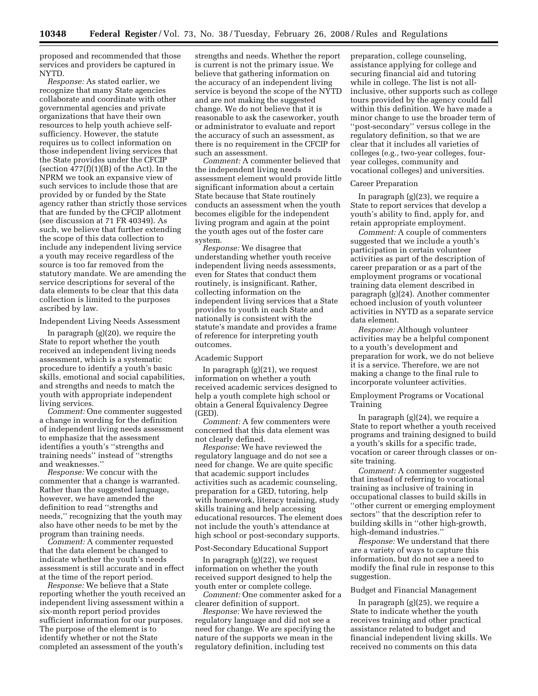proposed and recommended that those services and providers be captured in NYTD.

*Response:* As stated earlier, we recognize that many State agencies collaborate and coordinate with other governmental agencies and private organizations that have their own resources to help youth achieve selfsufficiency. However, the statute requires us to collect information on those independent living services that the State provides under the CFCIP (section  $477(f)(1)(B)$  of the Act). In the NPRM we took an expansive view of such services to include those that are provided by or funded by the State agency rather than strictly those services that are funded by the CFCIP allotment (see discussion at 71 FR 40349). As such, we believe that further extending the scope of this data collection to include any independent living service a youth may receive regardless of the source is too far removed from the statutory mandate. We are amending the service descriptions for several of the data elements to be clear that this data collection is limited to the purposes ascribed by law.

#### Independent Living Needs Assessment

In paragraph (g)(20), we require the State to report whether the youth received an independent living needs assessment, which is a systematic procedure to identify a youth's basic skills, emotional and social capabilities, and strengths and needs to match the youth with appropriate independent living services.

*Comment:* One commenter suggested a change in wording for the definition of independent living needs assessment to emphasize that the assessment identifies a youth's ''strengths and training needs'' instead of ''strengths and weaknesses.''

*Response:* We concur with the commenter that a change is warranted. Rather than the suggested language, however, we have amended the definition to read ''strengths and needs,'' recognizing that the youth may also have other needs to be met by the program than training needs.

*Comment:* A commenter requested that the data element be changed to indicate whether the youth's needs assessment is still accurate and in effect at the time of the report period.

*Response:* We believe that a State reporting whether the youth received an independent living assessment within a six-month report period provides sufficient information for our purposes. The purpose of the element is to identify whether or not the State completed an assessment of the youth's

strengths and needs. Whether the report is current is not the primary issue. We believe that gathering information on the accuracy of an independent living service is beyond the scope of the NYTD and are not making the suggested change. We do not believe that it is reasonable to ask the caseworker, youth or administrator to evaluate and report the accuracy of such an assessment, as there is no requirement in the CFCIP for such an assessment.

*Comment:* A commenter believed that the independent living needs assessment element would provide little significant information about a certain State because that State routinely conducts an assessment when the youth becomes eligible for the independent living program and again at the point the youth ages out of the foster care system.

*Response:* We disagree that understanding whether youth receive independent living needs assessments, even for States that conduct them routinely, is insignificant. Rather, collecting information on the independent living services that a State provides to youth in each State and nationally is consistent with the statute's mandate and provides a frame of reference for interpreting youth outcomes.

#### Academic Support

In paragraph (g)(21), we request information on whether a youth received academic services designed to help a youth complete high school or obtain a General Equivalency Degree (GED).

*Comment:* A few commenters were concerned that this data element was not clearly defined.

*Response:* We have reviewed the regulatory language and do not see a need for change. We are quite specific that academic support includes activities such as academic counseling, preparation for a GED, tutoring, help with homework, literacy training, study skills training and help accessing educational resources. The element does not include the youth's attendance at high school or post-secondary supports.

#### Post-Secondary Educational Support

In paragraph (g)(22), we request information on whether the youth received support designed to help the youth enter or complete college.

*Comment:* One commenter asked for a clearer definition of support.

*Response:* We have reviewed the regulatory language and did not see a need for change. We are specifying the nature of the supports we mean in the regulatory definition, including test

preparation, college counseling, assistance applying for college and securing financial aid and tutoring while in college. The list is not allinclusive, other supports such as college tours provided by the agency could fall within this definition. We have made a minor change to use the broader term of ''post-secondary'' versus college in the regulatory definition, so that we are clear that it includes all varieties of colleges (e.g., two-year colleges, fouryear colleges, community and vocational colleges) and universities.

#### Career Preparation

In paragraph (g)(23), we require a State to report services that develop a youth's ability to find, apply for, and retain appropriate employment.

*Comment:* A couple of commenters suggested that we include a youth's participation in certain volunteer activities as part of the description of career preparation or as a part of the employment programs or vocational training data element described in paragraph (g)(24). Another commenter echoed inclusion of youth volunteer activities in NYTD as a separate service data element.

*Response:* Although volunteer activities may be a helpful component to a youth's development and preparation for work, we do not believe it is a service. Therefore, we are not making a change to the final rule to incorporate volunteer activities.

Employment Programs or Vocational Training

In paragraph (g)(24), we require a State to report whether a youth received programs and training designed to build a youth's skills for a specific trade, vocation or career through classes or onsite training.

*Comment:* A commenter suggested that instead of referring to vocational training as inclusive of training in occupational classes to build skills in ''other current or emerging employment sectors'' that the description refer to building skills in ''other high-growth, high-demand industries.''

*Response:* We understand that there are a variety of ways to capture this information, but do not see a need to modify the final rule in response to this suggestion.

#### Budget and Financial Management

In paragraph (g)(25), we require a State to indicate whether the youth receives training and other practical assistance related to budget and financial independent living skills. We received no comments on this data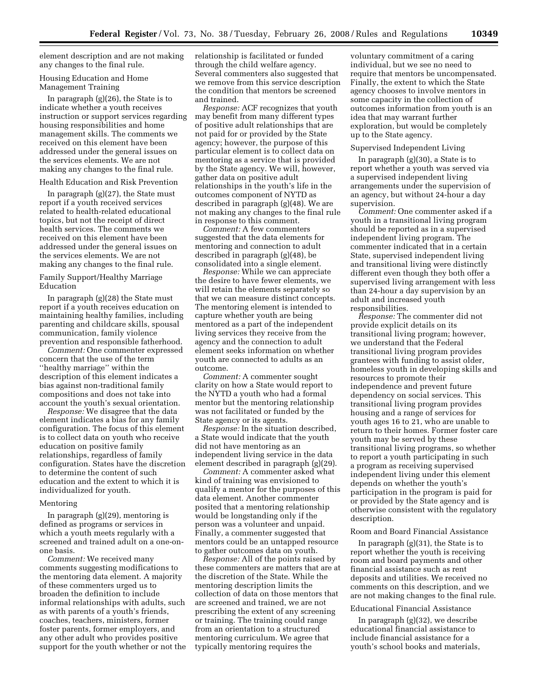element description and are not making any changes to the final rule.

#### Housing Education and Home Management Training

In paragraph (g)(26), the State is to indicate whether a youth receives instruction or support services regarding housing responsibilities and home management skills. The comments we received on this element have been addressed under the general issues on the services elements. We are not making any changes to the final rule.

#### Health Education and Risk Prevention

In paragraph (g)(27), the State must report if a youth received services related to health-related educational topics, but not the receipt of direct health services. The comments we received on this element have been addressed under the general issues on the services elements. We are not making any changes to the final rule.

#### Family Support/Healthy Marriage Education

In paragraph (g)(28) the State must report if a youth receives education on maintaining healthy families, including parenting and childcare skills, spousal communication, family violence prevention and responsible fatherhood.

*Comment:* One commenter expressed concern that the use of the term ''healthy marriage'' within the description of this element indicates a bias against non-traditional family compositions and does not take into account the youth's sexual orientation.

*Response:* We disagree that the data element indicates a bias for any family configuration. The focus of this element is to collect data on youth who receive education on positive family relationships, regardless of family configuration. States have the discretion to determine the content of such education and the extent to which it is individualized for youth.

#### Mentoring

In paragraph (g)(29), mentoring is defined as programs or services in which a youth meets regularly with a screened and trained adult on a one-onone basis.

*Comment:* We received many comments suggesting modifications to the mentoring data element. A majority of these commenters urged us to broaden the definition to include informal relationships with adults, such as with parents of a youth's friends, coaches, teachers, ministers, former foster parents, former employers, and any other adult who provides positive support for the youth whether or not the relationship is facilitated or funded through the child welfare agency. Several commenters also suggested that we remove from this service description the condition that mentors be screened and trained.

*Response:* ACF recognizes that youth may benefit from many different types of positive adult relationships that are not paid for or provided by the State agency; however, the purpose of this particular element is to collect data on mentoring as a service that is provided by the State agency. We will, however, gather data on positive adult relationships in the youth's life in the outcomes component of NYTD as described in paragraph (g)(48). We are not making any changes to the final rule in response to this comment.

*Comment:* A few commenters suggested that the data elements for mentoring and connection to adult described in paragraph (g)(48), be consolidated into a single element.

*Response:* While we can appreciate the desire to have fewer elements, we will retain the elements separately so that we can measure distinct concepts. The mentoring element is intended to capture whether youth are being mentored as a part of the independent living services they receive from the agency and the connection to adult element seeks information on whether youth are connected to adults as an outcome.

*Comment:* A commenter sought clarity on how a State would report to the NYTD a youth who had a formal mentor but the mentoring relationship was not facilitated or funded by the State agency or its agents.

*Response:* In the situation described, a State would indicate that the youth did not have mentoring as an independent living service in the data element described in paragraph (g)(29).

*Comment:* A commenter asked what kind of training was envisioned to qualify a mentor for the purposes of this data element. Another commenter posited that a mentoring relationship would be longstanding only if the person was a volunteer and unpaid. Finally, a commenter suggested that mentors could be an untapped resource to gather outcomes data on youth.

*Response:* All of the points raised by these commenters are matters that are at the discretion of the State. While the mentoring description limits the collection of data on those mentors that are screened and trained, we are not prescribing the extent of any screening or training. The training could range from an orientation to a structured mentoring curriculum. We agree that typically mentoring requires the

voluntary commitment of a caring individual, but we see no need to require that mentors be uncompensated. Finally, the extent to which the State agency chooses to involve mentors in some capacity in the collection of outcomes information from youth is an idea that may warrant further exploration, but would be completely up to the State agency.

#### Supervised Independent Living

In paragraph (g)(30), a State is to report whether a youth was served via a supervised independent living arrangements under the supervision of an agency, but without 24-hour a day supervision.

*Comment:* One commenter asked if a youth in a transitional living program should be reported as in a supervised independent living program. The commenter indicated that in a certain State, supervised independent living and transitional living were distinctly different even though they both offer a supervised living arrangement with less than 24-hour a day supervision by an adult and increased youth responsibilities.

*Response:* The commenter did not provide explicit details on its transitional living program; however, we understand that the Federal transitional living program provides grantees with funding to assist older, homeless youth in developing skills and resources to promote their independence and prevent future dependency on social services. This transitional living program provides housing and a range of services for youth ages 16 to 21, who are unable to return to their homes. Former foster care youth may be served by these transitional living programs, so whether to report a youth participating in such a program as receiving supervised independent living under this element depends on whether the youth's participation in the program is paid for or provided by the State agency and is otherwise consistent with the regulatory description.

#### Room and Board Financial Assistance

In paragraph (g)(31), the State is to report whether the youth is receiving room and board payments and other financial assistance such as rent deposits and utilities. We received no comments on this description, and we are not making changes to the final rule.

#### Educational Financial Assistance

In paragraph (g)(32), we describe educational financial assistance to include financial assistance for a youth's school books and materials,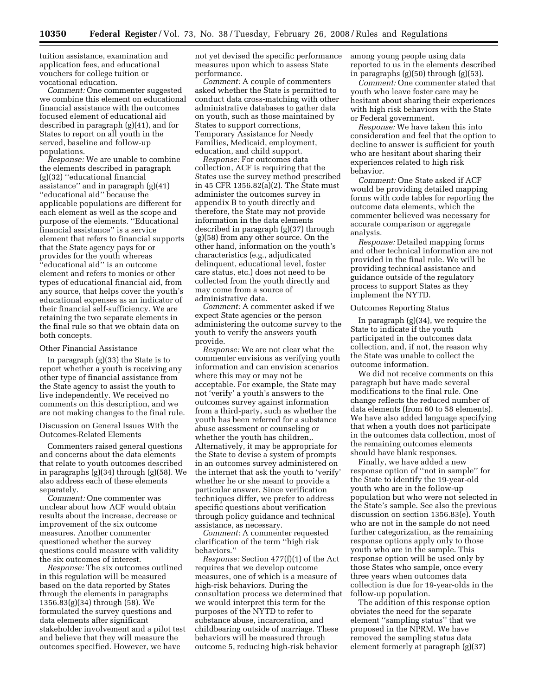tuition assistance, examination and application fees, and educational vouchers for college tuition or vocational education.

*Comment:* One commenter suggested we combine this element on educational financial assistance with the outcomes focused element of educational aid described in paragraph (g)(41), and for States to report on all youth in the served, baseline and follow-up populations.

*Response:* We are unable to combine the elements described in paragraph (g)(32) ''educational financial assistance'' and in paragraph (g)(41) ''educational aid'' because the applicable populations are different for each element as well as the scope and purpose of the elements. ''Educational financial assistance'' is a service element that refers to financial supports that the State agency pays for or provides for the youth whereas 'educational aid" is an outcome element and refers to monies or other types of educational financial aid, from any source, that helps cover the youth's educational expenses as an indicator of their financial self-sufficiency. We are retaining the two separate elements in the final rule so that we obtain data on both concepts.

#### Other Financial Assistance

In paragraph  $(g)(33)$  the State is to report whether a youth is receiving any other type of financial assistance from the State agency to assist the youth to live independently. We received no comments on this description, and we are not making changes to the final rule.

Discussion on General Issues With the Outcomes-Related Elements

Commenters raised general questions and concerns about the data elements that relate to youth outcomes described in paragraphs (g)(34) through (g)(58). We also address each of these elements separately.

*Comment:* One commenter was unclear about how ACF would obtain results about the increase, decrease or improvement of the six outcome measures. Another commenter questioned whether the survey questions could measure with validity the six outcomes of interest.

*Response:* The six outcomes outlined in this regulation will be measured based on the data reported by States through the elements in paragraphs 1356.83(g)(34) through (58). We formulated the survey questions and data elements after significant stakeholder involvement and a pilot test and believe that they will measure the outcomes specified. However, we have

not yet devised the specific performance measures upon which to assess State performance.

*Comment:* A couple of commenters asked whether the State is permitted to conduct data cross-matching with other administrative databases to gather data on youth, such as those maintained by States to support corrections, Temporary Assistance for Needy Families, Medicaid, employment, education, and child support.

*Response:* For outcomes data collection, ACF is requiring that the States use the survey method prescribed in 45 CFR 1356.82(a)(2). The State must administer the outcomes survey in appendix B to youth directly and therefore, the State may not provide information in the data elements described in paragraph (g)(37) through (g)(58) from any other source. On the other hand, information on the youth's characteristics (e.g., adjudicated delinquent, educational level, foster care status, etc.) does not need to be collected from the youth directly and may come from a source of administrative data.

*Comment:* A commenter asked if we expect State agencies or the person administering the outcome survey to the youth to verify the answers youth provide.

*Response:* We are not clear what the commenter envisions as verifying youth information and can envision scenarios where this may or may not be acceptable. For example, the State may not 'verify' a youth's answers to the outcomes survey against information from a third-party, such as whether the youth has been referred for a substance abuse assessment or counseling or whether the youth has children,. Alternatively, it may be appropriate for the State to devise a system of prompts in an outcomes survey administered on the internet that ask the youth to 'verify' whether he or she meant to provide a particular answer. Since verification techniques differ, we prefer to address specific questions about verification through policy guidance and technical assistance, as necessary.

*Comment:* A commenter requested clarification of the term ''high risk behaviors.''

*Response:* Section 477(f)(1) of the Act requires that we develop outcome measures, one of which is a measure of high-risk behaviors. During the consultation process we determined that we would interpret this term for the purposes of the NYTD to refer to substance abuse, incarceration, and childbearing outside of marriage. These behaviors will be measured through outcome 5, reducing high-risk behavior

among young people using data reported to us in the elements described in paragraphs  $(g)(50)$  through  $(g)(53)$ .

*Comment:* One commenter stated that youth who leave foster care may be hesitant about sharing their experiences with high risk behaviors with the State or Federal government.

*Response:* We have taken this into consideration and feel that the option to decline to answer is sufficient for youth who are hesitant about sharing their experiences related to high risk behavior.

*Comment:* One State asked if ACF would be providing detailed mapping forms with code tables for reporting the outcome data elements, which the commenter believed was necessary for accurate comparison or aggregate analysis.

*Response:* Detailed mapping forms and other technical information are not provided in the final rule. We will be providing technical assistance and guidance outside of the regulatory process to support States as they implement the NYTD.

#### Outcomes Reporting Status

In paragraph (g)(34), we require the State to indicate if the youth participated in the outcomes data collection, and, if not, the reason why the State was unable to collect the outcome information.

We did not receive comments on this paragraph but have made several modifications to the final rule. One change reflects the reduced number of data elements (from 60 to 58 elements). We have also added language specifying that when a youth does not participate in the outcomes data collection, most of the remaining outcomes elements should have blank responses.

Finally, we have added a new response option of ''not in sample'' for the State to identify the 19-year-old youth who are in the follow-up population but who were not selected in the State's sample. See also the previous discussion on section 1356.83(e). Youth who are not in the sample do not need further categorization, as the remaining response options apply only to those youth who are in the sample. This response option will be used only by those States who sample, once every three years when outcomes data collection is due for 19-year-olds in the follow-up population.

The addition of this response option obviates the need for the separate element ''sampling status'' that we proposed in the NPRM. We have removed the sampling status data element formerly at paragraph (g)(37)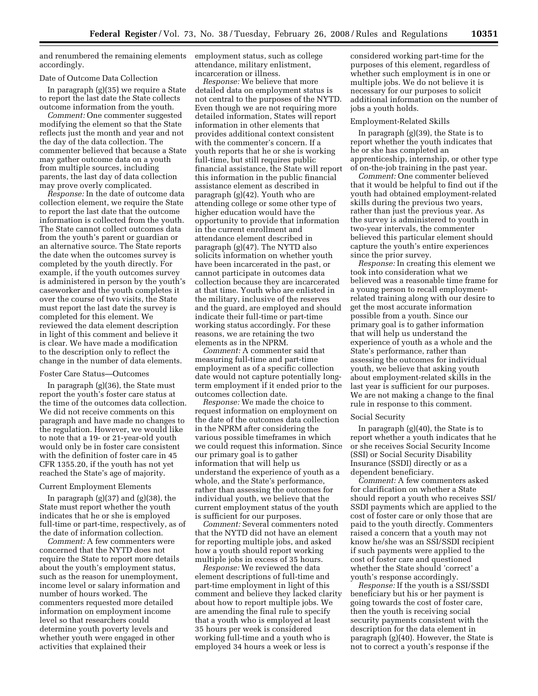and renumbered the remaining elements accordingly.

#### Date of Outcome Data Collection

In paragraph (g)(35) we require a State to report the last date the State collects outcome information from the youth.

*Comment:* One commenter suggested modifying the element so that the State reflects just the month and year and not the day of the data collection. The commenter believed that because a State may gather outcome data on a youth from multiple sources, including parents, the last day of data collection may prove overly complicated.

*Response:* In the date of outcome data collection element, we require the State to report the last date that the outcome information is collected from the youth. The State cannot collect outcomes data from the youth's parent or guardian or an alternative source. The State reports the date when the outcomes survey is completed by the youth directly. For example, if the youth outcomes survey is administered in person by the youth's caseworker and the youth completes it over the course of two visits, the State must report the last date the survey is completed for this element. We reviewed the data element description in light of this comment and believe it is clear. We have made a modification to the description only to reflect the change in the number of data elements.

#### Foster Care Status—Outcomes

In paragraph (g)(36), the State must report the youth's foster care status at the time of the outcomes data collection. We did not receive comments on this paragraph and have made no changes to the regulation. However, we would like to note that a 19- or 21-year-old youth would only be in foster care consistent with the definition of foster care in 45 CFR 1355.20, if the youth has not yet reached the State's age of majority.

#### Current Employment Elements

In paragraph  $(g)(37)$  and  $(g)(38)$ , the State must report whether the youth indicates that he or she is employed full-time or part-time, respectively, as of the date of information collection.

*Comment:* A few commenters were concerned that the NYTD does not require the State to report more details about the youth's employment status, such as the reason for unemployment, income level or salary information and number of hours worked. The commenters requested more detailed information on employment income level so that researchers could determine youth poverty levels and whether youth were engaged in other activities that explained their

employment status, such as college attendance, military enlistment, incarceration or illness.

*Response:* We believe that more detailed data on employment status is not central to the purposes of the NYTD. Even though we are not requiring more detailed information, States will report information in other elements that provides additional context consistent with the commenter's concern. If a youth reports that he or she is working full-time, but still requires public financial assistance, the State will report this information in the public financial assistance element as described in paragraph (g)(42). Youth who are attending college or some other type of higher education would have the opportunity to provide that information in the current enrollment and attendance element described in paragraph (g)(47). The NYTD also solicits information on whether youth have been incarcerated in the past, or cannot participate in outcomes data collection because they are incarcerated at that time. Youth who are enlisted in the military, inclusive of the reserves and the guard, are employed and should indicate their full-time or part-time working status accordingly. For these reasons, we are retaining the two elements as in the NPRM.

*Comment:* A commenter said that measuring full-time and part-time employment as of a specific collection date would not capture potentially longterm employment if it ended prior to the outcomes collection date.

*Response:* We made the choice to request information on employment on the date of the outcomes data collection in the NPRM after considering the various possible timeframes in which we could request this information. Since our primary goal is to gather information that will help us understand the experience of youth as a whole, and the State's performance, rather than assessing the outcomes for individual youth, we believe that the current employment status of the youth is sufficient for our purposes.

*Comment:* Several commenters noted that the NYTD did not have an element for reporting multiple jobs, and asked how a youth should report working multiple jobs in excess of 35 hours.

*Response:* We reviewed the data element descriptions of full-time and part-time employment in light of this comment and believe they lacked clarity about how to report multiple jobs. We are amending the final rule to specify that a youth who is employed at least 35 hours per week is considered working full-time and a youth who is employed 34 hours a week or less is

considered working part-time for the purposes of this element, regardless of whether such employment is in one or multiple jobs. We do not believe it is necessary for our purposes to solicit additional information on the number of jobs a youth holds.

#### Employment-Related Skills

In paragraph (g)(39), the State is to report whether the youth indicates that he or she has completed an apprenticeship, internship, or other type of on-the-job training in the past year.

*Comment:* One commenter believed that it would be helpful to find out if the youth had obtained employment-related skills during the previous two years, rather than just the previous year. As the survey is administered to youth in two-year intervals, the commenter believed this particular element should capture the youth's entire experiences since the prior survey.

*Response:* In creating this element we took into consideration what we believed was a reasonable time frame for a young person to recall employmentrelated training along with our desire to get the most accurate information possible from a youth. Since our primary goal is to gather information that will help us understand the experience of youth as a whole and the State's performance, rather than assessing the outcomes for individual youth, we believe that asking youth about employment-related skills in the last year is sufficient for our purposes. We are not making a change to the final rule in response to this comment.

#### Social Security

In paragraph (g)(40), the State is to report whether a youth indicates that he or she receives Social Security Income (SSI) or Social Security Disability Insurance (SSDI) directly or as a dependent beneficiary.

*Comment:* A few commenters asked for clarification on whether a State should report a youth who receives SSI/ SSDI payments which are applied to the cost of foster care or only those that are paid to the youth directly. Commenters raised a concern that a youth may not know he/she was an SSI/SSDI recipient if such payments were applied to the cost of foster care and questioned whether the State should 'correct' a youth's response accordingly.

*Response:* If the youth is a SSI/SSDI beneficiary but his or her payment is going towards the cost of foster care, then the youth is receiving social security payments consistent with the description for the data element in paragraph (g)(40). However, the State is not to correct a youth's response if the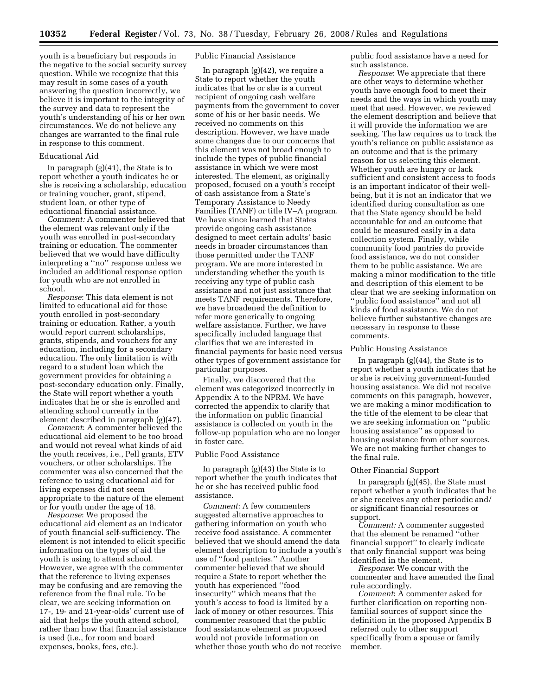youth is a beneficiary but responds in the negative to the social security survey question. While we recognize that this may result in some cases of a youth answering the question incorrectly, we believe it is important to the integrity of the survey and data to represent the youth's understanding of his or her own circumstances. We do not believe any changes are warranted to the final rule in response to this comment.

#### Educational Aid

In paragraph (g)(41), the State is to report whether a youth indicates he or she is receiving a scholarship, education or training voucher, grant, stipend, student loan, or other type of educational financial assistance.

*Comment:* A commenter believed that the element was relevant only if the youth was enrolled in post-secondary training or education. The commenter believed that we would have difficulty interpreting a ''no'' response unless we included an additional response option for youth who are not enrolled in school.

*Response*: This data element is not limited to educational aid for those youth enrolled in post-secondary training or education. Rather, a youth would report current scholarships, grants, stipends, and vouchers for any education, including for a secondary education. The only limitation is with regard to a student loan which the government provides for obtaining a post-secondary education only. Finally, the State will report whether a youth indicates that he or she is enrolled and attending school currently in the element described in paragraph (g)(47).

*Comment*: A commenter believed the educational aid element to be too broad and would not reveal what kinds of aid the youth receives, i.e., Pell grants, ETV vouchers, or other scholarships. The commenter was also concerned that the reference to using educational aid for living expenses did not seem appropriate to the nature of the element or for youth under the age of 18.

*Response*: We proposed the educational aid element as an indicator of youth financial self-sufficiency. The element is not intended to elicit specific information on the types of aid the youth is using to attend school. However, we agree with the commenter that the reference to living expenses may be confusing and are removing the reference from the final rule. To be clear, we are seeking information on 17-, 19- and 21-year-olds' current use of aid that helps the youth attend school, rather than how that financial assistance is used (i.e., for room and board expenses, books, fees, etc.).

#### Public Financial Assistance

In paragraph (g)(42), we require a State to report whether the youth indicates that he or she is a current recipient of ongoing cash welfare payments from the government to cover some of his or her basic needs. We received no comments on this description. However, we have made some changes due to our concerns that this element was not broad enough to include the types of public financial assistance in which we were most interested. The element, as originally proposed, focused on a youth's receipt of cash assistance from a State's Temporary Assistance to Needy Families (TANF) or title IV–A program. We have since learned that States provide ongoing cash assistance designed to meet certain adults' basic needs in broader circumstances than those permitted under the TANF program. We are more interested in understanding whether the youth is receiving any type of public cash assistance and not just assistance that meets TANF requirements. Therefore, we have broadened the definition to refer more generically to ongoing welfare assistance. Further, we have specifically included language that clarifies that we are interested in financial payments for basic need versus other types of government assistance for particular purposes.

Finally, we discovered that the element was categorized incorrectly in Appendix A to the NPRM. We have corrected the appendix to clarify that the information on public financial assistance is collected on youth in the follow-up population who are no longer in foster care.

#### Public Food Assistance

In paragraph (g)(43) the State is to report whether the youth indicates that he or she has received public food assistance.

*Comment*: A few commenters suggested alternative approaches to gathering information on youth who receive food assistance. A commenter believed that we should amend the data element description to include a youth's use of ''food pantries.'' Another commenter believed that we should require a State to report whether the youth has experienced ''food insecurity'' which means that the youth's access to food is limited by a lack of money or other resources. This commenter reasoned that the public food assistance element as proposed would not provide information on whether those youth who do not receive

public food assistance have a need for such assistance.

*Response*: We appreciate that there are other ways to determine whether youth have enough food to meet their needs and the ways in which youth may meet that need. However, we reviewed the element description and believe that it will provide the information we are seeking. The law requires us to track the youth's reliance on public assistance as an outcome and that is the primary reason for us selecting this element. Whether youth are hungry or lack sufficient and consistent access to foods is an important indicator of their wellbeing, but it is not an indicator that we identified during consultation as one that the State agency should be held accountable for and an outcome that could be measured easily in a data collection system. Finally, while community food pantries do provide food assistance, we do not consider them to be public assistance. We are making a minor modification to the title and description of this element to be clear that we are seeking information on ''public food assistance'' and not all kinds of food assistance. We do not believe further substantive changes are necessary in response to these comments.

#### Public Housing Assistance

In paragraph (g)(44), the State is to report whether a youth indicates that he or she is receiving government-funded housing assistance. We did not receive comments on this paragraph, however, we are making a minor modification to the title of the element to be clear that we are seeking information on ''public housing assistance'' as opposed to housing assistance from other sources. We are not making further changes to the final rule.

#### Other Financial Support

In paragraph (g)(45), the State must report whether a youth indicates that he or she receives any other periodic and/ or significant financial resources or support.

*Comment:* A commenter suggested that the element be renamed ''other financial support'' to clearly indicate that only financial support was being identified in the element.

*Response*: We concur with the commenter and have amended the final rule accordingly.

*Comment*: A commenter asked for further clarification on reporting nonfamilial sources of support since the definition in the proposed Appendix B referred only to other support specifically from a spouse or family member.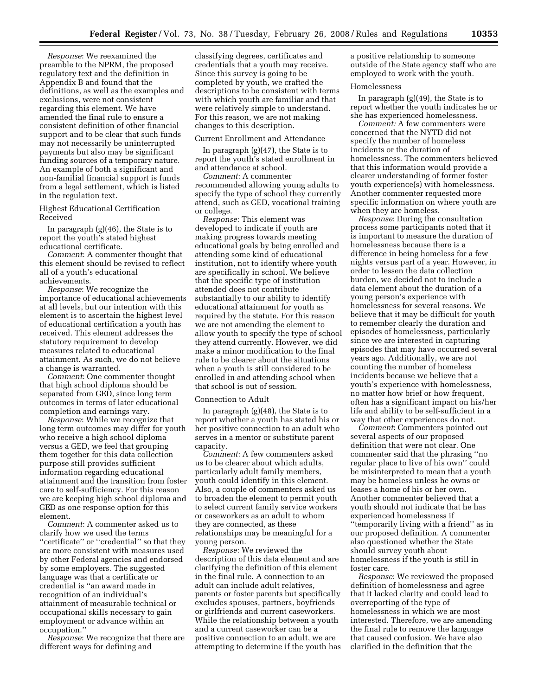*Response*: We reexamined the preamble to the NPRM, the proposed regulatory text and the definition in Appendix B and found that the definitions, as well as the examples and exclusions, were not consistent regarding this element. We have amended the final rule to ensure a consistent definition of other financial support and to be clear that such funds may not necessarily be uninterrupted payments but also may be significant funding sources of a temporary nature. An example of both a significant and non-familial financial support is funds from a legal settlement, which is listed in the regulation text.

Highest Educational Certification Received

In paragraph (g)(46), the State is to report the youth's stated highest educational certificate.

*Comment*: A commenter thought that this element should be revised to reflect all of a youth's educational achievements.

*Response*: We recognize the importance of educational achievements at all levels, but our intention with this element is to ascertain the highest level of educational certification a youth has received. This element addresses the statutory requirement to develop measures related to educational attainment. As such, we do not believe a change is warranted.

*Comment*: One commenter thought that high school diploma should be separated from GED, since long term outcomes in terms of later educational completion and earnings vary.

*Response*: While we recognize that long term outcomes may differ for youth who receive a high school diploma versus a GED, we feel that grouping them together for this data collection purpose still provides sufficient information regarding educational attainment and the transition from foster care to self-sufficiency. For this reason we are keeping high school diploma and GED as one response option for this element.

*Comment*: A commenter asked us to clarify how we used the terms "certificate" or "credential" so that they are more consistent with measures used by other Federal agencies and endorsed by some employers. The suggested language was that a certificate or credential is ''an award made in recognition of an individual's attainment of measurable technical or occupational skills necessary to gain employment or advance within an occupation.''

*Response*: We recognize that there are different ways for defining and

classifying degrees, certificates and credentials that a youth may receive. Since this survey is going to be completed by youth, we crafted the descriptions to be consistent with terms with which youth are familiar and that were relatively simple to understand. For this reason, we are not making changes to this description.

#### Current Enrollment and Attendance

In paragraph  $(g)(47)$ , the State is to report the youth's stated enrollment in and attendance at school.

*Comment*: A commenter recommended allowing young adults to specify the type of school they currently attend, such as GED, vocational training or college.

*Response*: This element was developed to indicate if youth are making progress towards meeting educational goals by being enrolled and attending some kind of educational institution, not to identify where youth are specifically in school. We believe that the specific type of institution attended does not contribute substantially to our ability to identify educational attainment for youth as required by the statute. For this reason we are not amending the element to allow youth to specify the type of school they attend currently. However, we did make a minor modification to the final rule to be clearer about the situations when a youth is still considered to be enrolled in and attending school when that school is out of session.

#### Connection to Adult

In paragraph (g)(48), the State is to report whether a youth has stated his or her positive connection to an adult who serves in a mentor or substitute parent capacity.

*Comment*: A few commenters asked us to be clearer about which adults, particularly adult family members, youth could identify in this element. Also, a couple of commenters asked us to broaden the element to permit youth to select current family service workers or caseworkers as an adult to whom they are connected, as these relationships may be meaningful for a young person.

*Response*: We reviewed the description of this data element and are clarifying the definition of this element in the final rule. A connection to an adult can include adult relatives, parents or foster parents but specifically excludes spouses, partners, boyfriends or girlfriends and current caseworkers. While the relationship between a youth and a current caseworker can be a positive connection to an adult, we are attempting to determine if the youth has a positive relationship to someone outside of the State agency staff who are employed to work with the youth.

#### Homelessness

In paragraph (g)(49), the State is to report whether the youth indicates he or she has experienced homelessness.

*Comment:* A few commenters were concerned that the NYTD did not specify the number of homeless incidents or the duration of homelessness. The commenters believed that this information would provide a clearer understanding of former foster youth experience(s) with homelessness. Another commenter requested more specific information on where youth are when they are homeless.

*Response*: During the consultation process some participants noted that it is important to measure the duration of homelessness because there is a difference in being homeless for a few nights versus part of a year. However, in order to lessen the data collection burden, we decided not to include a data element about the duration of a young person's experience with homelessness for several reasons. We believe that it may be difficult for youth to remember clearly the duration and episodes of homelessness, particularly since we are interested in capturing episodes that may have occurred several years ago. Additionally, we are not counting the number of homeless incidents because we believe that a youth's experience with homelessness, no matter how brief or how frequent, often has a significant impact on his/her life and ability to be self-sufficient in a way that other experiences do not.

*Comment*: Commenters pointed out several aspects of our proposed definition that were not clear. One commenter said that the phrasing ''no regular place to live of his own'' could be misinterpreted to mean that a youth may be homeless unless he owns or leases a home of his or her own. Another commenter believed that a youth should not indicate that he has experienced homelessness if ''temporarily living with a friend'' as in our proposed definition. A commenter also questioned whether the State should survey youth about homelessness if the youth is still in foster care.

*Response*: We reviewed the proposed definition of homelessness and agree that it lacked clarity and could lead to overreporting of the type of homelessness in which we are most interested. Therefore, we are amending the final rule to remove the language that caused confusion. We have also clarified in the definition that the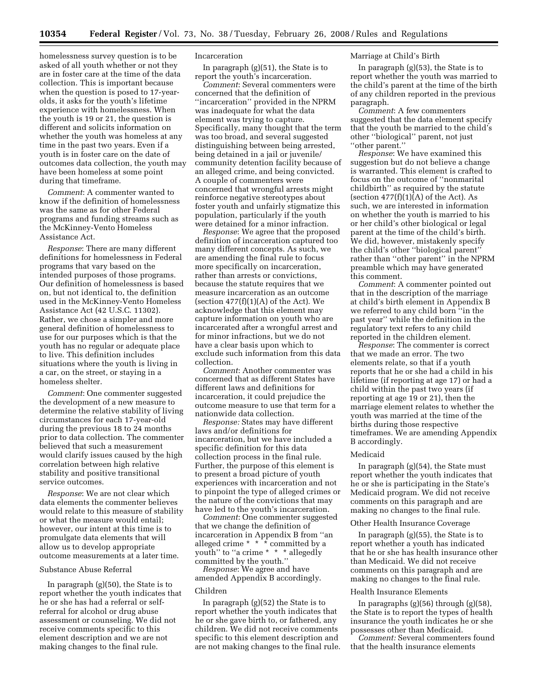homelessness survey question is to be asked of all youth whether or not they are in foster care at the time of the data collection. This is important because when the question is posed to 17-yearolds, it asks for the youth's lifetime experience with homelessness. When the youth is 19 or 21, the question is different and solicits information on whether the youth was homeless at any time in the past two years. Even if a youth is in foster care on the date of outcomes data collection, the youth may have been homeless at some point during that timeframe.

*Comment*: A commenter wanted to know if the definition of homelessness was the same as for other Federal programs and funding streams such as the McKinney-Vento Homeless Assistance Act.

*Response*: There are many different definitions for homelessness in Federal programs that vary based on the intended purposes of those programs. Our definition of homelessness is based on, but not identical to, the definition used in the McKinney-Vento Homeless Assistance Act (42 U.S.C. 11302). Rather, we chose a simpler and more general definition of homelessness to use for our purposes which is that the youth has no regular or adequate place to live. This definition includes situations where the youth is living in a car, on the street, or staying in a homeless shelter.

*Comment*: One commenter suggested the development of a new measure to determine the relative stability of living circumstances for each 17-year-old during the previous 18 to 24 months prior to data collection. The commenter believed that such a measurement would clarify issues caused by the high correlation between high relative stability and positive transitional service outcomes.

*Response*: We are not clear which data elements the commenter believes would relate to this measure of stability or what the measure would entail; however, our intent at this time is to promulgate data elements that will allow us to develop appropriate outcome measurements at a later time.

#### Substance Abuse Referral

In paragraph (g)(50), the State is to report whether the youth indicates that he or she has had a referral or selfreferral for alcohol or drug abuse assessment or counseling. We did not receive comments specific to this element description and we are not making changes to the final rule.

#### Incarceration

In paragraph (g)(51), the State is to report the youth's incarceration.

*Comment*: Several commenters were concerned that the definition of 'incarceration'' provided in the NPRM was inadequate for what the data element was trying to capture. Specifically, many thought that the term was too broad, and several suggested distinguishing between being arrested, being detained in a jail or juvenile/ community detention facility because of an alleged crime, and being convicted. A couple of commenters were concerned that wrongful arrests might reinforce negative stereotypes about foster youth and unfairly stigmatize this population, particularly if the youth were detained for a minor infraction.

*Response*: We agree that the proposed definition of incarceration captured too many different concepts. As such, we are amending the final rule to focus more specifically on incarceration, rather than arrests or convictions, because the statute requires that we measure incarceration as an outcome (section  $477(f)(1)(A)$  of the Act). We acknowledge that this element may capture information on youth who are incarcerated after a wrongful arrest and for minor infractions, but we do not have a clear basis upon which to exclude such information from this data collection.

*Comment*: Another commenter was concerned that as different States have different laws and definitions for incarceration, it could prejudice the outcome measure to use that term for a nationwide data collection.

*Response:* States may have different laws and/or definitions for incarceration, but we have included a specific definition for this data collection process in the final rule. Further, the purpose of this element is to present a broad picture of youth experiences with incarceration and not to pinpoint the type of alleged crimes or the nature of the convictions that may have led to the youth's incarceration.

*Comment*: One commenter suggested that we change the definition of incarceration in Appendix B from ''an alleged crime \* \* \* committed by a youth'' to ''a crime \* \* \* allegedly committed by the youth.''

*Response*: We agree and have amended Appendix B accordingly.

#### Children

In paragraph (g)(52) the State is to report whether the youth indicates that he or she gave birth to, or fathered, any children. We did not receive comments specific to this element description and are not making changes to the final rule.

#### Marriage at Child's Birth

In paragraph (g)(53), the State is to report whether the youth was married to the child's parent at the time of the birth of any children reported in the previous paragraph.

*Comment*: A few commenters suggested that the data element specify that the youth be married to the child's other ''biological'' parent, not just ''other parent.''

*Response*: We have examined this suggestion but do not believe a change is warranted. This element is crafted to focus on the outcome of ''nonmarital childbirth'' as required by the statute (section  $477(f)(1)(A)$  of the Act). As such, we are interested in information on whether the youth is married to his or her child's other biological or legal parent at the time of the child's birth. We did, however, mistakenly specify the child's other ''biological parent'' rather than ''other parent'' in the NPRM preamble which may have generated this comment.

*Comment*: A commenter pointed out that in the description of the marriage at child's birth element in Appendix B we referred to any child born ''in the past year'' while the definition in the regulatory text refers to any child reported in the children element.

*Response*: The commenter is correct that we made an error. The two elements relate, so that if a youth reports that he or she had a child in his lifetime (if reporting at age 17) or had a child within the past two years (if reporting at age 19 or 21), then the marriage element relates to whether the youth was married at the time of the births during those respective timeframes. We are amending Appendix B accordingly.

#### Medicaid

In paragraph (g)(54), the State must report whether the youth indicates that he or she is participating in the State's Medicaid program. We did not receive comments on this paragraph and are making no changes to the final rule.

#### Other Health Insurance Coverage

In paragraph (g)(55), the State is to report whether a youth has indicated that he or she has health insurance other than Medicaid. We did not receive comments on this paragraph and are making no changes to the final rule.

#### Health Insurance Elements

In paragraphs (g)(56) through (g)(58), the State is to report the types of health insurance the youth indicates he or she possesses other than Medicaid.

*Comment:* Several commenters found that the health insurance elements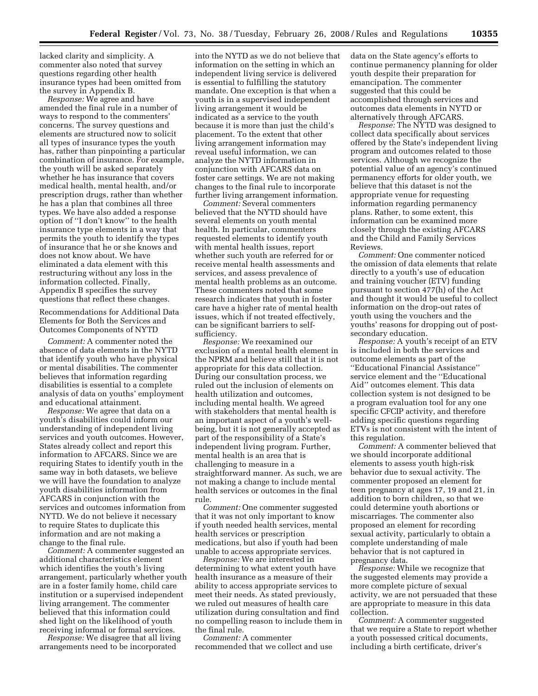lacked clarity and simplicity. A commenter also noted that survey questions regarding other health insurance types had been omitted from the survey in Appendix B.

*Response:* We agree and have amended the final rule in a number of ways to respond to the commenters' concerns. The survey questions and elements are structured now to solicit all types of insurance types the youth has, rather than pinpointing a particular combination of insurance. For example, the youth will be asked separately whether he has insurance that covers medical health, mental health, and/or prescription drugs, rather than whether he has a plan that combines all three types. We have also added a response option of ''I don't know'' to the health insurance type elements in a way that permits the youth to identify the types of insurance that he or she knows and does not know about. We have eliminated a data element with this restructuring without any loss in the information collected. Finally, Appendix B specifies the survey questions that reflect these changes.

Recommendations for Additional Data Elements for Both the Services and Outcomes Components of NYTD

*Comment:* A commenter noted the absence of data elements in the NYTD that identify youth who have physical or mental disabilities. The commenter believes that information regarding disabilities is essential to a complete analysis of data on youths' employment and educational attainment.

*Response:* We agree that data on a youth's disabilities could inform our understanding of independent living services and youth outcomes. However, States already collect and report this information to AFCARS. Since we are requiring States to identify youth in the same way in both datasets, we believe we will have the foundation to analyze youth disabilities information from AFCARS in conjunction with the services and outcomes information from NYTD. We do not believe it necessary to require States to duplicate this information and are not making a change to the final rule.

*Comment:* A commenter suggested an additional characteristics element which identifies the youth's living arrangement, particularly whether youth are in a foster family home, child care institution or a supervised independent living arrangement. The commenter believed that this information could shed light on the likelihood of youth receiving informal or formal services.

*Response:* We disagree that all living arrangements need to be incorporated

into the NYTD as we do not believe that information on the setting in which an independent living service is delivered is essential to fulfilling the statutory mandate. One exception is that when a youth is in a supervised independent living arrangement it would be indicated as a service to the youth because it is more than just the child's placement. To the extent that other living arrangement information may reveal useful information, we can analyze the NYTD information in conjunction with AFCARS data on foster care settings. We are not making changes to the final rule to incorporate further living arrangement information.

*Comment:* Several commenters believed that the NYTD should have several elements on youth mental health. In particular, commenters requested elements to identify youth with mental health issues, report whether such youth are referred for or receive mental health assessments and services, and assess prevalence of mental health problems as an outcome. These commenters noted that some research indicates that youth in foster care have a higher rate of mental health issues, which if not treated effectively, can be significant barriers to selfsufficiency.

*Response:* We reexamined our exclusion of a mental health element in the NPRM and believe still that it is not appropriate for this data collection. During our consultation process, we ruled out the inclusion of elements on health utilization and outcomes, including mental health. We agreed with stakeholders that mental health is an important aspect of a youth's wellbeing, but it is not generally accepted as part of the responsibility of a State's independent living program. Further, mental health is an area that is challenging to measure in a straightforward manner. As such, we are not making a change to include mental health services or outcomes in the final rule.

*Comment:* One commenter suggested that it was not only important to know if youth needed health services, mental health services or prescription medications, but also if youth had been unable to access appropriate services.

*Response:* We are interested in determining to what extent youth have health insurance as a measure of their ability to access appropriate services to meet their needs. As stated previously, we ruled out measures of health care utilization during consultation and find no compelling reason to include them in the final rule.

*Comment:* A commenter recommended that we collect and use data on the State agency's efforts to continue permanency planning for older youth despite their preparation for emancipation. The commenter suggested that this could be accomplished through services and outcomes data elements in NYTD or alternatively through AFCARS.

*Response:* The NYTD was designed to collect data specifically about services offered by the State's independent living program and outcomes related to those services. Although we recognize the potential value of an agency's continued permanency efforts for older youth, we believe that this dataset is not the appropriate venue for requesting information regarding permanency plans. Rather, to some extent, this information can be examined more closely through the existing AFCARS and the Child and Family Services Reviews.

*Comment:* One commenter noticed the omission of data elements that relate directly to a youth's use of education and training voucher (ETV) funding pursuant to section 477(h) of the Act and thought it would be useful to collect information on the drop-out rates of youth using the vouchers and the youths' reasons for dropping out of postsecondary education.

*Response:* A youth's receipt of an ETV is included in both the services and outcome elements as part of the ''Educational Financial Assistance'' service element and the ''Educational Aid'' outcomes element. This data collection system is not designed to be a program evaluation tool for any one specific CFCIP activity, and therefore adding specific questions regarding ETVs is not consistent with the intent of this regulation.

*Comment:* A commenter believed that we should incorporate additional elements to assess youth high-risk behavior due to sexual activity. The commenter proposed an element for teen pregnancy at ages 17, 19 and 21, in addition to born children, so that we could determine youth abortions or miscarriages. The commenter also proposed an element for recording sexual activity, particularly to obtain a complete understanding of male behavior that is not captured in pregnancy data.

*Response:* While we recognize that the suggested elements may provide a more complete picture of sexual activity, we are not persuaded that these are appropriate to measure in this data collection.

*Comment:* A commenter suggested that we require a State to report whether a youth possessed critical documents, including a birth certificate, driver's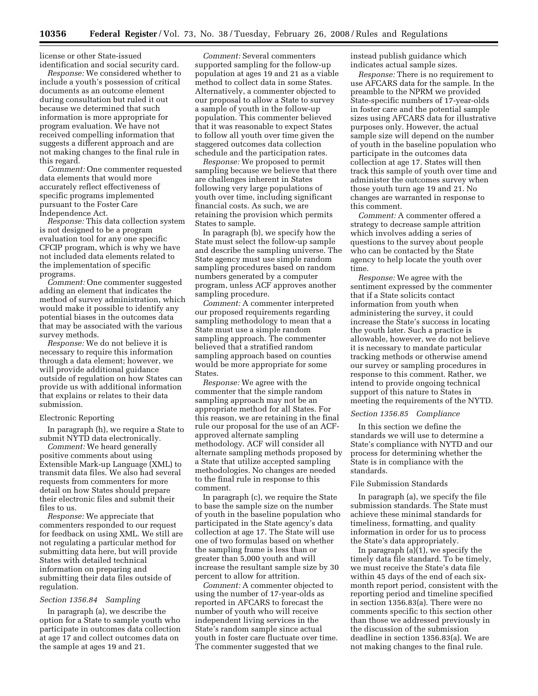license or other State-issued identification and social security card.

*Response:* We considered whether to include a youth's possession of critical documents as an outcome element during consultation but ruled it out because we determined that such information is more appropriate for program evaluation. We have not received compelling information that suggests a different approach and are not making changes to the final rule in this regard.

*Comment:* One commenter requested data elements that would more accurately reflect effectiveness of specific programs implemented pursuant to the Foster Care Independence Act.

*Response:* This data collection system is not designed to be a program evaluation tool for any one specific CFCIP program, which is why we have not included data elements related to the implementation of specific programs.

*Comment:* One commenter suggested adding an element that indicates the method of survey administration, which would make it possible to identify any potential biases in the outcomes data that may be associated with the various survey methods.

*Response:* We do not believe it is necessary to require this information through a data element; however, we will provide additional guidance outside of regulation on how States can provide us with additional information that explains or relates to their data submission.

## Electronic Reporting

In paragraph (h), we require a State to submit NYTD data electronically.

*Comment:* We heard generally positive comments about using Extensible Mark-up Language (XML) to transmit data files. We also had several requests from commenters for more detail on how States should prepare their electronic files and submit their files to us.

*Response:* We appreciate that commenters responded to our request for feedback on using XML. We still are not regulating a particular method for submitting data here, but will provide States with detailed technical information on preparing and submitting their data files outside of regulation.

#### *Section 1356.84 Sampling*

In paragraph (a), we describe the option for a State to sample youth who participate in outcomes data collection at age 17 and collect outcomes data on the sample at ages 19 and 21.

*Comment:* Several commenters supported sampling for the follow-up population at ages 19 and 21 as a viable method to collect data in some States. Alternatively, a commenter objected to our proposal to allow a State to survey a sample of youth in the follow-up population. This commenter believed that it was reasonable to expect States to follow all youth over time given the staggered outcomes data collection schedule and the participation rates.

*Response:* We proposed to permit sampling because we believe that there are challenges inherent in States following very large populations of youth over time, including significant financial costs. As such, we are retaining the provision which permits States to sample.

In paragraph (b), we specify how the State must select the follow-up sample and describe the sampling universe. The State agency must use simple random sampling procedures based on random numbers generated by a computer program, unless ACF approves another sampling procedure.

*Comment:* A commenter interpreted our proposed requirements regarding sampling methodology to mean that a State must use a simple random sampling approach. The commenter believed that a stratified random sampling approach based on counties would be more appropriate for some States.

*Response:* We agree with the commenter that the simple random sampling approach may not be an appropriate method for all States. For this reason, we are retaining in the final rule our proposal for the use of an ACFapproved alternate sampling methodology. ACF will consider all alternate sampling methods proposed by a State that utilize accepted sampling methodologies. No changes are needed to the final rule in response to this comment.

In paragraph (c), we require the State to base the sample size on the number of youth in the baseline population who participated in the State agency's data collection at age 17. The State will use one of two formulas based on whether the sampling frame is less than or greater than 5,000 youth and will increase the resultant sample size by 30 percent to allow for attrition.

*Comment:* A commenter objected to using the number of 17-year-olds as reported in AFCARS to forecast the number of youth who will receive independent living services in the State's random sample since actual youth in foster care fluctuate over time. The commenter suggested that we

instead publish guidance which indicates actual sample sizes.

*Response:* There is no requirement to use AFCARS data for the sample. In the preamble to the NPRM we provided State-specific numbers of 17-year-olds in foster care and the potential sample sizes using AFCARS data for illustrative purposes only. However, the actual sample size will depend on the number of youth in the baseline population who participate in the outcomes data collection at age 17. States will then track this sample of youth over time and administer the outcomes survey when those youth turn age 19 and 21. No changes are warranted in response to this comment.

*Comment:* A commenter offered a strategy to decrease sample attrition which involves adding a series of questions to the survey about people who can be contacted by the State agency to help locate the youth over time.

*Response:* We agree with the sentiment expressed by the commenter that if a State solicits contact information from youth when administering the survey, it could increase the State's success in locating the youth later. Such a practice is allowable, however, we do not believe it is necessary to mandate particular tracking methods or otherwise amend our survey or sampling procedures in response to this comment. Rather, we intend to provide ongoing technical support of this nature to States in meeting the requirements of the NYTD.

#### *Section 1356.85 Compliance*

In this section we define the standards we will use to determine a State's compliance with NYTD and our process for determining whether the State is in compliance with the standards.

#### File Submission Standards

In paragraph (a), we specify the file submission standards. The State must achieve these minimal standards for timeliness, formatting, and quality information in order for us to process the State's data appropriately.

In paragraph (a)(1), we specify the timely data file standard. To be timely, we must receive the State's data file within 45 days of the end of each sixmonth report period, consistent with the reporting period and timeline specified in section 1356.83(a). There were no comments specific to this section other than those we addressed previously in the discussion of the submission deadline in section 1356.83(a). We are not making changes to the final rule.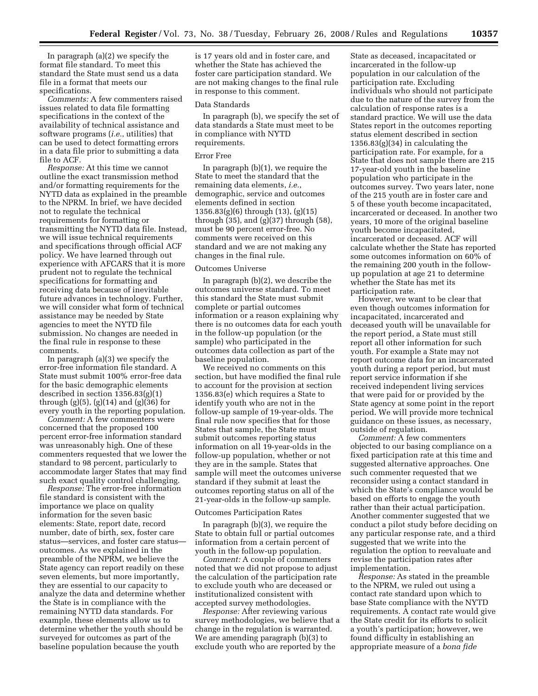In paragraph (a)(2) we specify the format file standard. To meet this standard the State must send us a data file in a format that meets our specifications.

*Comments:* A few commenters raised issues related to data file formatting specifications in the context of the availability of technical assistance and software programs (*i.e.*, utilities) that can be used to detect formatting errors in a data file prior to submitting a data file to ACF.

*Response:* At this time we cannot outline the exact transmission method and/or formatting requirements for the NYTD data as explained in the preamble to the NPRM. In brief, we have decided not to regulate the technical requirements for formatting or transmitting the NYTD data file. Instead, we will issue technical requirements and specifications through official ACF policy. We have learned through out experience with AFCARS that it is more prudent not to regulate the technical specifications for formatting and receiving data because of inevitable future advances in technology. Further, we will consider what form of technical assistance may be needed by State agencies to meet the NYTD file submission. No changes are needed in the final rule in response to these comments.

In paragraph (a)(3) we specify the error-free information file standard. A State must submit 100% error-free data for the basic demographic elements described in section 1356.83(g)(1) through (g)(5), (g)(14) and (g)(36) for every youth in the reporting population.

*Comment:* A few commenters were concerned that the proposed 100 percent error-free information standard was unreasonably high. One of these commenters requested that we lower the standard to 98 percent, particularly to accommodate larger States that may find such exact quality control challenging.

*Response:* The error-free information file standard is consistent with the importance we place on quality information for the seven basic elements: State, report date, record number, date of birth, sex, foster care status—services, and foster care status outcomes. As we explained in the preamble of the NPRM, we believe the State agency can report readily on these seven elements, but more importantly, they are essential to our capacity to analyze the data and determine whether the State is in compliance with the remaining NYTD data standards. For example, these elements allow us to determine whether the youth should be surveyed for outcomes as part of the baseline population because the youth

is 17 years old and in foster care, and whether the State has achieved the foster care participation standard. We are not making changes to the final rule in response to this comment.

#### Data Standards

In paragraph (b), we specify the set of data standards a State must meet to be in compliance with NYTD requirements.

#### Error Free

In paragraph (b)(1), we require the State to meet the standard that the remaining data elements, *i.e.*, demographic, service and outcomes elements defined in section 1356.83(g)(6) through (13), (g)(15) through (35), and (g)(37) through (58), must be 90 percent error-free. No comments were received on this standard and we are not making any changes in the final rule.

#### Outcomes Universe

In paragraph (b)(2), we describe the outcomes universe standard. To meet this standard the State must submit complete or partial outcomes information or a reason explaining why there is no outcomes data for each youth in the follow-up population (or the sample) who participated in the outcomes data collection as part of the baseline population.

We received no comments on this section, but have modified the final rule to account for the provision at section 1356.83(e) which requires a State to identify youth who are not in the follow-up sample of 19-year-olds. The final rule now specifies that for those States that sample, the State must submit outcomes reporting status information on all 19-year-olds in the follow-up population, whether or not they are in the sample. States that sample will meet the outcomes universe standard if they submit at least the outcomes reporting status on all of the 21-year-olds in the follow-up sample.

#### Outcomes Participation Rates

In paragraph (b)(3), we require the State to obtain full or partial outcomes information from a certain percent of youth in the follow-up population.

*Comment:* A couple of commenters noted that we did not propose to adjust the calculation of the participation rate to exclude youth who are deceased or institutionalized consistent with accepted survey methodologies.

*Response:* After reviewing various survey methodologies, we believe that a change in the regulation is warranted. We are amending paragraph (b)(3) to exclude youth who are reported by the

State as deceased, incapacitated or incarcerated in the follow-up population in our calculation of the participation rate. Excluding individuals who should not participate due to the nature of the survey from the calculation of response rates is a standard practice. We will use the data States report in the outcomes reporting status element described in section  $1356.83(g)(34)$  in calculating the participation rate. For example, for a State that does not sample there are 215 17-year-old youth in the baseline population who participate in the outcomes survey. Two years later, none of the 215 youth are in foster care and 5 of these youth become incapacitated, incarcerated or deceased. In another two years, 10 more of the original baseline youth become incapacitated, incarcerated or deceased. ACF will calculate whether the State has reported some outcomes information on 60% of the remaining 200 youth in the followup population at age 21 to determine whether the State has met its participation rate.

However, we want to be clear that even though outcomes information for incapacitated, incarcerated and deceased youth will be unavailable for the report period, a State must still report all other information for such youth. For example a State may not report outcome data for an incarcerated youth during a report period, but must report service information if she received independent living services that were paid for or provided by the State agency at some point in the report period. We will provide more technical guidance on these issues, as necessary, outside of regulation.

*Comment:* A few commenters objected to our basing compliance on a fixed participation rate at this time and suggested alternative approaches. One such commenter requested that we reconsider using a contact standard in which the State's compliance would be based on efforts to engage the youth rather than their actual participation. Another commenter suggested that we conduct a pilot study before deciding on any particular response rate, and a third suggested that we write into the regulation the option to reevaluate and revise the participation rates after implementation.

*Response:* As stated in the preamble to the NPRM, we ruled out using a contact rate standard upon which to base State compliance with the NYTD requirements. A contact rate would give the State credit for its efforts to solicit a youth's participation; however, we found difficulty in establishing an appropriate measure of a *bona fide*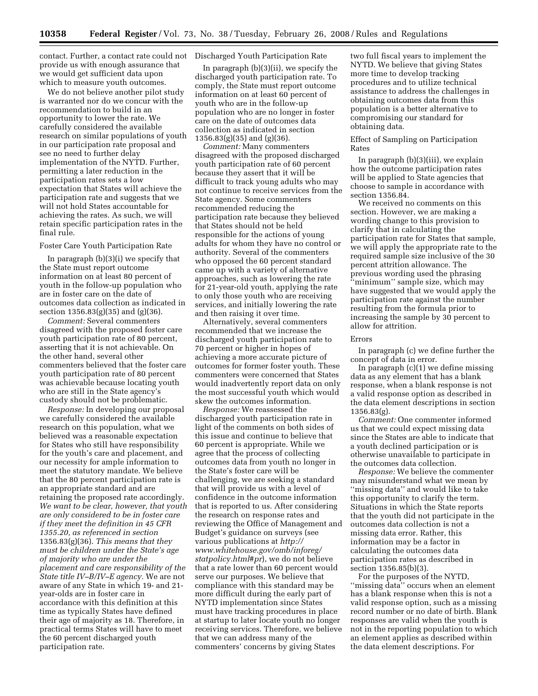contact. Further, a contact rate could not Discharged Youth Participation Rate provide us with enough assurance that we would get sufficient data upon which to measure youth outcomes.

We do not believe another pilot study is warranted nor do we concur with the recommendation to build in an opportunity to lower the rate. We carefully considered the available research on similar populations of youth in our participation rate proposal and see no need to further delay implementation of the NYTD. Further, permitting a later reduction in the participation rates sets a low expectation that States will achieve the participation rate and suggests that we will not hold States accountable for achieving the rates. As such, we will retain specific participation rates in the final rule.

#### Foster Care Youth Participation Rate

In paragraph  $(b)(3)(i)$  we specify that the State must report outcome information on at least 80 percent of youth in the follow-up population who are in foster care on the date of outcomes data collection as indicated in section 1356.83(g)(35) and (g)(36).

*Comment:* Several commenters disagreed with the proposed foster care youth participation rate of 80 percent, asserting that it is not achievable. On the other hand, several other commenters believed that the foster care youth participation rate of 80 percent was achievable because locating youth who are still in the State agency's custody should not be problematic.

*Response:* In developing our proposal we carefully considered the available research on this population, what we believed was a reasonable expectation for States who still have responsibility for the youth's care and placement, and our necessity for ample information to meet the statutory mandate. We believe that the 80 percent participation rate is an appropriate standard and are retaining the proposed rate accordingly. *We want to be clear, however, that youth are only considered to be in foster care if they meet the definition in 45 CFR 1355.20, as referenced in section*  1356.83(g)(36). *This means that they must be children under the State's age of majority who are under the placement and care responsibility of the State title IV–B/IV–E agency.* We are not aware of any State in which 19- and 21 year-olds are in foster care in accordance with this definition at this time as typically States have defined their age of majority as 18. Therefore, in practical terms States will have to meet the 60 percent discharged youth participation rate.

In paragraph (b)(3)(ii), we specify the discharged youth participation rate. To comply, the State must report outcome information on at least 60 percent of youth who are in the follow-up population who are no longer in foster care on the date of outcomes data collection as indicated in section  $1356.83(g)(35)$  and  $(g)(36)$ .

*Comment:* Many commenters disagreed with the proposed discharged youth participation rate of 60 percent because they assert that it will be difficult to track young adults who may not continue to receive services from the State agency. Some commenters recommended reducing the participation rate because they believed that States should not be held responsible for the actions of young adults for whom they have no control or authority. Several of the commenters who opposed the 60 percent standard came up with a variety of alternative approaches, such as lowering the rate for 21-year-old youth, applying the rate to only those youth who are receiving services, and initially lowering the rate and then raising it over time.

Alternatively, several commenters recommended that we increase the discharged youth participation rate to 70 percent or higher in hopes of achieving a more accurate picture of outcomes for former foster youth. These commenters were concerned that States would inadvertently report data on only the most successful youth which would skew the outcomes information.

*Response:* We reassessed the discharged youth participation rate in light of the comments on both sides of this issue and continue to believe that 60 percent is appropriate. While we agree that the process of collecting outcomes data from youth no longer in the State's foster care will be challenging, we are seeking a standard that will provide us with a level of confidence in the outcome information that is reported to us. After considering the research on response rates and reviewing the Office of Management and Budget's guidance on surveys (see various publications at *http:// www.whitehouse.gov/omb/inforeg/ statpolicy.html#pr*), we do not believe that a rate lower than 60 percent would serve our purposes. We believe that compliance with this standard may be more difficult during the early part of NYTD implementation since States must have tracking procedures in place at startup to later locate youth no longer receiving services. Therefore, we believe that we can address many of the commenters' concerns by giving States

two full fiscal years to implement the NYTD. We believe that giving States more time to develop tracking procedures and to utilize technical assistance to address the challenges in obtaining outcomes data from this population is a better alternative to compromising our standard for obtaining data.

#### Effect of Sampling on Participation Rates

In paragraph (b)(3)(iii), we explain how the outcome participation rates will be applied to State agencies that choose to sample in accordance with section 1356.84.

We received no comments on this section. However, we are making a wording change to this provision to clarify that in calculating the participation rate for States that sample, we will apply the appropriate rate to the required sample size inclusive of the 30 percent attrition allowance. The previous wording used the phrasing ''minimum'' sample size, which may have suggested that we would apply the participation rate against the number resulting from the formula prior to increasing the sample by 30 percent to allow for attrition.

#### Errors

In paragraph (c) we define further the concept of data in error.

In paragraph (c)(1) we define missing data as any element that has a blank response, when a blank response is not a valid response option as described in the data element descriptions in section 1356.83(g).

*Comment:* One commenter informed us that we could expect missing data since the States are able to indicate that a youth declined participation or is otherwise unavailable to participate in the outcomes data collection.

*Response:* We believe the commenter may misunderstand what we mean by ''missing data'' and would like to take this opportunity to clarify the term. Situations in which the State reports that the youth did not participate in the outcomes data collection is not a missing data error. Rather, this information may be a factor in calculating the outcomes data participation rates as described in section 1356.85(b)(3).

For the purposes of the NYTD, ''missing data'' occurs when an element has a blank response when this is not a valid response option, such as a missing record number or no date of birth. Blank responses are valid when the youth is not in the reporting population to which an element applies as described within the data element descriptions. For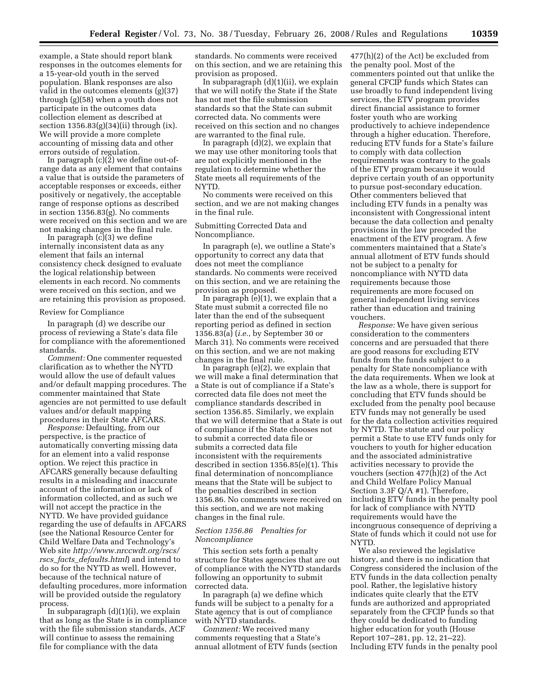example, a State should report blank responses in the outcomes elements for a 15-year-old youth in the served population. Blank responses are also valid in the outcomes elements (g)(37) through (g)(58) when a youth does not participate in the outcomes data collection element as described at section 1356.83(g)(34)(ii) through (ix). We will provide a more complete accounting of missing data and other errors outside of regulation.

In paragraph  $(c)(\overline{2})$  we define out-ofrange data as any element that contains a value that is outside the parameters of acceptable responses or exceeds, either positively or negatively, the acceptable range of response options as described in section 1356.83(g). No comments were received on this section and we are not making changes in the final rule.

In paragraph (c)(3) we define internally inconsistent data as any element that fails an internal consistency check designed to evaluate the logical relationship between elements in each record. No comments were received on this section, and we are retaining this provision as proposed.

#### Review for Compliance

In paragraph (d) we describe our process of reviewing a State's data file for compliance with the aforementioned standards.

*Comment:* One commenter requested clarification as to whether the NYTD would allow the use of default values and/or default mapping procedures. The commenter maintained that State agencies are not permitted to use default values and/or default mapping procedures in their State AFCARS.

*Response:* Defaulting, from our perspective, is the practice of automatically converting missing data for an element into a valid response option. We reject this practice in AFCARS generally because defaulting results in a misleading and inaccurate account of the information or lack of information collected, and as such we will not accept the practice in the NYTD. We have provided guidance regarding the use of defaults in AFCARS (see the National Resource Center for Child Welfare Data and Technology's Web site *http://www.nrccwdt.org/rscs/ rscs*\_*facts*\_*defaults.html*) and intend to do so for the NYTD as well. However, because of the technical nature of defaulting procedures, more information will be provided outside the regulatory process.

In subparagraph (d)(1)(i), we explain that as long as the State is in compliance with the file submission standards, ACF will continue to assess the remaining file for compliance with the data

standards. No comments were received on this section, and we are retaining this provision as proposed.

In subparagraph (d)(1)(ii), we explain that we will notify the State if the State has not met the file submission standards so that the State can submit corrected data. No comments were received on this section and no changes are warranted to the final rule.

In paragraph (d)(2), we explain that we may use other monitoring tools that are not explicitly mentioned in the regulation to determine whether the State meets all requirements of the NYTD.

No comments were received on this section, and we are not making changes in the final rule.

#### Submitting Corrected Data and Noncompliance.

In paragraph (e), we outline a State's opportunity to correct any data that does not meet the compliance standards. No comments were received on this section, and we are retaining the provision as proposed.

In paragraph (e)(1), we explain that a State must submit a corrected file no later than the end of the subsequent reporting period as defined in section 1356.83(a) (*i.e.*, by September 30 or March 31). No comments were received on this section, and we are not making changes in the final rule.

In paragraph (e)(2), we explain that we will make a final determination that a State is out of compliance if a State's corrected data file does not meet the compliance standards described in section 1356.85. Similarly, we explain that we will determine that a State is out of compliance if the State chooses not to submit a corrected data file or submits a corrected data file inconsistent with the requirements described in section 1356.85(e)(1). This final determination of noncompliance means that the State will be subject to the penalties described in section 1356.86. No comments were received on this section, and we are not making changes in the final rule.

#### *Section 1356.86 Penalties for Noncompliance*

This section sets forth a penalty structure for States agencies that are out of compliance with the NYTD standards following an opportunity to submit corrected data.

In paragraph (a) we define which funds will be subject to a penalty for a State agency that is out of compliance with NYTD standards.

*Comment:* We received many comments requesting that a State's annual allotment of ETV funds (section

477(h)(2) of the Act) be excluded from the penalty pool. Most of the commenters pointed out that unlike the general CFCIP funds which States can use broadly to fund independent living services, the ETV program provides direct financial assistance to former foster youth who are working productively to achieve independence through a higher education. Therefore, reducing ETV funds for a State's failure to comply with data collection requirements was contrary to the goals of the ETV program because it would deprive certain youth of an opportunity to pursue post-secondary education. Other commenters believed that including ETV funds in a penalty was inconsistent with Congressional intent because the data collection and penalty provisions in the law preceded the enactment of the ETV program. A few commenters maintained that a State's annual allotment of ETV funds should not be subject to a penalty for noncompliance with NYTD data requirements because those requirements are more focused on general independent living services rather than education and training vouchers.

*Response:* We have given serious consideration to the commenters concerns and are persuaded that there are good reasons for excluding ETV funds from the funds subject to a penalty for State noncompliance with the data requirements. When we look at the law as a whole, there is support for concluding that ETV funds should be excluded from the penalty pool because ETV funds may not generally be used for the data collection activities required by NYTD. The statute and our policy permit a State to use ETV funds only for vouchers to youth for higher education and the associated administrative activities necessary to provide the vouchers (section 477(h)(2) of the Act and Child Welfare Policy Manual Section 3.3F Q/A #1). Therefore, including ETV funds in the penalty pool for lack of compliance with NYTD requirements would have the incongruous consequence of depriving a State of funds which it could not use for NYTD.

We also reviewed the legislative history, and there is no indication that Congress considered the inclusion of the ETV funds in the data collection penalty pool. Rather, the legislative history indicates quite clearly that the ETV funds are authorized and appropriated separately from the CFCIP funds so that they could be dedicated to funding higher education for youth (House Report 107–281, pp. 12, 21–22). Including ETV funds in the penalty pool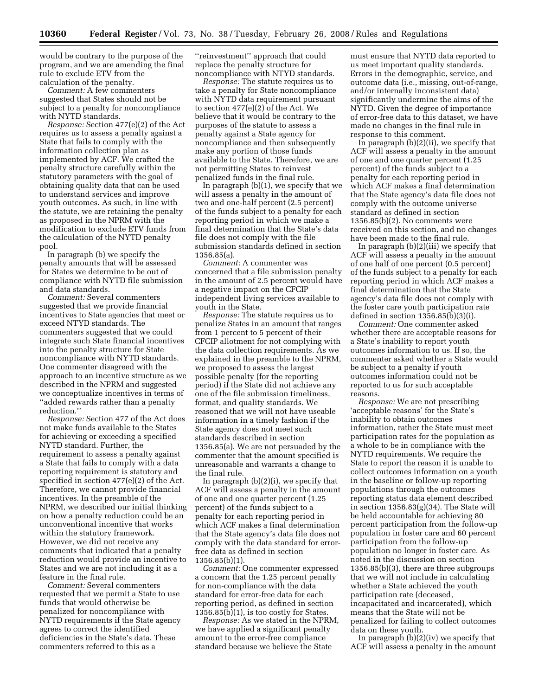would be contrary to the purpose of the program, and we are amending the final rule to exclude ETV from the calculation of the penalty.

*Comment:* A few commenters suggested that States should not be subject to a penalty for noncompliance with NYTD standards.

*Response:* Section 477(e)(2) of the Act requires us to assess a penalty against a State that fails to comply with the information collection plan as implemented by ACF. We crafted the penalty structure carefully within the statutory parameters with the goal of obtaining quality data that can be used to understand services and improve youth outcomes. As such, in line with the statute, we are retaining the penalty as proposed in the NPRM with the modification to exclude ETV funds from the calculation of the NYTD penalty pool.

In paragraph (b) we specify the penalty amounts that will be assessed for States we determine to be out of compliance with NYTD file submission and data standards.

*Comment:* Several commenters suggested that we provide financial incentives to State agencies that meet or exceed NTYD standards. The commenters suggested that we could integrate such State financial incentives into the penalty structure for State noncompliance with NYTD standards. One commenter disagreed with the approach to an incentive structure as we described in the NPRM and suggested we conceptualize incentives in terms of ''added rewards rather than a penalty reduction.''

*Response:* Section 477 of the Act does not make funds available to the States for achieving or exceeding a specified NYTD standard. Further, the requirement to assess a penalty against a State that fails to comply with a data reporting requirement is statutory and specified in section 477(e)(2) of the Act. Therefore, we cannot provide financial incentives. In the preamble of the NPRM, we described our initial thinking on how a penalty reduction could be an unconventional incentive that works within the statutory framework. However, we did not receive any comments that indicated that a penalty reduction would provide an incentive to States and we are not including it as a feature in the final rule.

*Comment:* Several commenters requested that we permit a State to use funds that would otherwise be penalized for noncompliance with NYTD requirements if the State agency agrees to correct the identified deficiencies in the State's data. These commenters referred to this as a

''reinvestment'' approach that could replace the penalty structure for noncompliance with NTYD standards.

*Response:* The statute requires us to take a penalty for State noncompliance with NYTD data requirement pursuant to section 477(e)(2) of the Act. We believe that it would be contrary to the purposes of the statute to assess a penalty against a State agency for noncompliance and then subsequently make any portion of those funds available to the State. Therefore, we are not permitting States to reinvest penalized funds in the final rule.

In paragraph (b)(1), we specify that we will assess a penalty in the amount of two and one-half percent (2.5 percent) of the funds subject to a penalty for each reporting period in which we make a final determination that the State's data file does not comply with the file submission standards defined in section 1356.85(a).

*Comment:* A commenter was concerned that a file submission penalty in the amount of 2.5 percent would have a negative impact on the CFCIP independent living services available to youth in the State.

*Response:* The statute requires us to penalize States in an amount that ranges from 1 percent to 5 percent of their CFCIP allotment for not complying with the data collection requirements. As we explained in the preamble to the NPRM, we proposed to assess the largest possible penalty (for the reporting period) if the State did not achieve any one of the file submission timeliness, format, and quality standards. We reasoned that we will not have useable information in a timely fashion if the State agency does not meet such standards described in section 1356.85(a). We are not persuaded by the commenter that the amount specified is unreasonable and warrants a change to the final rule.

In paragraph (b)(2)(i), we specify that ACF will assess a penalty in the amount of one and one quarter percent (1.25 percent) of the funds subject to a penalty for each reporting period in which ACF makes a final determination that the State agency's data file does not comply with the data standard for errorfree data as defined in section 1356.85(b)(1).

*Comment:* One commenter expressed a concern that the 1.25 percent penalty for non-compliance with the data standard for error-free data for each reporting period, as defined in section 1356.85(b)(1), is too costly for States.

*Response:* As we stated in the NPRM, we have applied a significant penalty amount to the error-free compliance standard because we believe the State

must ensure that NYTD data reported to us meet important quality standards. Errors in the demographic, service, and outcome data (i.e., missing, out-of-range, and/or internally inconsistent data) significantly undermine the aims of the NYTD. Given the degree of importance of error-free data to this dataset, we have made no changes in the final rule in response to this comment.

In paragraph (b)(2)(ii), we specify that ACF will assess a penalty in the amount of one and one quarter percent (1.25 percent) of the funds subject to a penalty for each reporting period in which ACF makes a final determination that the State agency's data file does not comply with the outcome universe standard as defined in section 1356.85(b)(2). No comments were received on this section, and no changes have been made to the final rule.

In paragraph (b)(2)(iii) we specify that ACF will assess a penalty in the amount of one half of one percent (0.5 percent) of the funds subject to a penalty for each reporting period in which ACF makes a final determination that the State agency's data file does not comply with the foster care youth participation rate defined in section  $1356.85(b)(3)(i)$ .

*Comment:* One commenter asked whether there are acceptable reasons for a State's inability to report youth outcomes information to us. If so, the commenter asked whether a State would be subject to a penalty if youth outcomes information could not be reported to us for such acceptable reasons.

*Response:* We are not prescribing 'acceptable reasons' for the State's inability to obtain outcomes information, rather the State must meet participation rates for the population as a whole to be in compliance with the NYTD requirements. We require the State to report the reason it is unable to collect outcomes information on a youth in the baseline or follow-up reporting populations through the outcomes reporting status data element described in section 1356.83(g)(34). The State will be held accountable for achieving 80 percent participation from the follow-up population in foster care and 60 percent participation from the follow-up population no longer in foster care. As noted in the discussion on section 1356.85(b)(3), there are three subgroups that we will not include in calculating whether a State achieved the youth participation rate (deceased, incapacitated and incarcerated), which means that the State will not be penalized for failing to collect outcomes data on these youth.

In paragraph (b)(2)(iv) we specify that ACF will assess a penalty in the amount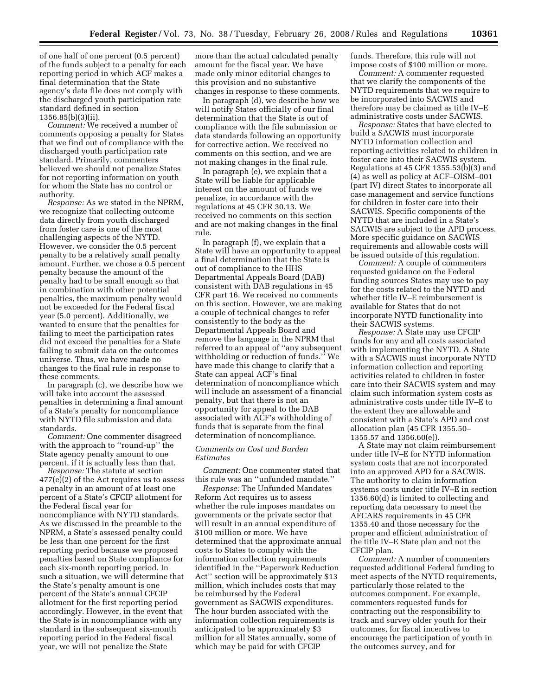of one half of one percent (0.5 percent) of the funds subject to a penalty for each reporting period in which ACF makes a final determination that the State agency's data file does not comply with the discharged youth participation rate standard defined in section 1356.85(b)(3)(ii).

*Comment:* We received a number of comments opposing a penalty for States that we find out of compliance with the discharged youth participation rate standard. Primarily, commenters believed we should not penalize States for not reporting information on youth for whom the State has no control or authority.

*Response:* As we stated in the NPRM, we recognize that collecting outcome data directly from youth discharged from foster care is one of the most challenging aspects of the NYTD. However, we consider the 0.5 percent penalty to be a relatively small penalty amount. Further, we chose a 0.5 percent penalty because the amount of the penalty had to be small enough so that in combination with other potential penalties, the maximum penalty would not be exceeded for the Federal fiscal year (5.0 percent). Additionally, we wanted to ensure that the penalties for failing to meet the participation rates did not exceed the penalties for a State failing to submit data on the outcomes universe. Thus, we have made no changes to the final rule in response to these comments.

In paragraph (c), we describe how we will take into account the assessed penalties in determining a final amount of a State's penalty for noncompliance with NYTD file submission and data standards.

*Comment:* One commenter disagreed with the approach to "round-up" the State agency penalty amount to one percent, if it is actually less than that.

*Response:* The statute at section 477(e)(2) of the Act requires us to assess a penalty in an amount of at least one percent of a State's CFCIP allotment for the Federal fiscal year for noncompliance with NYTD standards. As we discussed in the preamble to the NPRM, a State's assessed penalty could be less than one percent for the first reporting period because we proposed penalties based on State compliance for each six-month reporting period. In such a situation, we will determine that the State's penalty amount is one percent of the State's annual CFCIP allotment for the first reporting period accordingly. However, in the event that the State is in noncompliance with any standard in the subsequent six-month reporting period in the Federal fiscal year, we will not penalize the State

more than the actual calculated penalty amount for the fiscal year. We have made only minor editorial changes to this provision and no substantive changes in response to these comments.

In paragraph (d), we describe how we will notify States officially of our final determination that the State is out of compliance with the file submission or data standards following an opportunity for corrective action. We received no comments on this section, and we are not making changes in the final rule.

In paragraph (e), we explain that a State will be liable for applicable interest on the amount of funds we penalize, in accordance with the regulations at 45 CFR 30.13. We received no comments on this section and are not making changes in the final rule.

In paragraph (f), we explain that a State will have an opportunity to appeal a final determination that the State is out of compliance to the HHS Departmental Appeals Board (DAB) consistent with DAB regulations in 45 CFR part 16. We received no comments on this section. However, we are making a couple of technical changes to refer consistently to the body as the Departmental Appeals Board and remove the language in the NPRM that referred to an appeal of ''any subsequent withholding or reduction of funds.'' We have made this change to clarify that a State can appeal ACF's final determination of noncompliance which will include an assessment of a financial penalty, but that there is not an opportunity for appeal to the DAB associated with ACF's withholding of funds that is separate from the final determination of noncompliance.

#### *Comments on Cost and Burden Estimates*

*Comment:* One commenter stated that this rule was an ''unfunded mandate.''

*Response:* The Unfunded Mandates Reform Act requires us to assess whether the rule imposes mandates on governments or the private sector that will result in an annual expenditure of \$100 million or more. We have determined that the approximate annual costs to States to comply with the information collection requirements identified in the ''Paperwork Reduction Act'' section will be approximately \$13 million, which includes costs that may be reimbursed by the Federal government as SACWIS expenditures. The hour burden associated with the information collection requirements is anticipated to be approximately \$3 million for all States annually, some of which may be paid for with CFCIP

funds. Therefore, this rule will not impose costs of \$100 million or more.

*Comment:* A commenter requested that we clarify the components of the NYTD requirements that we require to be incorporated into SACWIS and therefore may be claimed as title IV–E administrative costs under SACWIS.

*Response:* States that have elected to build a SACWIS must incorporate NYTD information collection and reporting activities related to children in foster care into their SACWIS system. Regulations at 45 CFR 1355.53(b)(3) and (4) as well as policy at ACF–OISM–001 (part IV) direct States to incorporate all case management and service functions for children in foster care into their SACWIS. Specific components of the NYTD that are included in a State's SACWIS are subject to the APD process. More specific guidance on SACWIS requirements and allowable costs will be issued outside of this regulation.

*Comment:* A couple of commenters requested guidance on the Federal funding sources States may use to pay for the costs related to the NYTD and whether title IV–E reimbursement is available for States that do not incorporate NYTD functionality into their SACWIS systems.

*Response:* A State may use CFCIP funds for any and all costs associated with implementing the NYTD. A State with a SACWIS must incorporate NYTD information collection and reporting activities related to children in foster care into their SACWIS system and may claim such information system costs as administrative costs under title IV–E to the extent they are allowable and consistent with a State's APD and cost allocation plan (45 CFR 1355.50– 1355.57 and 1356.60(e)).

A State may not claim reimbursement under title IV–E for NYTD information system costs that are not incorporated into an approved APD for a SACWIS. The authority to claim information systems costs under title IV–E in section 1356.60(d) is limited to collecting and reporting data necessary to meet the AFCARS requirements in 45 CFR 1355.40 and those necessary for the proper and efficient administration of the title IV–E State plan and not the CFCIP plan.

*Comment:* A number of commenters requested additional Federal funding to meet aspects of the NYTD requirements, particularly those related to the outcomes component. For example, commenters requested funds for contracting out the responsibility to track and survey older youth for their outcomes, for fiscal incentives to encourage the participation of youth in the outcomes survey, and for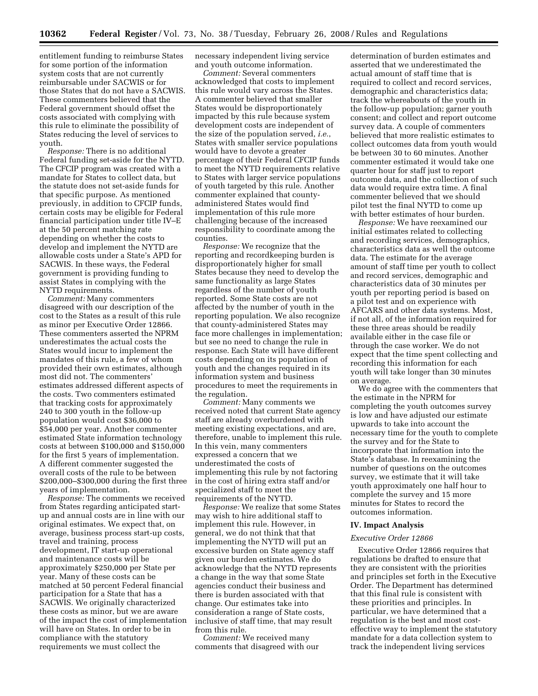entitlement funding to reimburse States for some portion of the information system costs that are not currently reimbursable under SACWIS or for those States that do not have a SACWIS. These commenters believed that the Federal government should offset the costs associated with complying with this rule to eliminate the possibility of States reducing the level of services to youth.

*Response:* There is no additional Federal funding set-aside for the NYTD. The CFCIP program was created with a mandate for States to collect data, but the statute does not set-aside funds for that specific purpose. As mentioned previously, in addition to CFCIP funds, certain costs may be eligible for Federal financial participation under title IV–E at the 50 percent matching rate depending on whether the costs to develop and implement the NYTD are allowable costs under a State's APD for SACWIS. In these ways, the Federal government is providing funding to assist States in complying with the NYTD requirements.

*Comment:* Many commenters disagreed with our description of the cost to the States as a result of this rule as minor per Executive Order 12866. These commenters asserted the NPRM underestimates the actual costs the States would incur to implement the mandates of this rule, a few of whom provided their own estimates, although most did not. The commenters' estimates addressed different aspects of the costs. Two commenters estimated that tracking costs for approximately 240 to 300 youth in the follow-up population would cost \$36,000 to \$54,000 per year. Another commenter estimated State information technology costs at between \$100,000 and \$150,000 for the first 5 years of implementation. A different commenter suggested the overall costs of the rule to be between \$200,000–\$300,000 during the first three years of implementation.

*Response:* The comments we received from States regarding anticipated startup and annual costs are in line with our original estimates. We expect that, on average, business process start-up costs, travel and training, process development, IT start-up operational and maintenance costs will be approximately \$250,000 per State per year. Many of these costs can be matched at 50 percent Federal financial participation for a State that has a SACWIS. We originally characterized these costs as minor, but we are aware of the impact the cost of implementation will have on States. In order to be in compliance with the statutory requirements we must collect the

necessary independent living service and youth outcome information.

*Comment:* Several commenters acknowledged that costs to implement this rule would vary across the States. A commenter believed that smaller States would be disproportionately impacted by this rule because system development costs are independent of the size of the population served, *i.e.*, States with smaller service populations would have to devote a greater percentage of their Federal CFCIP funds to meet the NYTD requirements relative to States with larger service populations of youth targeted by this rule. Another commenter explained that countyadministered States would find implementation of this rule more challenging because of the increased responsibility to coordinate among the counties.

*Response:* We recognize that the reporting and recordkeeping burden is disproportionately higher for small States because they need to develop the same functionality as large States regardless of the number of youth reported. Some State costs are not affected by the number of youth in the reporting population. We also recognize that county-administered States may face more challenges in implementation; but see no need to change the rule in response. Each State will have different costs depending on its population of youth and the changes required in its information system and business procedures to meet the requirements in the regulation.

*Comment:* Many comments we received noted that current State agency staff are already overburdened with meeting existing expectations, and are, therefore, unable to implement this rule. In this vein, many commenters expressed a concern that we underestimated the costs of implementing this rule by not factoring in the cost of hiring extra staff and/or specialized staff to meet the requirements of the NYTD.

*Response:* We realize that some States may wish to hire additional staff to implement this rule. However, in general, we do not think that that implementing the NYTD will put an excessive burden on State agency staff given our burden estimates. We do acknowledge that the NYTD represents a change in the way that some State agencies conduct their business and there is burden associated with that change. Our estimates take into consideration a range of State costs, inclusive of staff time, that may result from this rule.

*Comment:* We received many comments that disagreed with our

determination of burden estimates and asserted that we underestimated the actual amount of staff time that is required to collect and record services, demographic and characteristics data; track the whereabouts of the youth in the follow-up population; garner youth consent; and collect and report outcome survey data. A couple of commenters believed that more realistic estimates to collect outcomes data from youth would be between 30 to 60 minutes. Another commenter estimated it would take one quarter hour for staff just to report outcome data, and the collection of such data would require extra time. A final commenter believed that we should pilot test the final NYTD to come up with better estimates of hour burden.

*Response:* We have reexamined our initial estimates related to collecting and recording services, demographics, characteristics data as well the outcome data. The estimate for the average amount of staff time per youth to collect and record services, demographic and characteristics data of 30 minutes per youth per reporting period is based on a pilot test and on experience with AFCARS and other data systems. Most, if not all, of the information required for these three areas should be readily available either in the case file or through the case worker. We do not expect that the time spent collecting and recording this information for each youth will take longer than 30 minutes on average.

We do agree with the commenters that the estimate in the NPRM for completing the youth outcomes survey is low and have adjusted our estimate upwards to take into account the necessary time for the youth to complete the survey and for the State to incorporate that information into the State's database. In reexamining the number of questions on the outcomes survey, we estimate that it will take youth approximately one half hour to complete the survey and 15 more minutes for States to record the outcomes information.

#### **IV. Impact Analysis**

#### *Executive Order 12866*

Executive Order 12866 requires that regulations be drafted to ensure that they are consistent with the priorities and principles set forth in the Executive Order. The Department has determined that this final rule is consistent with these priorities and principles. In particular, we have determined that a regulation is the best and most costeffective way to implement the statutory mandate for a data collection system to track the independent living services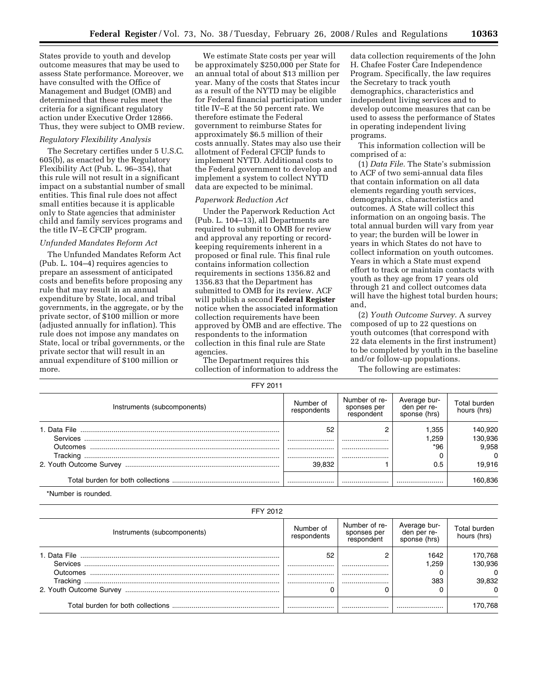States provide to youth and develop outcome measures that may be used to assess State performance. Moreover, we have consulted with the Office of Management and Budget (OMB) and determined that these rules meet the criteria for a significant regulatory action under Executive Order 12866. Thus, they were subject to OMB review.

#### *Regulatory Flexibility Analysis*

The Secretary certifies under 5 U.S.C. 605(b), as enacted by the Regulatory Flexibility Act (Pub. L. 96–354), that this rule will not result in a significant impact on a substantial number of small entities. This final rule does not affect small entities because it is applicable only to State agencies that administer child and family services programs and the title IV–E CFCIP program.

#### *Unfunded Mandates Reform Act*

The Unfunded Mandates Reform Act (Pub. L. 104–4) requires agencies to prepare an assessment of anticipated costs and benefits before proposing any rule that may result in an annual expenditure by State, local, and tribal governments, in the aggregate, or by the private sector, of \$100 million or more (adjusted annually for inflation). This rule does not impose any mandates on State, local or tribal governments, or the private sector that will result in an annual expenditure of \$100 million or more.

We estimate State costs per year will be approximately \$250,000 per State for an annual total of about \$13 million per year. Many of the costs that States incur as a result of the NYTD may be eligible for Federal financial participation under title IV–E at the 50 percent rate. We therefore estimate the Federal government to reimburse States for approximately \$6.5 million of their costs annually. States may also use their allotment of Federal CFCIP funds to implement NYTD. Additional costs to the Federal government to develop and implement a system to collect NYTD data are expected to be minimal.

#### *Paperwork Reduction Act*

Under the Paperwork Reduction Act (Pub. L. 104–13), all Departments are required to submit to OMB for review and approval any reporting or recordkeeping requirements inherent in a proposed or final rule. This final rule contains information collection requirements in sections 1356.82 and 1356.83 that the Department has submitted to OMB for its review. ACF will publish a second **Federal Register**  notice when the associated information collection requirements have been approved by OMB and are effective. The respondents to the information collection in this final rule are State agencies.

The Department requires this collection of information to address the

data collection requirements of the John H. Chafee Foster Care Independence Program. Specifically, the law requires the Secretary to track youth demographics, characteristics and independent living services and to develop outcome measures that can be used to assess the performance of States in operating independent living programs.

This information collection will be comprised of a:

(1) *Data File.* The State's submission to ACF of two semi-annual data files that contain information on all data elements regarding youth services, demographics, characteristics and outcomes. A State will collect this information on an ongoing basis. The total annual burden will vary from year to year; the burden will be lower in years in which States do not have to collect information on youth outcomes. Years in which a State must expend effort to track or maintain contacts with youth as they age from 17 years old through 21 and collect outcomes data will have the highest total burden hours; and,

(2) *Youth Outcome Survey*. A survey composed of up to 22 questions on youth outcomes (that correspond with 22 data elements in the first instrument) to be completed by youth in the baseline and/or follow-up populations.

The following are estimates:

|  | FFY 2011 |
|--|----------|
|--|----------|

| Instruments (subcomponents) | Number of<br>respondents | Number of re-<br>sponses per<br>respondent | Average bur-<br>den per re-<br>sponse (hrs) | Total burden<br>hours (hrs)                       |
|-----------------------------|--------------------------|--------------------------------------------|---------------------------------------------|---------------------------------------------------|
| Outcomes                    | 52<br><br><br><br>39.832 | <br><br>                                   | 1.355<br>.259<br>*96<br>0.5                 | 140,920<br>130,936<br>9.958<br>$\Omega$<br>19.916 |
|                             |                          |                                            |                                             | 160.836                                           |

\*Number is rounded.

| FFY 2012                    |                          |                                            |                                             |                                |
|-----------------------------|--------------------------|--------------------------------------------|---------------------------------------------|--------------------------------|
| Instruments (subcomponents) | Number of<br>respondents | Number of re-<br>sponses per<br>respondent | Average bur-<br>den per re-<br>sponse (hrs) | Total burden<br>hours (hrs)    |
| Outcomes                    | 52<br><br>               |                                            | 1642<br>1.259                               | 170,768<br>130,936<br>$\Omega$ |
|                             |                          |                                            | 383                                         | 39,832                         |
|                             |                          |                                            |                                             |                                |
|                             |                          |                                            |                                             | 170,768                        |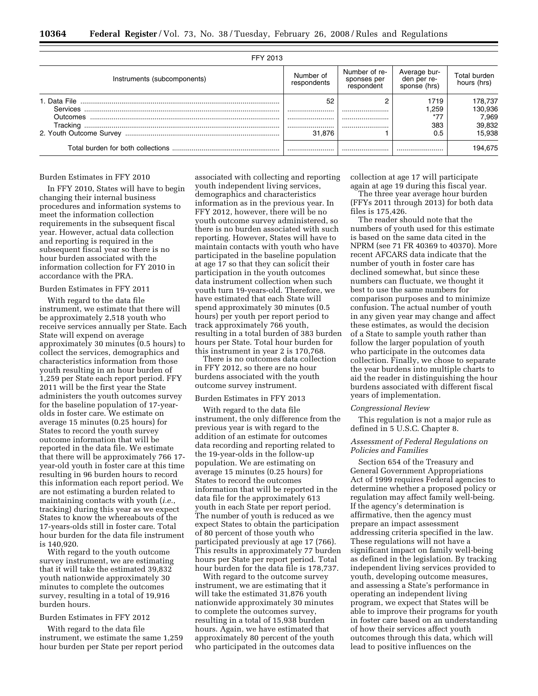| FFY 2013                    |                          |                                            |                                             |                                                 |
|-----------------------------|--------------------------|--------------------------------------------|---------------------------------------------|-------------------------------------------------|
| Instruments (subcomponents) | Number of<br>respondents | Number of re-<br>sponses per<br>respondent | Average bur-<br>den per re-<br>sponse (hrs) | Total burden<br>hours (hrs)                     |
| Outcomes                    | 52<br><br><br><br>31.876 | ∩<br><br><br>                              | 1719<br>1.259<br>$*7-$<br>383<br>0.5        | 178,737<br>130,936<br>7,969<br>39,832<br>15.938 |
|                             |                          |                                            |                                             | 194,675                                         |

#### Burden Estimates in FFY 2010

In FFY 2010, States will have to begin changing their internal business procedures and information systems to meet the information collection requirements in the subsequent fiscal year. However, actual data collection and reporting is required in the subsequent fiscal year so there is no hour burden associated with the information collection for FY 2010 in accordance with the PRA.

### Burden Estimates in FFY 2011

With regard to the data file instrument, we estimate that there will be approximately 2,518 youth who receive services annually per State. Each State will expend on average approximately 30 minutes (0.5 hours) to collect the services, demographics and characteristics information from those youth resulting in an hour burden of 1,259 per State each report period. FFY 2011 will be the first year the State administers the youth outcomes survey for the baseline population of 17-yearolds in foster care. We estimate on average 15 minutes (0.25 hours) for States to record the youth survey outcome information that will be reported in the data file. We estimate that there will be approximately 766 17 year-old youth in foster care at this time resulting in 96 burden hours to record this information each report period. We are not estimating a burden related to maintaining contacts with youth (*i.e.*, tracking) during this year as we expect States to know the whereabouts of the 17-years-olds still in foster care. Total hour burden for the data file instrument is 140,920.

With regard to the youth outcome survey instrument, we are estimating that it will take the estimated 39,832 youth nationwide approximately 30 minutes to complete the outcomes survey, resulting in a total of 19,916 burden hours.

## Burden Estimates in FFY 2012

With regard to the data file instrument, we estimate the same 1,259 hour burden per State per report period

associated with collecting and reporting youth independent living services, demographics and characteristics information as in the previous year. In FFY 2012, however, there will be no youth outcome survey administered, so there is no burden associated with such reporting. However, States will have to maintain contacts with youth who have participated in the baseline population at age 17 so that they can solicit their participation in the youth outcomes data instrument collection when such youth turn 19-years-old. Therefore, we have estimated that each State will spend approximately 30 minutes (0.5 hours) per youth per report period to track approximately 766 youth, resulting in a total burden of 383 burden hours per State. Total hour burden for this instrument in year 2 is 170,768.

There is no outcomes data collection in FFY 2012, so there are no hour burdens associated with the youth outcome survey instrument.

#### Burden Estimates in FFY 2013

With regard to the data file instrument, the only difference from the previous year is with regard to the addition of an estimate for outcomes data recording and reporting related to the 19-year-olds in the follow-up population. We are estimating on average 15 minutes (0.25 hours) for States to record the outcomes information that will be reported in the data file for the approximately 613 youth in each State per report period. The number of youth is reduced as we expect States to obtain the participation of 80 percent of those youth who participated previously at age 17 (766). This results in approximately 77 burden hours per State per report period. Total hour burden for the data file is 178,737.

With regard to the outcome survey instrument, we are estimating that it will take the estimated 31,876 youth nationwide approximately 30 minutes to complete the outcomes survey, resulting in a total of 15,938 burden hours. Again, we have estimated that approximately 80 percent of the youth who participated in the outcomes data collection at age 17 will participate again at age 19 during this fiscal year.

The three year average hour burden (FFYs 2011 through 2013) for both data files is 175,426.

The reader should note that the numbers of youth used for this estimate is based on the same data cited in the NPRM (see 71 FR 40369 to 40370). More recent AFCARS data indicate that the number of youth in foster care has declined somewhat, but since these numbers can fluctuate, we thought it best to use the same numbers for comparison purposes and to minimize confusion. The actual number of youth in any given year may change and affect these estimates, as would the decision of a State to sample youth rather than follow the larger population of youth who participate in the outcomes data collection. Finally, we chose to separate the year burdens into multiple charts to aid the reader in distinguishing the hour burdens associated with different fiscal years of implementation.

#### *Congressional Review*

This regulation is not a major rule as defined in 5 U.S.C. Chapter 8.

#### *Assessment of Federal Regulations on Policies and Families*

Section 654 of the Treasury and General Government Appropriations Act of 1999 requires Federal agencies to determine whether a proposed policy or regulation may affect family well-being. If the agency's determination is affirmative, then the agency must prepare an impact assessment addressing criteria specified in the law. These regulations will not have a significant impact on family well-being as defined in the legislation. By tracking independent living services provided to youth, developing outcome measures, and assessing a State's performance in operating an independent living program, we expect that States will be able to improve their programs for youth in foster care based on an understanding of how their services affect youth outcomes through this data, which will lead to positive influences on the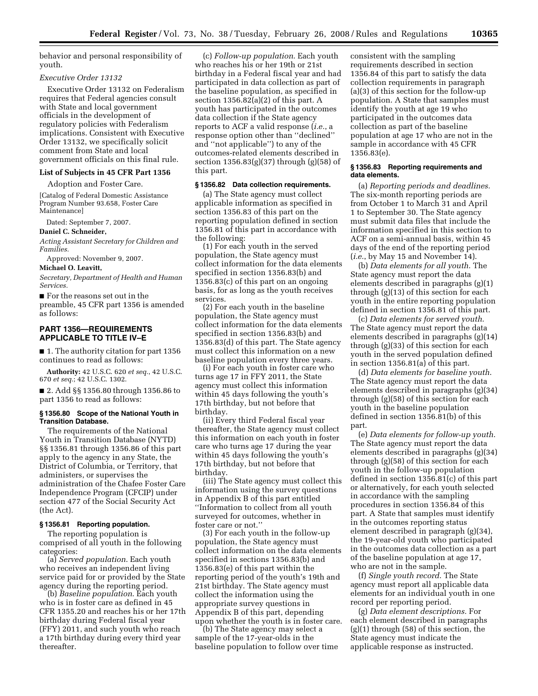behavior and personal responsibility of youth.

#### *Executive Order 13132*

Executive Order 13132 on Federalism requires that Federal agencies consult with State and local government officials in the development of regulatory policies with Federalism implications. Consistent with Executive Order 13132, we specifically solicit comment from State and local government officials on this final rule.

### **List of Subjects in 45 CFR Part 1356**

Adoption and Foster Care.

[Catalog of Federal Domestic Assistance Program Number 93.658, Foster Care Maintenance]

Dated: September 7, 2007.

**Daniel C. Schneider,** 

*Acting Assistant Secretary for Children and Families.* 

Approved: November 9, 2007.

#### **Michael O. Leavitt,**

*Secretary, Department of Health and Human Services.* 

■ For the reasons set out in the preamble, 45 CFR part 1356 is amended as follows:

#### **PART 1356—REQUIREMENTS APPLICABLE TO TITLE IV–E**

■ 1. The authority citation for part 1356 continues to read as follows:

**Authority:** 42 U.S.C. 620 *et seq.*, 42 U.S.C. 670 *et seq.*; 42 U.S.C. 1302.

■ 2. Add §§ 1356.80 through 1356.86 to part 1356 to read as follows:

#### **§ 1356.80 Scope of the National Youth in Transition Database.**

The requirements of the National Youth in Transition Database (NYTD) §§ 1356.81 through 1356.86 of this part apply to the agency in any State, the District of Columbia, or Territory, that administers, or supervises the administration of the Chafee Foster Care Independence Program (CFCIP) under section 477 of the Social Security Act (the Act).

#### **§ 1356.81 Reporting population.**

The reporting population is comprised of all youth in the following categories:

(a) *Served population*. Each youth who receives an independent living service paid for or provided by the State agency during the reporting period.

(b) *Baseline population*. Each youth who is in foster care as defined in 45 CFR 1355.20 and reaches his or her 17th birthday during Federal fiscal year (FFY) 2011, and such youth who reach a 17th birthday during every third year thereafter.

(c) *Follow-up population*. Each youth who reaches his or her 19th or 21st birthday in a Federal fiscal year and had participated in data collection as part of the baseline population, as specified in section  $1356.82(a)(2)$  of this part. A youth has participated in the outcomes data collection if the State agency reports to ACF a valid response (*i.e.*, a response option other than ''declined'' and ''not applicable'') to any of the outcomes-related elements described in section 1356.83(g)(37) through (g)(58) of this part.

#### **§ 1356.82 Data collection requirements.**

(a) The State agency must collect applicable information as specified in section 1356.83 of this part on the reporting population defined in section 1356.81 of this part in accordance with the following:

(1) For each youth in the served population, the State agency must collect information for the data elements specified in section 1356.83(b) and 1356.83(c) of this part on an ongoing basis, for as long as the youth receives services.

(2) For each youth in the baseline population, the State agency must collect information for the data elements specified in section 1356.83(b) and 1356.83(d) of this part. The State agency must collect this information on a new baseline population every three years.

(i) For each youth in foster care who turns age 17 in FFY 2011, the State agency must collect this information within 45 days following the youth's 17th birthday, but not before that birthday.

(ii) Every third Federal fiscal year thereafter, the State agency must collect this information on each youth in foster care who turns age 17 during the year within 45 days following the youth's 17th birthday, but not before that birthday.

(iii) The State agency must collect this information using the survey questions in Appendix B of this part entitled ''Information to collect from all youth surveyed for outcomes, whether in foster care or not.''

(3) For each youth in the follow-up population, the State agency must collect information on the data elements specified in sections 1356.83(b) and 1356.83(e) of this part within the reporting period of the youth's 19th and 21st birthday. The State agency must collect the information using the appropriate survey questions in Appendix B of this part, depending upon whether the youth is in foster care.

(b) The State agency may select a sample of the 17-year-olds in the baseline population to follow over time consistent with the sampling requirements described in section 1356.84 of this part to satisfy the data collection requirements in paragraph (a)(3) of this section for the follow-up population. A State that samples must identify the youth at age 19 who participated in the outcomes data collection as part of the baseline population at age 17 who are not in the sample in accordance with 45 CFR 1356.83(e).

#### **§ 1356.83 Reporting requirements and data elements.**

(a) *Reporting periods and deadlines.*  The six-month reporting periods are from October 1 to March 31 and April 1 to September 30. The State agency must submit data files that include the information specified in this section to ACF on a semi-annual basis, within 45 days of the end of the reporting period (*i.e.*, by May 15 and November 14).

(b) *Data elements for all youth*. The State agency must report the data elements described in paragraphs (g)(1) through (g)(13) of this section for each youth in the entire reporting population defined in section 1356.81 of this part.

(c) *Data elements for served youth*. The State agency must report the data elements described in paragraphs (g)(14) through (g)(33) of this section for each youth in the served population defined in section 1356.81(a) of this part.

(d) *Data elements for baseline youth*. The State agency must report the data elements described in paragraphs (g)(34) through (g)(58) of this section for each youth in the baseline population defined in section 1356.81(b) of this part.

(e) *Data elements for follow-up youth*. The State agency must report the data elements described in paragraphs (g)(34) through (g)(58) of this section for each youth in the follow-up population defined in section 1356.81(c) of this part or alternatively, for each youth selected in accordance with the sampling procedures in section 1356.84 of this part. A State that samples must identify in the outcomes reporting status element described in paragraph (g)(34), the 19-year-old youth who participated in the outcomes data collection as a part of the baseline population at age 17, who are not in the sample.

(f) *Single youth record*. The State agency must report all applicable data elements for an individual youth in one record per reporting period.

(g) *Data element descriptions.* For each element described in paragraphs (g)(1) through (58) of this section, the State agency must indicate the applicable response as instructed.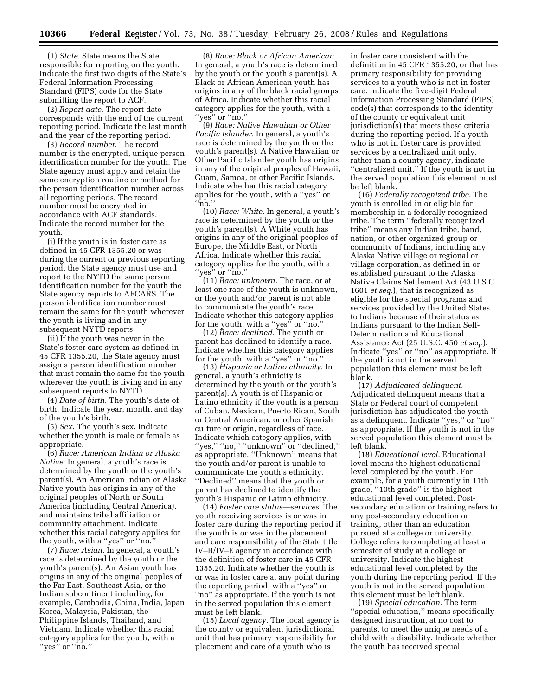(1) *State.* State means the State responsible for reporting on the youth. Indicate the first two digits of the State's Federal Information Processing Standard (FIPS) code for the State submitting the report to ACF.

(2) *Report date.* The report date corresponds with the end of the current reporting period. Indicate the last month and the year of the reporting period.

(3) *Record number*. The record number is the encrypted, unique person identification number for the youth. The State agency must apply and retain the same encryption routine or method for the person identification number across all reporting periods. The record number must be encrypted in accordance with ACF standards. Indicate the record number for the youth.

(i) If the youth is in foster care as defined in 45 CFR 1355.20 or was during the current or previous reporting period, the State agency must use and report to the NYTD the same person identification number for the youth the State agency reports to AFCARS. The person identification number must remain the same for the youth wherever the youth is living and in any subsequent NYTD reports.

(ii) If the youth was never in the State's foster care system as defined in 45 CFR 1355.20, the State agency must assign a person identification number that must remain the same for the youth wherever the youth is living and in any subsequent reports to NYTD.

(4) *Date of birth*. The youth's date of birth. Indicate the year, month, and day of the youth's birth.

(5) *Sex*. The youth's sex. Indicate whether the youth is male or female as appropriate.

(6) *Race: American Indian or Alaska Native.* In general, a youth's race is determined by the youth or the youth's parent(s). An American Indian or Alaska Native youth has origins in any of the original peoples of North or South America (including Central America), and maintains tribal affiliation or community attachment. Indicate whether this racial category applies for the youth, with a ''yes'' or ''no.''

(7) *Race: Asian.* In general, a youth's race is determined by the youth or the youth's parent(s). An Asian youth has origins in any of the original peoples of the Far East, Southeast Asia, or the Indian subcontinent including, for example, Cambodia, China, India, Japan, Korea, Malaysia, Pakistan, the Philippine Islands, Thailand, and Vietnam. Indicate whether this racial category applies for the youth, with a "yes" or "no."

(8) *Race: Black or African American.*  In general, a youth's race is determined by the youth or the youth's parent(s). A Black or African American youth has origins in any of the black racial groups of Africa. Indicate whether this racial category applies for the youth, with a ''yes'' or ''no.''

(9) *Race: Native Hawaiian or Other Pacific Islander.* In general, a youth's race is determined by the youth or the youth's parent(s). A Native Hawaiian or Other Pacific Islander youth has origins in any of the original peoples of Hawaii, Guam, Samoa, or other Pacific Islands. Indicate whether this racial category applies for the youth, with a ''yes'' or ''no.''

(10) *Race: White.* In general, a youth's race is determined by the youth or the youth's parent(s). A White youth has origins in any of the original peoples of Europe, the Middle East, or North Africa. Indicate whether this racial category applies for the youth, with a "yes" or "no."

(11) *Race: unknown.* The race, or at least one race of the youth is unknown, or the youth and/or parent is not able to communicate the youth's race. Indicate whether this category applies for the youth, with a ''yes'' or ''no.''

(12) *Race: declined.* The youth or parent has declined to identify a race. Indicate whether this category applies for the youth, with a ''yes'' or ''no.''

(13) *Hispanic or Latino ethnicity.* In general, a youth's ethnicity is determined by the youth or the youth's parent(s). A youth is of Hispanic or Latino ethnicity if the youth is a person of Cuban, Mexican, Puerto Rican, South or Central American, or other Spanish culture or origin, regardless of race. Indicate which category applies, with ''yes,'' ''no,'' ''unknown'' or ''declined,'' as appropriate. ''Unknown'' means that the youth and/or parent is unable to communicate the youth's ethnicity. ''Declined'' means that the youth or parent has declined to identify the youth's Hispanic or Latino ethnicity.

(14) *Foster care status—services.* The youth receiving services is or was in foster care during the reporting period if the youth is or was in the placement and care responsibility of the State title IV–B/IV–E agency in accordance with the definition of foster care in 45 CFR 1355.20. Indicate whether the youth is or was in foster care at any point during the reporting period, with a ''yes'' or ''no'' as appropriate. If the youth is not in the served population this element must be left blank.

(15) *Local agency.* The local agency is the county or equivalent jurisdictional unit that has primary responsibility for placement and care of a youth who is

in foster care consistent with the definition in 45 CFR 1355.20, or that has primary responsibility for providing services to a youth who is not in foster care. Indicate the five-digit Federal Information Processing Standard (FIPS) code(s) that corresponds to the identity of the county or equivalent unit jurisdiction(s) that meets these criteria during the reporting period. If a youth who is not in foster care is provided services by a centralized unit only, rather than a county agency, indicate ''centralized unit.'' If the youth is not in the served population this element must be left blank.

(16) *Federally recognized tribe.* The youth is enrolled in or eligible for membership in a federally recognized tribe. The term ''federally recognized tribe'' means any Indian tribe, band, nation, or other organized group or community of Indians, including any Alaska Native village or regional or village corporation, as defined in or established pursuant to the Alaska Native Claims Settlement Act (43 U.S.C 1601 *et seq.*), that is recognized as eligible for the special programs and services provided by the United States to Indians because of their status as Indians pursuant to the Indian Self-Determination and Educational Assistance Act (25 U.S.C. 450 *et seq.*). Indicate ''yes'' or ''no'' as appropriate. If the youth is not in the served population this element must be left blank.

(17) *Adjudicated delinquent.*  Adjudicated delinquent means that a State or Federal court of competent jurisdiction has adjudicated the youth as a delinquent. Indicate ''yes,'' or ''no'' as appropriate. If the youth is not in the served population this element must be left blank.

(18) *Educational level.* Educational level means the highest educational level completed by the youth. For example, for a youth currently in 11th grade, ''10th grade'' is the highest educational level completed. Postsecondary education or training refers to any post-secondary education or training, other than an education pursued at a college or university. College refers to completing at least a semester of study at a college or university. Indicate the highest educational level completed by the youth during the reporting period. If the youth is not in the served population this element must be left blank.

(19) *Special education.* The term ''special education,'' means specifically designed instruction, at no cost to parents, to meet the unique needs of a child with a disability. Indicate whether the youth has received special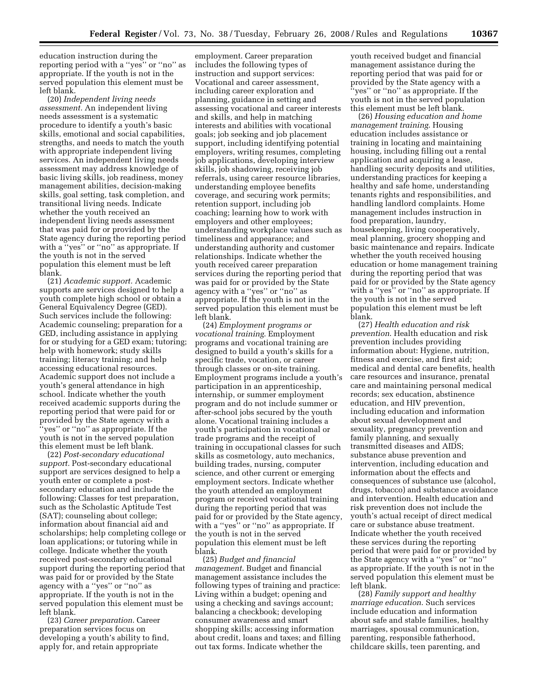education instruction during the reporting period with a ''yes'' or ''no'' as appropriate. If the youth is not in the served population this element must be left blank.

(20) *Independent living needs assessment.* An independent living needs assessment is a systematic procedure to identify a youth's basic skills, emotional and social capabilities, strengths, and needs to match the youth with appropriate independent living services. An independent living needs assessment may address knowledge of basic living skills, job readiness, money management abilities, decision-making skills, goal setting, task completion, and transitional living needs. Indicate whether the youth received an independent living needs assessment that was paid for or provided by the State agency during the reporting period with a ''yes'' or ''no'' as appropriate. If the youth is not in the served population this element must be left blank.

(21) *Academic support.* Academic supports are services designed to help a youth complete high school or obtain a General Equivalency Degree (GED). Such services include the following: Academic counseling; preparation for a GED, including assistance in applying for or studying for a GED exam; tutoring; help with homework; study skills training; literacy training; and help accessing educational resources. Academic support does not include a youth's general attendance in high school. Indicate whether the youth received academic supports during the reporting period that were paid for or provided by the State agency with a ''yes'' or ''no'' as appropriate. If the youth is not in the served population this element must be left blank.

(22) *Post-secondary educational support.* Post-secondary educational support are services designed to help a youth enter or complete a postsecondary education and include the following: Classes for test preparation, such as the Scholastic Aptitude Test (SAT); counseling about college; information about financial aid and scholarships; help completing college or loan applications; or tutoring while in college. Indicate whether the youth received post-secondary educational support during the reporting period that was paid for or provided by the State agency with a ''yes'' or ''no'' as appropriate. If the youth is not in the served population this element must be left blank.

(23) *Career preparation*. Career preparation services focus on developing a youth's ability to find, apply for, and retain appropriate

employment. Career preparation includes the following types of instruction and support services: Vocational and career assessment, including career exploration and planning, guidance in setting and assessing vocational and career interests and skills, and help in matching interests and abilities with vocational goals; job seeking and job placement support, including identifying potential employers, writing resumes, completing job applications, developing interview skills, job shadowing, receiving job referrals, using career resource libraries, understanding employee benefits coverage, and securing work permits; retention support, including job coaching; learning how to work with employers and other employees; understanding workplace values such as timeliness and appearance; and understanding authority and customer relationships. Indicate whether the youth received career preparation services during the reporting period that was paid for or provided by the State agency with a ''yes'' or ''no'' as appropriate. If the youth is not in the served population this element must be left blank.

(24) *Employment programs or vocational training*. Employment programs and vocational training are designed to build a youth's skills for a specific trade, vocation, or career through classes or on-site training. Employment programs include a youth's participation in an apprenticeship, internship, or summer employment program and do not include summer or after-school jobs secured by the youth alone. Vocational training includes a youth's participation in vocational or trade programs and the receipt of training in occupational classes for such skills as cosmetology, auto mechanics, building trades, nursing, computer science, and other current or emerging employment sectors. Indicate whether the youth attended an employment program or received vocational training during the reporting period that was paid for or provided by the State agency, with a ''yes'' or ''no'' as appropriate. If the youth is not in the served population this element must be left blank.

(25) *Budget and financial management*. Budget and financial management assistance includes the following types of training and practice: Living within a budget; opening and using a checking and savings account; balancing a checkbook; developing consumer awareness and smart shopping skills; accessing information about credit, loans and taxes; and filling out tax forms. Indicate whether the

youth received budget and financial management assistance during the reporting period that was paid for or provided by the State agency with a ''yes'' or ''no'' as appropriate. If the youth is not in the served population this element must be left blank.

(26) *Housing education and home management training*. Housing education includes assistance or training in locating and maintaining housing, including filling out a rental application and acquiring a lease, handling security deposits and utilities, understanding practices for keeping a healthy and safe home, understanding tenants rights and responsibilities, and handling landlord complaints. Home management includes instruction in food preparation, laundry, housekeeping, living cooperatively, meal planning, grocery shopping and basic maintenance and repairs. Indicate whether the youth received housing education or home management training during the reporting period that was paid for or provided by the State agency with a ''yes'' or ''no'' as appropriate. If the youth is not in the served population this element must be left blank.

(27) *Health education and risk prevention*. Health education and risk prevention includes providing information about: Hygiene, nutrition, fitness and exercise, and first aid; medical and dental care benefits, health care resources and insurance, prenatal care and maintaining personal medical records; sex education, abstinence education, and HIV prevention, including education and information about sexual development and sexuality, pregnancy prevention and family planning, and sexually transmitted diseases and AIDS; substance abuse prevention and intervention, including education and information about the effects and consequences of substance use (alcohol, drugs, tobacco) and substance avoidance and intervention. Health education and risk prevention does not include the youth's actual receipt of direct medical care or substance abuse treatment. Indicate whether the youth received these services during the reporting period that were paid for or provided by the State agency with a ''yes'' or ''no'' as appropriate. If the youth is not in the served population this element must be left blank.

(28) *Family support and healthy marriage education*. Such services include education and information about safe and stable families, healthy marriages, spousal communication, parenting, responsible fatherhood, childcare skills, teen parenting, and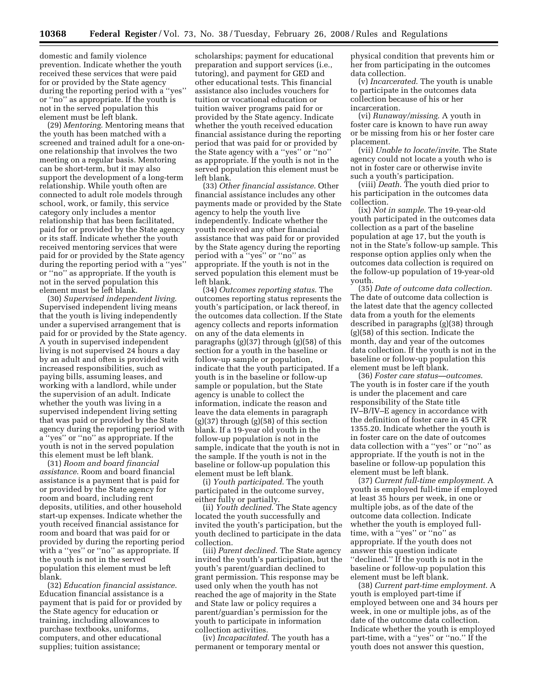domestic and family violence prevention. Indicate whether the youth received these services that were paid for or provided by the State agency during the reporting period with a ''yes'' or ''no'' as appropriate. If the youth is not in the served population this element must be left blank.

(29) *Mentoring*. Mentoring means that the youth has been matched with a screened and trained adult for a one-onone relationship that involves the two meeting on a regular basis. Mentoring can be short-term, but it may also support the development of a long-term relationship. While youth often are connected to adult role models through school, work, or family, this service category only includes a mentor relationship that has been facilitated, paid for or provided by the State agency or its staff. Indicate whether the youth received mentoring services that were paid for or provided by the State agency during the reporting period with a ''yes'' or ''no'' as appropriate. If the youth is not in the served population this element must be left blank.

(30) *Supervised independent living*. Supervised independent living means that the youth is living independently under a supervised arrangement that is paid for or provided by the State agency. A youth in supervised independent living is not supervised 24 hours a day by an adult and often is provided with increased responsibilities, such as paying bills, assuming leases, and working with a landlord, while under the supervision of an adult. Indicate whether the youth was living in a supervised independent living setting that was paid or provided by the State agency during the reporting period with a ''yes'' or ''no'' as appropriate. If the youth is not in the served population this element must be left blank.

(31) *Room and board financial assistance*. Room and board financial assistance is a payment that is paid for or provided by the State agency for room and board, including rent deposits, utilities, and other household start-up expenses. Indicate whether the youth received financial assistance for room and board that was paid for or provided by during the reporting period with a ''yes'' or ''no'' as appropriate. If the youth is not in the served population this element must be left blank.

(32) *Education financial assistance*. Education financial assistance is a payment that is paid for or provided by the State agency for education or training, including allowances to purchase textbooks, uniforms, computers, and other educational supplies; tuition assistance;

scholarships; payment for educational preparation and support services (i.e., tutoring), and payment for GED and other educational tests. This financial assistance also includes vouchers for tuition or vocational education or tuition waiver programs paid for or provided by the State agency. Indicate whether the youth received education financial assistance during the reporting period that was paid for or provided by the State agency with a ''yes'' or ''no'' as appropriate. If the youth is not in the served population this element must be left blank.

(33) *Other financial assistance*. Other financial assistance includes any other payments made or provided by the State agency to help the youth live independently. Indicate whether the youth received any other financial assistance that was paid for or provided by the State agency during the reporting period with a ''yes'' or ''no'' as appropriate. If the youth is not in the served population this element must be left blank.

(34) *Outcomes reporting status*. The outcomes reporting status represents the youth's participation, or lack thereof, in the outcomes data collection. If the State agency collects and reports information on any of the data elements in paragraphs (g)(37) through (g)(58) of this section for a youth in the baseline or follow-up sample or population, indicate that the youth participated. If a youth is in the baseline or follow-up sample or population, but the State agency is unable to collect the information, indicate the reason and leave the data elements in paragraph (g)(37) through (g)(58) of this section blank. If a 19-year old youth in the follow-up population is not in the sample, indicate that the youth is not in the sample. If the youth is not in the baseline or follow-up population this element must be left blank.

(i) *Youth participated*. The youth participated in the outcome survey, either fully or partially.

(ii) *Youth declined*. The State agency located the youth successfully and invited the youth's participation, but the youth declined to participate in the data collection.

(iii) *Parent declined*. The State agency invited the youth's participation, but the youth's parent/guardian declined to grant permission. This response may be used only when the youth has not reached the age of majority in the State and State law or policy requires a parent/guardian's permission for the youth to participate in information collection activities.

(iv) *Incapacitated*. The youth has a permanent or temporary mental or

physical condition that prevents him or her from participating in the outcomes data collection.

(v) *Incarcerated*. The youth is unable to participate in the outcomes data collection because of his or her incarceration.

(vi) *Runaway/missing*. A youth in foster care is known to have run away or be missing from his or her foster care placement.

(vii) *Unable to locate/invite*. The State agency could not locate a youth who is not in foster care or otherwise invite such a youth's participation.

(viii) *Death*. The youth died prior to his participation in the outcomes data collection.

(ix) *Not in sample*. The 19-year-old youth participated in the outcomes data collection as a part of the baseline population at age 17, but the youth is not in the State's follow-up sample. This response option applies only when the outcomes data collection is required on the follow-up population of 19-year-old youth.

(35) *Date of outcome data collection*. The date of outcome data collection is the latest date that the agency collected data from a youth for the elements described in paragraphs (g)(38) through (g)(58) of this section. Indicate the month, day and year of the outcomes data collection. If the youth is not in the baseline or follow-up population this element must be left blank.

(36) *Foster care status—outcomes*. The youth is in foster care if the youth is under the placement and care responsibility of the State title IV–B/IV–E agency in accordance with the definition of foster care in 45 CFR 1355.20. Indicate whether the youth is in foster care on the date of outcomes data collection with a ''yes'' or ''no'' as appropriate. If the youth is not in the baseline or follow-up population this element must be left blank.

(37) *Current full-time employment*. A youth is employed full-time if employed at least 35 hours per week, in one or multiple jobs, as of the date of the outcome data collection. Indicate whether the youth is employed fulltime, with a ''yes'' or ''no'' as appropriate. If the youth does not answer this question indicate ''declined.'' If the youth is not in the baseline or follow-up population this element must be left blank.

(38) *Current part-time employment*. A youth is employed part-time if employed between one and 34 hours per week, in one or multiple jobs, as of the date of the outcome data collection. Indicate whether the youth is employed part-time, with a ''yes'' or ''no.'' If the youth does not answer this question,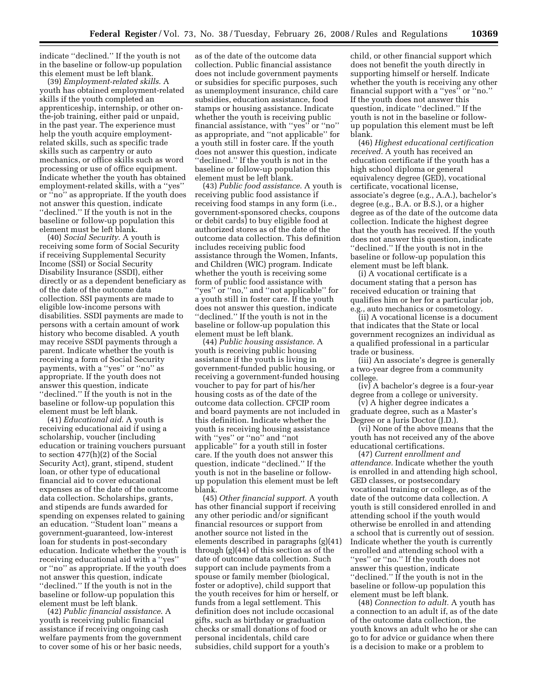indicate ''declined.'' If the youth is not in the baseline or follow-up population this element must be left blank.

(39) *Employment-related skills*. A youth has obtained employment-related skills if the youth completed an apprenticeship, internship, or other onthe-job training, either paid or unpaid, in the past year. The experience must help the youth acquire employmentrelated skills, such as specific trade skills such as carpentry or auto mechanics, or office skills such as word processing or use of office equipment. Indicate whether the youth has obtained employment-related skills, with a ''yes'' or ''no'' as appropriate. If the youth does not answer this question, indicate ''declined.'' If the youth is not in the baseline or follow-up population this element must be left blank.

(40) *Social Security*. A youth is receiving some form of Social Security if receiving Supplemental Security Income (SSI) or Social Security Disability Insurance (SSDI), either directly or as a dependent beneficiary as of the date of the outcome data collection. SSI payments are made to eligible low-income persons with disabilities. SSDI payments are made to persons with a certain amount of work history who become disabled. A youth may receive SSDI payments through a parent. Indicate whether the youth is receiving a form of Social Security payments, with a ''yes'' or ''no'' as appropriate. If the youth does not answer this question, indicate ''declined.'' If the youth is not in the baseline or follow-up population this element must be left blank.

(41) *Educational aid*. A youth is receiving educational aid if using a scholarship, voucher (including education or training vouchers pursuant to section 477(h)(2) of the Social Security Act), grant, stipend, student loan, or other type of educational financial aid to cover educational expenses as of the date of the outcome data collection. Scholarships, grants, and stipends are funds awarded for spending on expenses related to gaining an education. ''Student loan'' means a government-guaranteed, low-interest loan for students in post-secondary education. Indicate whether the youth is receiving educational aid with a ''yes'' or ''no'' as appropriate. If the youth does not answer this question, indicate ''declined.'' If the youth is not in the baseline or follow-up population this element must be left blank.

(42) *Public financial assistance*. A youth is receiving public financial assistance if receiving ongoing cash welfare payments from the government to cover some of his or her basic needs,

as of the date of the outcome data collection. Public financial assistance does not include government payments or subsidies for specific purposes, such as unemployment insurance, child care subsidies, education assistance, food stamps or housing assistance. Indicate whether the youth is receiving public financial assistance, with ''yes'' or ''no'' as appropriate, and ''not applicable'' for a youth still in foster care. If the youth does not answer this question, indicate ''declined.'' If the youth is not in the baseline or follow-up population this element must be left blank.

(43) *Public food assistance*. A youth is receiving public food assistance if receiving food stamps in any form (i.e., government-sponsored checks, coupons or debit cards) to buy eligible food at authorized stores as of the date of the outcome data collection. This definition includes receiving public food assistance through the Women, Infants, and Children (WIC) program. Indicate whether the youth is receiving some form of public food assistance with ''yes'' or ''no,'' and ''not applicable'' for a youth still in foster care. If the youth does not answer this question, indicate ''declined.'' If the youth is not in the baseline or follow-up population this element must be left blank.

(44) *Public housing assistance*. A youth is receiving public housing assistance if the youth is living in government-funded public housing, or receiving a government-funded housing voucher to pay for part of his/her housing costs as of the date of the outcome data collection. CFCIP room and board payments are not included in this definition. Indicate whether the youth is receiving housing assistance with ''yes'' or ''no'' and ''not applicable'' for a youth still in foster care. If the youth does not answer this question, indicate ''declined.'' If the youth is not in the baseline or followup population this element must be left blank.

(45) *Other financial support.* A youth has other financial support if receiving any other periodic and/or significant financial resources or support from another source not listed in the elements described in paragraphs (g)(41) through (g)(44) of this section as of the date of outcome data collection. Such support can include payments from a spouse or family member (biological, foster or adoptive), child support that the youth receives for him or herself, or funds from a legal settlement. This definition does not include occasional gifts, such as birthday or graduation checks or small donations of food or personal incidentals, child care subsidies, child support for a youth's

child, or other financial support which does not benefit the youth directly in supporting himself or herself. Indicate whether the youth is receiving any other financial support with a ''yes'' or ''no.'' If the youth does not answer this question, indicate ''declined.'' If the youth is not in the baseline or followup population this element must be left blank.

(46) *Highest educational certification received.* A youth has received an education certificate if the youth has a high school diploma or general equivalency degree (GED), vocational certificate, vocational license, associate's degree (e.g., A.A.), bachelor's degree (e.g., B.A. or B.S.), or a higher degree as of the date of the outcome data collection. Indicate the highest degree that the youth has received. If the youth does not answer this question, indicate ''declined.'' If the youth is not in the baseline or follow-up population this element must be left blank.

(i) A vocational certificate is a document stating that a person has received education or training that qualifies him or her for a particular job, e.g., auto mechanics or cosmetology.

(ii) A vocational license is a document that indicates that the State or local government recognizes an individual as a qualified professional in a particular trade or business.

(iii) An associate's degree is generally a two-year degree from a community college.

(iv) A bachelor's degree is a four-year degree from a college or university.

(v) A higher degree indicates a graduate degree, such as a Master's Degree or a Juris Doctor (J.D.).

(vi) None of the above means that the youth has not received any of the above educational certifications.

(47) *Current enrollment and attendance.* Indicate whether the youth is enrolled in and attending high school, GED classes, or postsecondary vocational training or college, as of the date of the outcome data collection. A youth is still considered enrolled in and attending school if the youth would otherwise be enrolled in and attending a school that is currently out of session. Indicate whether the youth is currently enrolled and attending school with a ''yes'' or ''no.'' If the youth does not answer this question, indicate ''declined.'' If the youth is not in the baseline or follow-up population this element must be left blank.

(48) *Connection to adult.* A youth has a connection to an adult if, as of the date of the outcome data collection, the youth knows an adult who he or she can go to for advice or guidance when there is a decision to make or a problem to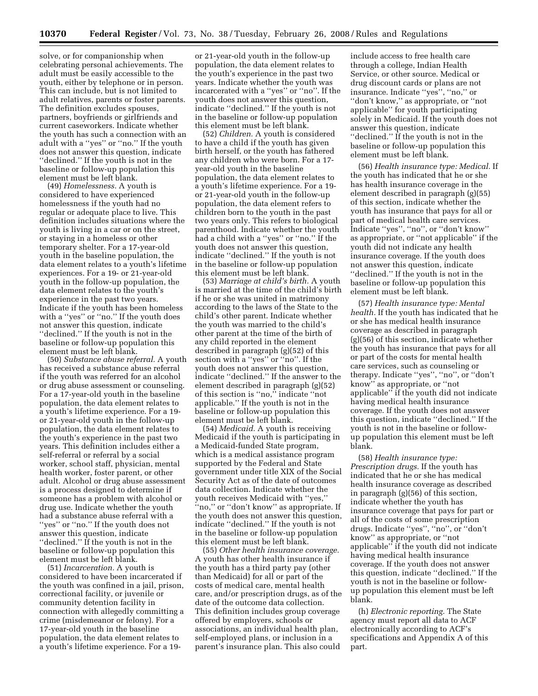solve, or for companionship when celebrating personal achievements. The adult must be easily accessible to the youth, either by telephone or in person. This can include, but is not limited to adult relatives, parents or foster parents. The definition excludes spouses, partners, boyfriends or girlfriends and current caseworkers. Indicate whether the youth has such a connection with an adult with a ''yes'' or ''no.'' If the youth does not answer this question, indicate ''declined.'' If the youth is not in the baseline or follow-up population this element must be left blank.

(49) *Homelessness.* A youth is considered to have experienced homelessness if the youth had no regular or adequate place to live. This definition includes situations where the youth is living in a car or on the street, or staying in a homeless or other temporary shelter. For a 17-year-old youth in the baseline population, the data element relates to a youth's lifetime experiences. For a 19- or 21-year-old youth in the follow-up population, the data element relates to the youth's experience in the past two years. Indicate if the youth has been homeless with a ''yes'' or ''no.'' If the youth does not answer this question, indicate ''declined.'' If the youth is not in the baseline or follow-up population this element must be left blank.

(50) *Substance abuse referral.* A youth has received a substance abuse referral if the youth was referred for an alcohol or drug abuse assessment or counseling. For a 17-year-old youth in the baseline population, the data element relates to a youth's lifetime experience. For a 19 or 21-year-old youth in the follow-up population, the data element relates to the youth's experience in the past two years. This definition includes either a self-referral or referral by a social worker, school staff, physician, mental health worker, foster parent, or other adult. Alcohol or drug abuse assessment is a process designed to determine if someone has a problem with alcohol or drug use. Indicate whether the youth had a substance abuse referral with a ''yes'' or ''no.'' If the youth does not answer this question, indicate ''declined.'' If the youth is not in the baseline or follow-up population this element must be left blank.

(51) *Incarceration.* A youth is considered to have been incarcerated if the youth was confined in a jail, prison, correctional facility, or juvenile or community detention facility in connection with allegedly committing a crime (misdemeanor or felony). For a 17-year-old youth in the baseline population, the data element relates to a youth's lifetime experience. For a 19-

or 21-year-old youth in the follow-up population, the data element relates to the youth's experience in the past two years. Indicate whether the youth was incarcerated with a ''yes'' or ''no''. If the youth does not answer this question, indicate ''declined.'' If the youth is not in the baseline or follow-up population this element must be left blank.

(52) *Children.* A youth is considered to have a child if the youth has given birth herself, or the youth has fathered any children who were born. For a 17 year-old youth in the baseline population, the data element relates to a youth's lifetime experience. For a 19 or 21-year-old youth in the follow-up population, the data element refers to children born to the youth in the past two years only. This refers to biological parenthood. Indicate whether the youth had a child with a ''yes'' or ''no.'' If the youth does not answer this question, indicate ''declined.'' If the youth is not in the baseline or follow-up population this element must be left blank.

(53) *Marriage at child's birth.* A youth is married at the time of the child's birth if he or she was united in matrimony according to the laws of the State to the child's other parent. Indicate whether the youth was married to the child's other parent at the time of the birth of any child reported in the element described in paragraph (g)(52) of this section with a ''yes'' or ''no''. If the youth does not answer this question, indicate ''declined.'' If the answer to the element described in paragraph (g)(52) of this section is ''no,'' indicate ''not applicable.'' If the youth is not in the baseline or follow-up population this element must be left blank.

(54) *Medicaid.* A youth is receiving Medicaid if the youth is participating in a Medicaid-funded State program, which is a medical assistance program supported by the Federal and State government under title XIX of the Social Security Act as of the date of outcomes data collection. Indicate whether the youth receives Medicaid with ''yes,'' "no," or "don't know" as appropriate. If the youth does not answer this question, indicate ''declined.'' If the youth is not in the baseline or follow-up population this element must be left blank.

(55) *Other health insurance coverage.*  A youth has other health insurance if the youth has a third party pay (other than Medicaid) for all or part of the costs of medical care, mental health care, and/or prescription drugs, as of the date of the outcome data collection. This definition includes group coverage offered by employers, schools or associations, an individual health plan, self-employed plans, or inclusion in a parent's insurance plan. This also could

include access to free health care through a college, Indian Health Service, or other source. Medical or drug discount cards or plans are not insurance. Indicate ''yes'', ''no,'' or ''don't know,'' as appropriate, or ''not applicable'' for youth participating solely in Medicaid. If the youth does not answer this question, indicate ''declined.'' If the youth is not in the baseline or follow-up population this element must be left blank.

(56) *Health insurance type: Medical.* If the youth has indicated that he or she has health insurance coverage in the element described in paragraph (g)(55) of this section, indicate whether the youth has insurance that pays for all or part of medical health care services. Indicate ''yes'', ''no'', or ''don't know'' as appropriate, or ''not applicable'' if the youth did not indicate any health insurance coverage. If the youth does not answer this question, indicate ''declined.'' If the youth is not in the baseline or follow-up population this element must be left blank.

(57) *Health insurance type: Mental health.* If the youth has indicated that he or she has medical health insurance coverage as described in paragraph (g)(56) of this section, indicate whether the youth has insurance that pays for all or part of the costs for mental health care services, such as counseling or therapy. Indicate ''yes'', ''no'', or ''don't know'' as appropriate, or ''not applicable'' if the youth did not indicate having medical health insurance coverage. If the youth does not answer this question, indicate ''declined.'' If the youth is not in the baseline or followup population this element must be left blank.

(58) *Health insurance type: Prescription drugs.* If the youth has indicated that he or she has medical health insurance coverage as described in paragraph (g)(56) of this section, indicate whether the youth has insurance coverage that pays for part or all of the costs of some prescription drugs. Indicate ''yes'', ''no'', or ''don't know'' as appropriate, or ''not applicable'' if the youth did not indicate having medical health insurance coverage. If the youth does not answer this question, indicate ''declined.'' If the youth is not in the baseline or followup population this element must be left blank.

(h) *Electronic reporting.* The State agency must report all data to ACF electronically according to ACF's specifications and Appendix A of this part.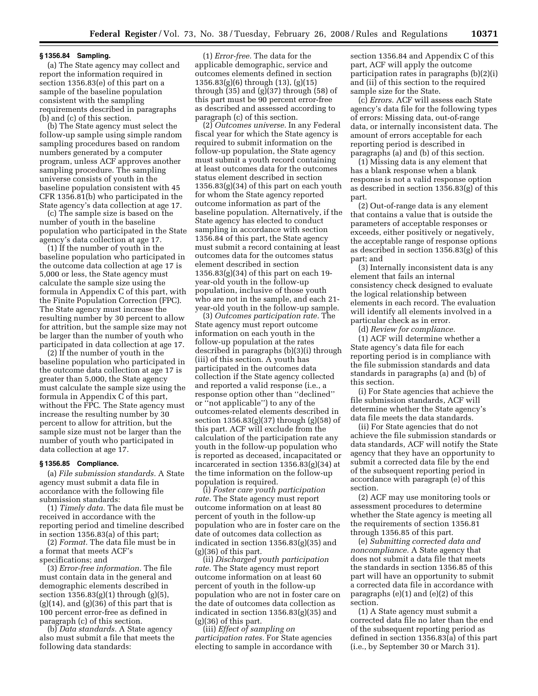#### **§ 1356.84 Sampling.**

(a) The State agency may collect and report the information required in section 1356.83(e) of this part on a sample of the baseline population consistent with the sampling requirements described in paragraphs (b) and (c) of this section.

(b) The State agency must select the follow-up sample using simple random sampling procedures based on random numbers generated by a computer program, unless ACF approves another sampling procedure. The sampling universe consists of youth in the baseline population consistent with 45 CFR 1356.81(b) who participated in the State agency's data collection at age 17.

(c) The sample size is based on the number of youth in the baseline population who participated in the State agency's data collection at age 17.

(1) If the number of youth in the baseline population who participated in the outcome data collection at age 17 is 5,000 or less, the State agency must calculate the sample size using the formula in Appendix C of this part, with the Finite Population Correction (FPC). The State agency must increase the resulting number by 30 percent to allow for attrition, but the sample size may not be larger than the number of youth who participated in data collection at age 17.

(2) If the number of youth in the baseline population who participated in the outcome data collection at age 17 is greater than 5,000, the State agency must calculate the sample size using the formula in Appendix C of this part, without the FPC. The State agency must increase the resulting number by 30 percent to allow for attrition, but the sample size must not be larger than the number of youth who participated in data collection at age 17.

#### **§ 1356.85 Compliance.**

(a) *File submission standards.* A State agency must submit a data file in accordance with the following file submission standards:

(1) *Timely data.* The data file must be received in accordance with the reporting period and timeline described in section 1356.83(a) of this part;

(2) *Format.* The data file must be in a format that meets ACF's specifications; and

(3) *Error-free information.* The file must contain data in the general and demographic elements described in section 1356.83(g)(1) through (g)(5),  $(g)(14)$ , and  $(g)(36)$  of this part that is 100 percent error-free as defined in paragraph (c) of this section.

(b) *Data standards.* A State agency also must submit a file that meets the following data standards:

(1) *Error-free.* The data for the applicable demographic, service and outcomes elements defined in section 1356.83(g)(6) through (13), (g)(15) through  $(35)$  and  $(g)(37)$  through  $(58)$  of this part must be 90 percent error-free as described and assessed according to paragraph (c) of this section.

(2) *Outcomes universe.* In any Federal fiscal year for which the State agency is required to submit information on the follow-up population, the State agency must submit a youth record containing at least outcomes data for the outcomes status element described in section  $1356.83(g)(34)$  of this part on each youth for whom the State agency reported outcome information as part of the baseline population. Alternatively, if the State agency has elected to conduct sampling in accordance with section 1356.84 of this part, the State agency must submit a record containing at least outcomes data for the outcomes status element described in section 1356.83(g)(34) of this part on each 19 year-old youth in the follow-up population, inclusive of those youth who are not in the sample, and each 21 year-old youth in the follow-up sample.

(3) *Outcomes participation rate.* The State agency must report outcome information on each youth in the follow-up population at the rates described in paragraphs (b)(3)(i) through (iii) of this section. A youth has participated in the outcomes data collection if the State agency collected and reported a valid response (i.e., a response option other than ''declined'' or ''not applicable'') to any of the outcomes-related elements described in section 1356.83(g)(37) through (g)(58) of this part. ACF will exclude from the calculation of the participation rate any youth in the follow-up population who is reported as deceased, incapacitated or incarcerated in section 1356.83(g)(34) at the time information on the follow-up population is required.

(i) *Foster care youth participation rate.* The State agency must report outcome information on at least 80 percent of youth in the follow-up population who are in foster care on the date of outcomes data collection as indicated in section 1356.83(g)(35) and (g)(36) of this part.

(ii) *Discharged youth participation rate.* The State agency must report outcome information on at least 60 percent of youth in the follow-up population who are not in foster care on the date of outcomes data collection as indicated in section 1356.83(g)(35) and  $(g)(36)$  of this part.

(iii) *Effect of sampling on participation rates.* For State agencies electing to sample in accordance with section 1356.84 and Appendix C of this part, ACF will apply the outcome participation rates in paragraphs (b)(2)(i) and (ii) of this section to the required sample size for the State.

(c) *Errors.* ACF will assess each State agency's data file for the following types of errors: Missing data, out-of-range data, or internally inconsistent data. The amount of errors acceptable for each reporting period is described in paragraphs (a) and (b) of this section.

(1) Missing data is any element that has a blank response when a blank response is not a valid response option as described in section 1356.83(g) of this part.

(2) Out-of-range data is any element that contains a value that is outside the parameters of acceptable responses or exceeds, either positively or negatively, the acceptable range of response options as described in section 1356.83(g) of this part; and

(3) Internally inconsistent data is any element that fails an internal consistency check designed to evaluate the logical relationship between elements in each record. The evaluation will identify all elements involved in a particular check as in error.

(d) *Review for compliance.* 

(1) ACF will determine whether a State agency's data file for each reporting period is in compliance with the file submission standards and data standards in paragraphs (a) and (b) of this section.

(i) For State agencies that achieve the file submission standards, ACF will determine whether the State agency's data file meets the data standards.

(ii) For State agencies that do not achieve the file submission standards or data standards, ACF will notify the State agency that they have an opportunity to submit a corrected data file by the end of the subsequent reporting period in accordance with paragraph (e) of this section.

(2) ACF may use monitoring tools or assessment procedures to determine whether the State agency is meeting all the requirements of section 1356.81 through 1356.85 of this part.

(e) *Submitting corrected data and noncompliance.* A State agency that does not submit a data file that meets the standards in section 1356.85 of this part will have an opportunity to submit a corrected data file in accordance with paragraphs  $(e)(1)$  and  $(e)(2)$  of this section.

(1) A State agency must submit a corrected data file no later than the end of the subsequent reporting period as defined in section 1356.83(a) of this part (i.e., by September 30 or March 31).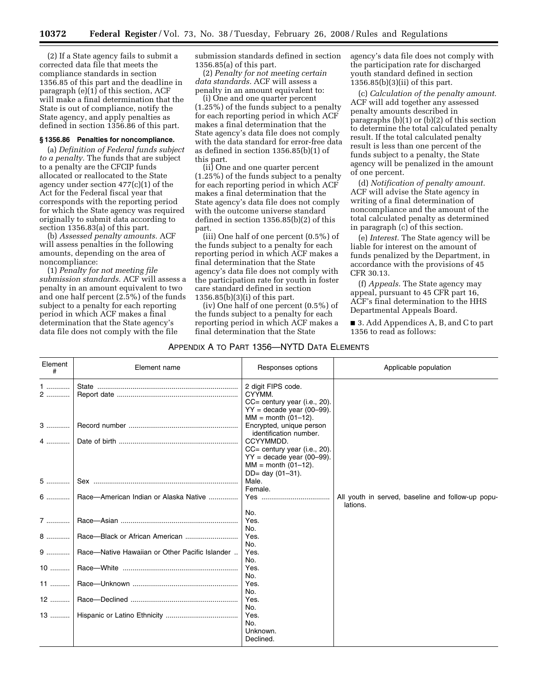(2) If a State agency fails to submit a corrected data file that meets the compliance standards in section 1356.85 of this part and the deadline in paragraph  $(e)(1)$  of this section, ACF will make a final determination that the State is out of compliance, notify the State agency, and apply penalties as defined in section 1356.86 of this part.

#### **§ 1356.86 Penalties for noncompliance.**

(a) *Definition of Federal funds subject to a penalty.* The funds that are subject to a penalty are the CFCIP funds allocated or reallocated to the State agency under section 477(c)(1) of the Act for the Federal fiscal year that corresponds with the reporting period for which the State agency was required originally to submit data according to section 1356.83(a) of this part.

(b) *Assessed penalty amounts.* ACF will assess penalties in the following amounts, depending on the area of noncompliance:

(1) *Penalty for not meeting file submission standards.* ACF will assess a penalty in an amount equivalent to two and one half percent (2.5%) of the funds subject to a penalty for each reporting period in which ACF makes a final determination that the State agency's data file does not comply with the file

submission standards defined in section 1356.85(a) of this part.

(2) *Penalty for not meeting certain data standards.* ACF will assess a penalty in an amount equivalent to:

(i) One and one quarter percent (1.25%) of the funds subject to a penalty for each reporting period in which ACF makes a final determination that the State agency's data file does not comply with the data standard for error-free data as defined in section 1356.85(b)(1) of this part.

(ii) One and one quarter percent (1.25%) of the funds subject to a penalty for each reporting period in which ACF makes a final determination that the State agency's data file does not comply with the outcome universe standard defined in section 1356.85(b)(2) of this part.

(iii) One half of one percent (0.5%) of the funds subject to a penalty for each reporting period in which ACF makes a final determination that the State agency's data file does not comply with the participation rate for youth in foster care standard defined in section 1356.85(b)(3)(i) of this part.

(iv) One half of one percent (0.5%) of the funds subject to a penalty for each reporting period in which ACF makes a final determination that the State

APPENDIX A TO PART 1356—NYTD DATA ELEMENTS

agency's data file does not comply with the participation rate for discharged youth standard defined in section 1356.85(b)(3)(ii) of this part.

(c) *Calculation of the penalty amount.*  ACF will add together any assessed penalty amounts described in paragraphs (b)(1) or (b)(2) of this section to determine the total calculated penalty result. If the total calculated penalty result is less than one percent of the funds subject to a penalty, the State agency will be penalized in the amount of one percent.

(d) *Notification of penalty amount.*  ACF will advise the State agency in writing of a final determination of noncompliance and the amount of the total calculated penalty as determined in paragraph (c) of this section.

(e) *Interest.* The State agency will be liable for interest on the amount of funds penalized by the Department, in accordance with the provisions of 45 CFR 30.13.

(f) *Appeals.* The State agency may appeal, pursuant to 45 CFR part 16, ACF's final determination to the HHS Departmental Appeals Board.

■ 3. Add Appendices A, B, and C to part 1356 to read as follows:

| Element<br># | Element name                                   | Responses options                                                                                                         | Applicable population                                         |
|--------------|------------------------------------------------|---------------------------------------------------------------------------------------------------------------------------|---------------------------------------------------------------|
| 1<br>2       |                                                | 2 digit FIPS code.<br>CYYMM.<br>$CC =$ century year (i.e., 20).<br>$YY = decade$ year (00-99).<br>$MM = month (01–12)$ .  |                                                               |
| $3$          |                                                | Encrypted, unique person<br>identification number.                                                                        |                                                               |
| 4            |                                                | CCYYMMDD.<br>CC= century year (i.e., 20).<br>$YY =$ decade year (00-99).<br>$MM = month (01–12)$ .<br>$DD = day (01-31).$ |                                                               |
| $5$          |                                                | Male.<br>Female.                                                                                                          |                                                               |
| $6$          | Race-American Indian or Alaska Native          |                                                                                                                           | All youth in served, baseline and follow-up popu-<br>lations. |
| 7            |                                                | No.<br>Yes.<br>No.                                                                                                        |                                                               |
| 8            |                                                | Yes.<br>No.                                                                                                               |                                                               |
| 9            | Race-Native Hawaiian or Other Pacific Islander | Yes.<br>No.                                                                                                               |                                                               |
| $10$         |                                                | Yes.<br>No.                                                                                                               |                                                               |
| $11$         |                                                | Yes.<br>No.                                                                                                               |                                                               |
| 12           |                                                | Yes.                                                                                                                      |                                                               |
| $13$         |                                                | No.<br>Yes.<br>No.<br>Unknown.<br>Declined.                                                                               |                                                               |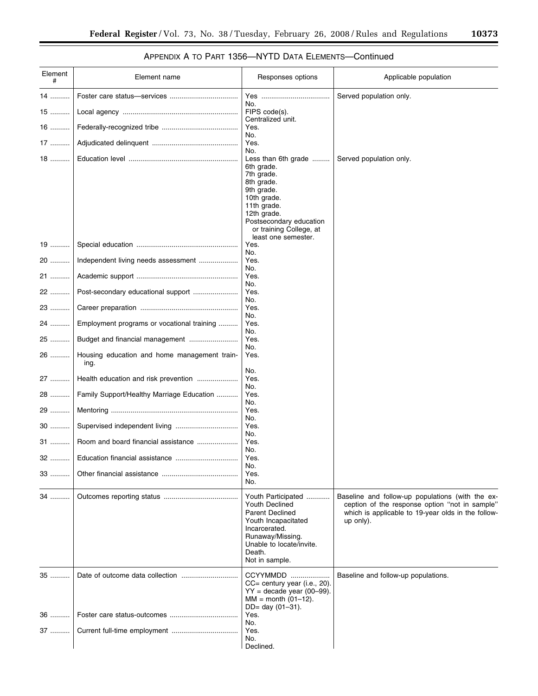## APPENDIX A TO PART 1356—NYTD DATA ELEMENTS—Continued

| Element<br># | Element name                                         | Responses options                                                                                                                                                                                            | Applicable population                                                                                                                                                   |
|--------------|------------------------------------------------------|--------------------------------------------------------------------------------------------------------------------------------------------------------------------------------------------------------------|-------------------------------------------------------------------------------------------------------------------------------------------------------------------------|
| 14           |                                                      |                                                                                                                                                                                                              | Served population only.                                                                                                                                                 |
| 15           |                                                      | No.<br>FIPS code(s).<br>Centralized unit.                                                                                                                                                                    |                                                                                                                                                                         |
| $16$         |                                                      | Yes.                                                                                                                                                                                                         |                                                                                                                                                                         |
| 17           |                                                      | No.<br>Yes.                                                                                                                                                                                                  |                                                                                                                                                                         |
| 18           |                                                      | No.<br>Less than 6th grade<br>6th grade.<br>7th grade.<br>8th grade.<br>9th grade.<br>10th grade.<br>11th grade.<br>12th grade.<br>Postsecondary education<br>or training College, at<br>least one semester. | Served population only.                                                                                                                                                 |
| 19           |                                                      | Yes.                                                                                                                                                                                                         |                                                                                                                                                                         |
| 20           | Independent living needs assessment                  | No.<br>Yes.                                                                                                                                                                                                  |                                                                                                                                                                         |
| 21           |                                                      | No.<br>Yes.                                                                                                                                                                                                  |                                                                                                                                                                         |
| 22           | Post-secondary educational support                   | No.<br>Yes.<br>No.                                                                                                                                                                                           |                                                                                                                                                                         |
| 23           |                                                      | Yes.<br>No.                                                                                                                                                                                                  |                                                                                                                                                                         |
| 24           | Employment programs or vocational training           | Yes.<br>No.                                                                                                                                                                                                  |                                                                                                                                                                         |
| 25           | Budget and financial management                      | Yes.                                                                                                                                                                                                         |                                                                                                                                                                         |
| 26           | Housing education and home management train-<br>ing. | No.<br>Yes.                                                                                                                                                                                                  |                                                                                                                                                                         |
| 27           | Health education and risk prevention                 | No.<br>Yes.                                                                                                                                                                                                  |                                                                                                                                                                         |
| 28           | Family Support/Healthy Marriage Education            | No.<br>Yes.                                                                                                                                                                                                  |                                                                                                                                                                         |
| 29           |                                                      | No.<br>Yes.                                                                                                                                                                                                  |                                                                                                                                                                         |
| 30           |                                                      | No.<br>Yes.                                                                                                                                                                                                  |                                                                                                                                                                         |
| 31           |                                                      | No.<br>Yes.                                                                                                                                                                                                  |                                                                                                                                                                         |
| 32           | Education financial assistance                       | No.<br>Yes.                                                                                                                                                                                                  |                                                                                                                                                                         |
|              |                                                      | No.<br>Yes.                                                                                                                                                                                                  |                                                                                                                                                                         |
| 33           |                                                      | No.                                                                                                                                                                                                          |                                                                                                                                                                         |
| 34           |                                                      | Youth Participated<br>Youth Declined<br><b>Parent Declined</b><br>Youth Incapacitated<br>Incarcerated.<br>Runaway/Missing.<br>Unable to locate/invite.<br>Death.<br>Not in sample.                           | Baseline and follow-up populations (with the ex-<br>ception of the response option "not in sample"<br>which is applicable to 19-year olds in the follow-<br>$up$ only). |
| 35           |                                                      | CCYYMMDD<br>CC= century year (i.e., 20).<br>$YY =$ decade year (00-99).<br>$MM = month (01–12).$<br>DD= day (01-31).                                                                                         | Baseline and follow-up populations.                                                                                                                                     |
| 36           |                                                      | Yes.<br>No.                                                                                                                                                                                                  |                                                                                                                                                                         |
| 37           |                                                      | Yes.<br>No.<br>Declined.                                                                                                                                                                                     |                                                                                                                                                                         |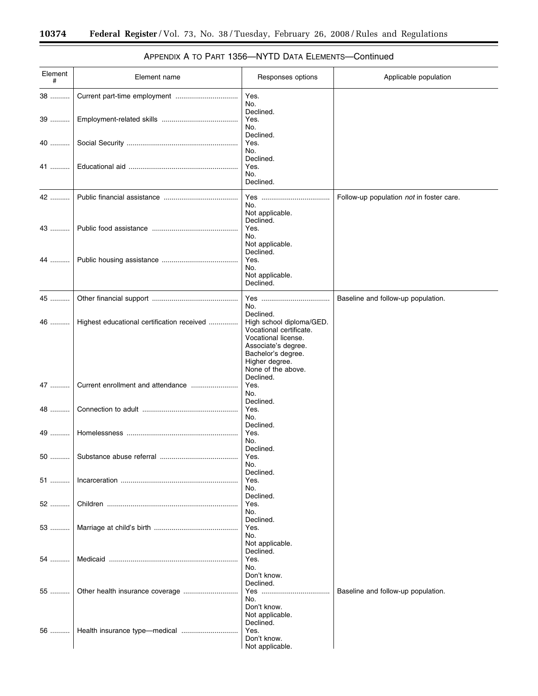۳

| Element<br># | Element name                               | Responses options                                                                                                                                      | Applicable population                    |
|--------------|--------------------------------------------|--------------------------------------------------------------------------------------------------------------------------------------------------------|------------------------------------------|
| 38           | Current part-time employment               | Yes.<br>No.                                                                                                                                            |                                          |
| 39           |                                            | Declined.<br>Yes.<br>No.                                                                                                                               |                                          |
| 40           |                                            | Declined.<br>Yes.                                                                                                                                      |                                          |
| 41           |                                            | No.<br>Declined.<br>Yes.<br>No.<br>Declined.                                                                                                           |                                          |
| 42           |                                            | Yes<br>No.                                                                                                                                             | Follow-up population not in foster care. |
| 43           |                                            | Not applicable.<br>Declined.<br>Yes.<br>No.                                                                                                            |                                          |
| 44           |                                            | Not applicable.<br>Declined.<br>Yes.<br>No.<br>Not applicable.<br>Declined.                                                                            |                                          |
| 45           |                                            | No.                                                                                                                                                    | Baseline and follow-up population.       |
| 46           | Highest educational certification received | Declined.<br>High school diploma/GED.<br>Vocational certificate.<br>Vocational license.<br>Associate's degree.<br>Bachelor's degree.<br>Higher degree. |                                          |
| 47           | Current enrollment and attendance          | None of the above.<br>Declined.<br>Yes.<br>No.                                                                                                         |                                          |
| 48           |                                            | Declined.<br>Yes.<br>No.                                                                                                                               |                                          |
| 49           |                                            | Declined.<br>Yes.<br>No.                                                                                                                               |                                          |
| 50           | Substance abuse referral                   | Declined.<br>Yes.<br>No.<br>Declined.                                                                                                                  |                                          |
| 51           |                                            | Yes.<br>No.<br>Declined.                                                                                                                               |                                          |
| 52           |                                            | Yes.<br>No.<br>Declined.                                                                                                                               |                                          |
| 53           |                                            | Yes.<br>No.<br>Not applicable.                                                                                                                         |                                          |
| 54           |                                            | Declined.<br>Yes.<br>No.                                                                                                                               |                                          |
| 55           |                                            | Don't know.<br>Declined.<br>No.<br>Don't know.                                                                                                         | Baseline and follow-up population.       |
| 56           |                                            | Not applicable.<br>Declined.<br>Yes.<br>Don't know.<br>Not applicable.                                                                                 |                                          |

## APPENDIX A TO PART 1356—NYTD DATA ELEMENTS—Continued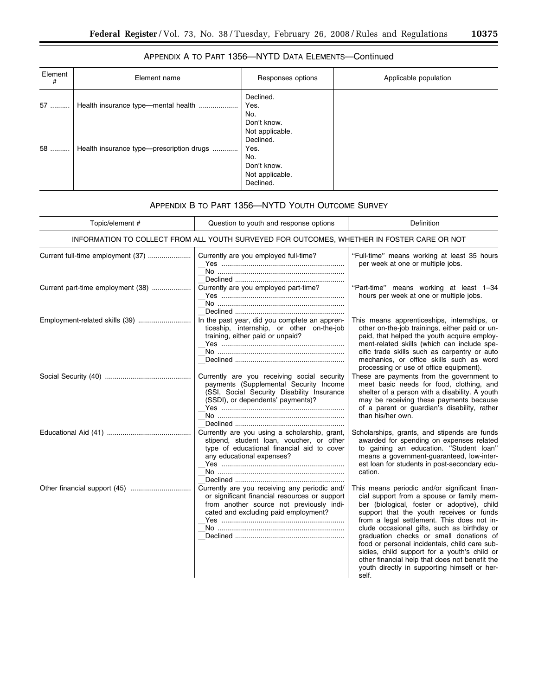$\equiv$ 

| Element<br># | Element name                             | Responses options                                                                          | Applicable population |
|--------------|------------------------------------------|--------------------------------------------------------------------------------------------|-----------------------|
| 57           | Health insurance type-mental health      | Declined.<br>Yes.<br>No.<br>Don't know.                                                    |                       |
| 58           | Health insurance type-prescription drugs | Not applicable.<br>Declined.<br>Yes.<br>No.<br>Don't know.<br>Not applicable.<br>Declined. |                       |

## APPENDIX A TO PART 1356—NYTD DATA ELEMENTS—Continued

## APPENDIX B TO PART 1356—NYTD YOUTH OUTCOME SURVEY

| Topic/element #                                                                            | Question to youth and response options                                                                                                                                             | Definition                                                                                                                                                                                                                                                                                                                                                                                                                                                                                                                                |  |  |
|--------------------------------------------------------------------------------------------|------------------------------------------------------------------------------------------------------------------------------------------------------------------------------------|-------------------------------------------------------------------------------------------------------------------------------------------------------------------------------------------------------------------------------------------------------------------------------------------------------------------------------------------------------------------------------------------------------------------------------------------------------------------------------------------------------------------------------------------|--|--|
| INFORMATION TO COLLECT FROM ALL YOUTH SURVEYED FOR OUTCOMES, WHETHER IN FOSTER CARE OR NOT |                                                                                                                                                                                    |                                                                                                                                                                                                                                                                                                                                                                                                                                                                                                                                           |  |  |
| Current full-time employment (37)                                                          | Currently are you employed full-time?                                                                                                                                              | "Full-time" means working at least 35 hours<br>per week at one or multiple jobs.                                                                                                                                                                                                                                                                                                                                                                                                                                                          |  |  |
| Current part-time employment (38)                                                          | Currently are you employed part-time?                                                                                                                                              | "Part-time" means working at least 1-34<br>hours per week at one or multiple jobs.                                                                                                                                                                                                                                                                                                                                                                                                                                                        |  |  |
| Employment-related skills (39)                                                             | In the past year, did you complete an appren-<br>ticeship, internship, or other on-the-job<br>training, either paid or unpaid?                                                     | This means apprenticeships, internships, or<br>other on-the-job trainings, either paid or un-<br>paid, that helped the youth acquire employ-<br>ment-related skills (which can include spe-<br>cific trade skills such as carpentry or auto<br>mechanics, or office skills such as word<br>processing or use of office equipment).                                                                                                                                                                                                        |  |  |
|                                                                                            | Currently are you receiving social security<br>payments (Supplemental Security Income<br>(SSI, Social Security Disability Insurance<br>(SSDI), or dependents' payments)?           | These are payments from the government to<br>meet basic needs for food, clothing, and<br>shelter of a person with a disability. A youth<br>may be receiving these payments because<br>of a parent or guardian's disability, rather<br>than his/her own.                                                                                                                                                                                                                                                                                   |  |  |
|                                                                                            | Currently are you using a scholarship, grant,<br>stipend, student loan, voucher, or other<br>type of educational financial aid to cover<br>any educational expenses?               | Scholarships, grants, and stipends are funds<br>awarded for spending on expenses related<br>to gaining an education. "Student loan"<br>means a government-guaranteed, low-inter-<br>est loan for students in post-secondary edu-<br>cation.                                                                                                                                                                                                                                                                                               |  |  |
|                                                                                            | Currently are you receiving any periodic and/<br>or significant financial resources or support<br>from another source not previously indi-<br>cated and excluding paid employment? | This means periodic and/or significant finan-<br>cial support from a spouse or family mem-<br>ber (biological, foster or adoptive), child<br>support that the youth receives or funds<br>from a legal settlement. This does not in-<br>clude occasional gifts, such as birthday or<br>graduation checks or small donations of<br>food or personal incidentals, child care sub-<br>sidies, child support for a youth's child or<br>other financial help that does not benefit the<br>youth directly in supporting himself or her-<br>self. |  |  |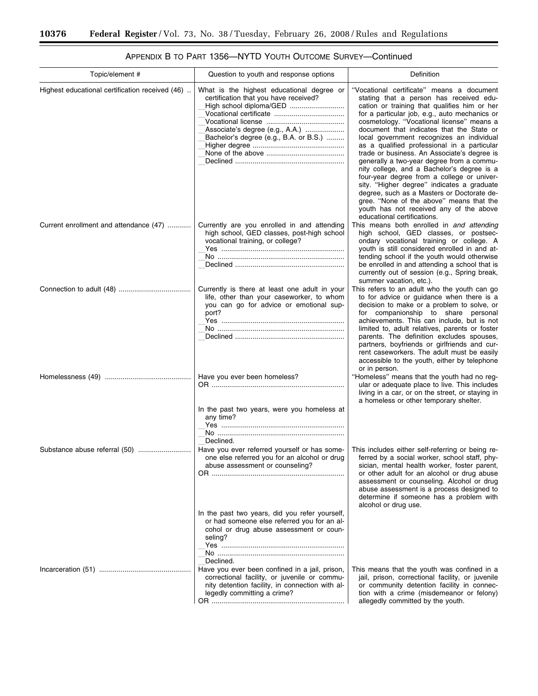| Topic/element #                                 | Question to youth and response options                                                                                                                                                                                      | Definition                                                                                                                                                                                                                                                                                                                                                                                                                                                                                                                                                                                                                                                                                                                                                                            |
|-------------------------------------------------|-----------------------------------------------------------------------------------------------------------------------------------------------------------------------------------------------------------------------------|---------------------------------------------------------------------------------------------------------------------------------------------------------------------------------------------------------------------------------------------------------------------------------------------------------------------------------------------------------------------------------------------------------------------------------------------------------------------------------------------------------------------------------------------------------------------------------------------------------------------------------------------------------------------------------------------------------------------------------------------------------------------------------------|
| Highest educational certification received (46) | What is the highest educational degree or<br>certification that you have received?<br>High school diploma/GED<br>Associate's degree (e.g., A.A.)<br>Bachelor's degree (e.g., B.A. or B.S.)                                  | "Vocational certificate" means a document<br>stating that a person has received edu-<br>cation or training that qualifies him or her<br>for a particular job, e.g., auto mechanics or<br>cosmetology. "Vocational license" means a<br>document that indicates that the State or<br>local government recognizes an individual<br>as a qualified professional in a particular<br>trade or business. An Associate's degree is<br>generally a two-year degree from a commu-<br>nity college, and a Bachelor's degree is a<br>four-year degree from a college or univer-<br>sity. "Higher degree" indicates a graduate<br>degree, such as a Masters or Doctorate de-<br>gree. "None of the above" means that the<br>youth has not received any of the above<br>educational certifications. |
| Current enrollment and attendance (47)          | Currently are you enrolled in and attending<br>high school, GED classes, post-high school<br>vocational training, or college?                                                                                               | This means both enrolled in and attending<br>high school, GED classes, or postsec-<br>ondary vocational training or college. A<br>youth is still considered enrolled in and at-<br>tending school if the youth would otherwise<br>be enrolled in and attending a school that is<br>currently out of session (e.g., Spring break,<br>summer vacation, etc.).                                                                                                                                                                                                                                                                                                                                                                                                                           |
|                                                 | Currently is there at least one adult in your<br>life, other than your caseworker, to whom<br>you can go for advice or emotional sup-<br>port?                                                                              | This refers to an adult who the youth can go<br>to for advice or guidance when there is a<br>decision to make or a problem to solve, or<br>for companionship to share personal<br>achievements. This can include, but is not<br>limited to, adult relatives, parents or foster<br>parents. The definition excludes spouses,<br>partners, boyfriends or girlfriends and cur-<br>rent caseworkers. The adult must be easily<br>accessible to the youth, either by telephone                                                                                                                                                                                                                                                                                                             |
|                                                 | Have you ever been homeless?<br>In the past two years, were you homeless at<br>any time?                                                                                                                                    | or in person.<br>"Homeless" means that the youth had no reg-<br>ular or adequate place to live. This includes<br>living in a car, or on the street, or staying in<br>a homeless or other temporary shelter.                                                                                                                                                                                                                                                                                                                                                                                                                                                                                                                                                                           |
| Substance abuse referral (50)                   | Declined.<br>Have you ever referred yourself or has some-<br>one else referred you for an alcohol or drug<br>abuse assessment or counseling?<br>OR …………………………………………………………<br>In the past two years, did you refer yourself, | This includes either self-referring or being re-<br>ferred by a social worker, school staff, phy-<br>sician, mental health worker, foster parent,<br>or other adult for an alcohol or drug abuse<br>assessment or counseling. Alcohol or drug<br>abuse assessment is a process designed to<br>determine if someone has a problem with<br>alcohol or drug use.                                                                                                                                                                                                                                                                                                                                                                                                                         |
|                                                 | or had someone else referred you for an al-<br>cohol or drug abuse assessment or coun-<br>seling?<br>Declined.                                                                                                              |                                                                                                                                                                                                                                                                                                                                                                                                                                                                                                                                                                                                                                                                                                                                                                                       |
|                                                 | Have you ever been confined in a jail, prison,<br>correctional facility, or juvenile or commu-<br>nity detention facility, in connection with al-<br>legedly committing a crime?                                            | This means that the youth was confined in a<br>jail, prison, correctional facility, or juvenile<br>or community detention facility in connec-<br>tion with a crime (misdemeanor or felony)<br>allegedly committed by the youth.                                                                                                                                                                                                                                                                                                                                                                                                                                                                                                                                                       |

APPENDIX B TO PART 1356—NYTD YOUTH OUTCOME SURVEY—Continued

t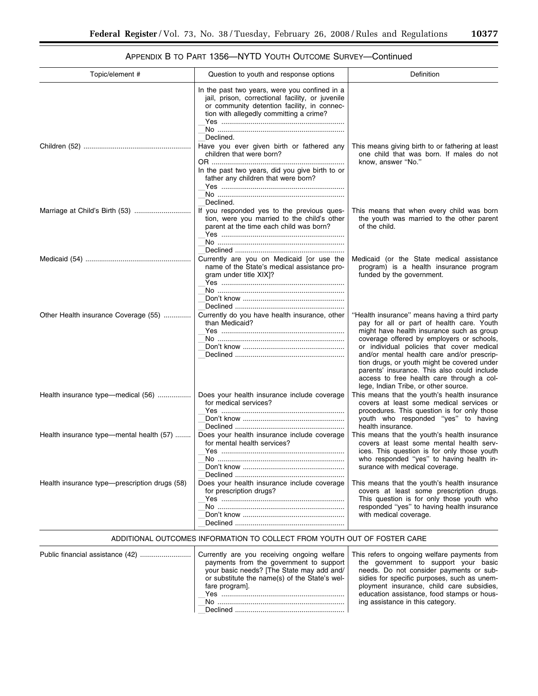| APPENDIX B TO PART 1356-NYTD YOUTH OUTCOME SURVEY-Continued |  |
|-------------------------------------------------------------|--|
|-------------------------------------------------------------|--|

| Topic/element #                               | Question to youth and response options                                                                                                                                                                                                                                                                                                                                      | Definition                                                                                                                                                                                                                                                                                                                                                                                                                                                         |
|-----------------------------------------------|-----------------------------------------------------------------------------------------------------------------------------------------------------------------------------------------------------------------------------------------------------------------------------------------------------------------------------------------------------------------------------|--------------------------------------------------------------------------------------------------------------------------------------------------------------------------------------------------------------------------------------------------------------------------------------------------------------------------------------------------------------------------------------------------------------------------------------------------------------------|
|                                               | In the past two years, were you confined in a<br>jail, prison, correctional facility, or juvenile<br>or community detention facility, in connec-<br>tion with allegedly committing a crime?<br>Declined.<br>Have you ever given birth or fathered any<br>children that were born?<br>In the past two years, did you give birth to or<br>father any children that were born? | This means giving birth to or fathering at least<br>one child that was born. If males do not<br>know, answer "No."                                                                                                                                                                                                                                                                                                                                                 |
|                                               | Declined.<br>If you responded yes to the previous ques-<br>tion, were you married to the child's other<br>parent at the time each child was born?                                                                                                                                                                                                                           | This means that when every child was born<br>the youth was married to the other parent<br>of the child.                                                                                                                                                                                                                                                                                                                                                            |
|                                               | Currently are you on Medicaid [or use the<br>name of the State's medical assistance pro-<br>gram under title XIX]?                                                                                                                                                                                                                                                          | Medicaid (or the State medical assistance<br>program) is a health insurance program<br>funded by the government.                                                                                                                                                                                                                                                                                                                                                   |
| Other Health insurance Coverage (55)          | Currently do you have health insurance, other<br>than Medicaid?                                                                                                                                                                                                                                                                                                             | "Health insurance" means having a third party<br>pay for all or part of health care. Youth<br>might have health insurance such as group<br>coverage offered by employers or schools,<br>or individual policies that cover medical<br>and/or mental health care and/or prescrip-<br>tion drugs, or youth might be covered under<br>parents' insurance. This also could include<br>access to free health care through a col-<br>lege, Indian Tribe, or other source. |
| Health insurance type—medical (56)            | Does your health insurance include coverage<br>for medical services?                                                                                                                                                                                                                                                                                                        | This means that the youth's health insurance<br>covers at least some medical services or<br>procedures. This question is for only those<br>youth who responded "yes" to having<br>health insurance.                                                                                                                                                                                                                                                                |
| Health insurance type—mental health (57)      | Does your health insurance include coverage<br>for mental health services?<br>No.                                                                                                                                                                                                                                                                                           | This means that the youth's health insurance<br>covers at least some mental health serv-<br>ices. This question is for only those youth<br>who responded "yes" to having health in-<br>surance with medical coverage.                                                                                                                                                                                                                                              |
| Health insurance type-prescription drugs (58) | Does your health insurance include coverage<br>for prescription drugs?                                                                                                                                                                                                                                                                                                      | This means that the youth's health insurance<br>covers at least some prescription drugs.<br>This question is for only those youth who<br>responded "yes" to having health insurance<br>with medical coverage.                                                                                                                                                                                                                                                      |

## ADDITIONAL OUTCOMES INFORMATION TO COLLECT FROM YOUTH OUT OF FOSTER CARE

| payments from the government to support<br>the government to support your basic<br>your basic needs? [The State may add and/<br>needs. Do not consider payments or sub-<br>or substitute the name(s) of the State's wel-<br>sidies for specific purposes, such as unem-<br>ployment insurance, child care subsidies,<br>fare program].<br>education assistance, food stamps or hous-<br>ing assistance in this category.<br>No.<br>Declined |  |
|---------------------------------------------------------------------------------------------------------------------------------------------------------------------------------------------------------------------------------------------------------------------------------------------------------------------------------------------------------------------------------------------------------------------------------------------|--|
|---------------------------------------------------------------------------------------------------------------------------------------------------------------------------------------------------------------------------------------------------------------------------------------------------------------------------------------------------------------------------------------------------------------------------------------------|--|